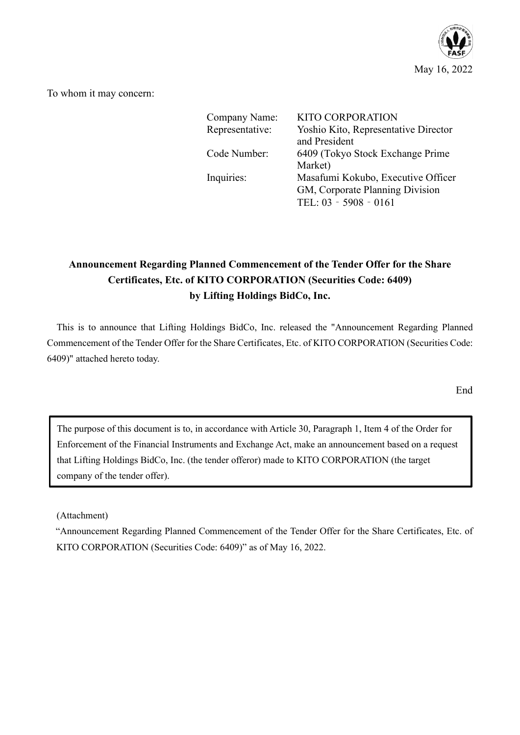

To whom it may concern:

| Company Name:   | <b>KITO CORPORATION</b>              |
|-----------------|--------------------------------------|
| Representative: | Yoshio Kito, Representative Director |
|                 | and President                        |
| Code Number:    | 6409 (Tokyo Stock Exchange Prime)    |
|                 | Market)                              |
| Inquiries:      | Masafumi Kokubo, Executive Officer   |
|                 | GM, Corporate Planning Division      |
|                 | TEL: 03 - 5908 - 0161                |

# **Announcement Regarding Planned Commencement of the Tender Offer for the Share Certificates, Etc. of KITO CORPORATION (Securities Code: 6409) by Lifting Holdings BidCo, Inc.**

This is to announce that Lifting Holdings BidCo, Inc. released the "Announcement Regarding Planned Commencement of the Tender Offer for the Share Certificates, Etc. of KITO CORPORATION (Securities Code: 6409)" attached hereto today.

**End** 

The purpose of this document is to, in accordance with Article 30, Paragraph 1, Item 4 of the Order for Enforcement of the Financial Instruments and Exchange Act, make an announcement based on a request that Lifting Holdings BidCo, Inc. (the tender offeror) made to KITO CORPORATION (the target company of the tender offer).

(Attachment)

"Announcement Regarding Planned Commencement of the Tender Offer for the Share Certificates, Etc. of KITO CORPORATION (Securities Code: 6409)" as of May 16, 2022.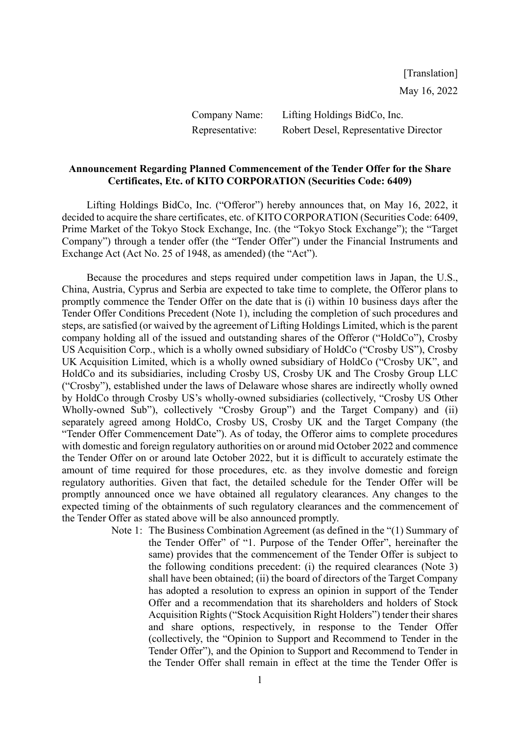Company Name: Lifting Holdings BidCo, Inc. Representative: Robert Desel, Representative Director

## **Announcement Regarding Planned Commencement of the Tender Offer for the Share Certificates, Etc. of KITO CORPORATION (Securities Code: 6409)**

Lifting Holdings BidCo, Inc. ("Offeror") hereby announces that, on May 16, 2022, it decided to acquire the share certificates, etc. of KITO CORPORATION (Securities Code: 6409, Prime Market of the Tokyo Stock Exchange, Inc. (the "Tokyo Stock Exchange"); the "Target Company") through a tender offer (the "Tender Offer") under the Financial Instruments and Exchange Act (Act No. 25 of 1948, as amended) (the "Act").

Because the procedures and steps required under competition laws in Japan, the U.S., China, Austria, Cyprus and Serbia are expected to take time to complete, the Offeror plans to promptly commence the Tender Offer on the date that is (i) within 10 business days after the Tender Offer Conditions Precedent (Note 1), including the completion of such procedures and steps, are satisfied (or waived by the agreement of Lifting Holdings Limited, which is the parent company holding all of the issued and outstanding shares of the Offeror ("HoldCo"), Crosby US Acquisition Corp., which is a wholly owned subsidiary of HoldCo ("Crosby US"), Crosby UK Acquisition Limited, which is a wholly owned subsidiary of HoldCo ("Crosby UK", and HoldCo and its subsidiaries, including Crosby US, Crosby UK and The Crosby Group LLC ("Crosby"), established under the laws of Delaware whose shares are indirectly wholly owned by HoldCo through Crosby US's wholly-owned subsidiaries (collectively, "Crosby US Other Wholly-owned Sub"), collectively "Crosby Group") and the Target Company) and (ii) separately agreed among HoldCo, Crosby US, Crosby UK and the Target Company (the "Tender Offer Commencement Date"). As of today, the Offeror aims to complete procedures with domestic and foreign regulatory authorities on or around mid October 2022 and commence the Tender Offer on or around late October 2022, but it is difficult to accurately estimate the amount of time required for those procedures, etc. as they involve domestic and foreign regulatory authorities. Given that fact, the detailed schedule for the Tender Offer will be promptly announced once we have obtained all regulatory clearances. Any changes to the expected timing of the obtainments of such regulatory clearances and the commencement of the Tender Offer as stated above will be also announced promptly.

> Note 1: The Business Combination Agreement (as defined in the "(1) Summary of the Tender Offer" of "1. Purpose of the Tender Offer", hereinafter the same) provides that the commencement of the Tender Offer is subject to the following conditions precedent: (i) the required clearances (Note 3) shall have been obtained; (ii) the board of directors of the Target Company has adopted a resolution to express an opinion in support of the Tender Offer and a recommendation that its shareholders and holders of Stock Acquisition Rights ("Stock Acquisition Right Holders") tender their shares and share options, respectively, in response to the Tender Offer (collectively, the "Opinion to Support and Recommend to Tender in the Tender Offer"), and the Opinion to Support and Recommend to Tender in the Tender Offer shall remain in effect at the time the Tender Offer is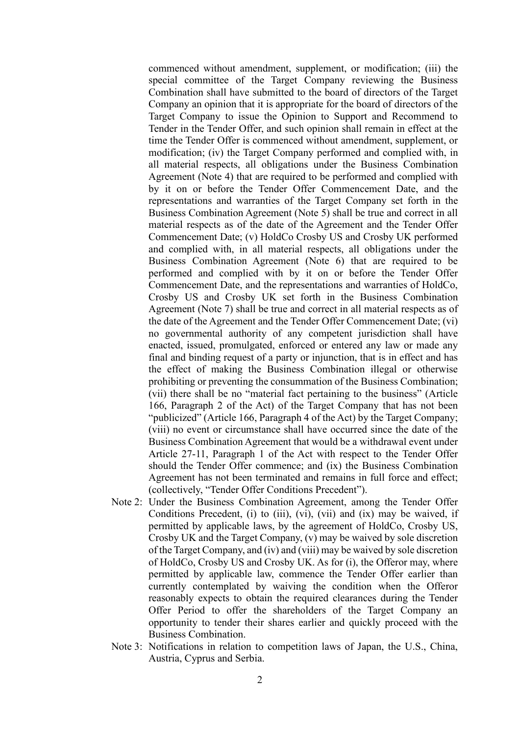commenced without amendment, supplement, or modification; (iii) the special committee of the Target Company reviewing the Business Combination shall have submitted to the board of directors of the Target Company an opinion that it is appropriate for the board of directors of the Target Company to issue the Opinion to Support and Recommend to Tender in the Tender Offer, and such opinion shall remain in effect at the time the Tender Offer is commenced without amendment, supplement, or modification; (iv) the Target Company performed and complied with, in all material respects, all obligations under the Business Combination Agreement (Note 4) that are required to be performed and complied with by it on or before the Tender Offer Commencement Date, and the representations and warranties of the Target Company set forth in the Business Combination Agreement (Note 5) shall be true and correct in all material respects as of the date of the Agreement and the Tender Offer Commencement Date; (v) HoldCo Crosby US and Crosby UK performed and complied with, in all material respects, all obligations under the Business Combination Agreement (Note 6) that are required to be performed and complied with by it on or before the Tender Offer Commencement Date, and the representations and warranties of HoldCo, Crosby US and Crosby UK set forth in the Business Combination Agreement (Note 7) shall be true and correct in all material respects as of the date of the Agreement and the Tender Offer Commencement Date; (vi) no governmental authority of any competent jurisdiction shall have enacted, issued, promulgated, enforced or entered any law or made any final and binding request of a party or injunction, that is in effect and has the effect of making the Business Combination illegal or otherwise prohibiting or preventing the consummation of the Business Combination; (vii) there shall be no "material fact pertaining to the business" (Article 166, Paragraph 2 of the Act) of the Target Company that has not been "publicized" (Article 166, Paragraph 4 of the Act) by the Target Company; (viii) no event or circumstance shall have occurred since the date of the Business Combination Agreement that would be a withdrawal event under Article 27-11, Paragraph 1 of the Act with respect to the Tender Offer should the Tender Offer commence; and (ix) the Business Combination Agreement has not been terminated and remains in full force and effect; (collectively, "Tender Offer Conditions Precedent").

- Note 2: Under the Business Combination Agreement, among the Tender Offer Conditions Precedent, (i) to (iii), (vi), (vii) and (ix) may be waived, if permitted by applicable laws, by the agreement of HoldCo, Crosby US, Crosby UK and the Target Company, (v) may be waived by sole discretion of the Target Company, and (iv) and (viii) may be waived by sole discretion of HoldCo, Crosby US and Crosby UK. As for (i), the Offeror may, where permitted by applicable law, commence the Tender Offer earlier than currently contemplated by waiving the condition when the Offeror reasonably expects to obtain the required clearances during the Tender Offer Period to offer the shareholders of the Target Company an opportunity to tender their shares earlier and quickly proceed with the Business Combination.
- Note 3: Notifications in relation to competition laws of Japan, the U.S., China, Austria, Cyprus and Serbia.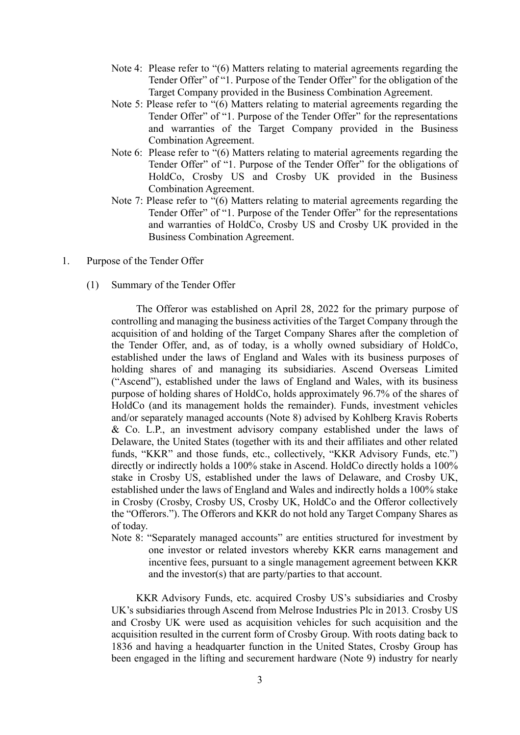- Note 4: Please refer to "(6) Matters relating to material agreements regarding the Tender Offer" of "1. Purpose of the Tender Offer" for the obligation of the Target Company provided in the Business Combination Agreement.
- Note 5: Please refer to "(6) Matters relating to material agreements regarding the Tender Offer" of "1. Purpose of the Tender Offer" for the representations and warranties of the Target Company provided in the Business Combination Agreement.
- Note 6: Please refer to "(6) Matters relating to material agreements regarding the Tender Offer" of "1. Purpose of the Tender Offer" for the obligations of HoldCo, Crosby US and Crosby UK provided in the Business Combination Agreement.
- Note 7: Please refer to "(6) Matters relating to material agreements regarding the Tender Offer" of "1. Purpose of the Tender Offer" for the representations and warranties of HoldCo, Crosby US and Crosby UK provided in the Business Combination Agreement.
- 1. Purpose of the Tender Offer
	- (1) Summary of the Tender Offer

The Offeror was established on April 28, 2022 for the primary purpose of controlling and managing the business activities of the Target Company through the acquisition of and holding of the Target Company Shares after the completion of the Tender Offer, and, as of today, is a wholly owned subsidiary of HoldCo, established under the laws of England and Wales with its business purposes of holding shares of and managing its subsidiaries. Ascend Overseas Limited ("Ascend"), established under the laws of England and Wales, with its business purpose of holding shares of HoldCo, holds approximately 96.7% of the shares of HoldCo (and its management holds the remainder). Funds, investment vehicles and/or separately managed accounts (Note 8) advised by Kohlberg Kravis Roberts & Co. L.P., an investment advisory company established under the laws of Delaware, the United States (together with its and their affiliates and other related funds, "KKR" and those funds, etc., collectively, "KKR Advisory Funds, etc.") directly or indirectly holds a 100% stake in Ascend. HoldCo directly holds a 100% stake in Crosby US, established under the laws of Delaware, and Crosby UK, established under the laws of England and Wales and indirectly holds a 100% stake in Crosby (Crosby, Crosby US, Crosby UK, HoldCo and the Offeror collectively the "Offerors."). The Offerors and KKR do not hold any Target Company Shares as of today.

Note 8: "Separately managed accounts" are entities structured for investment by one investor or related investors whereby KKR earns management and incentive fees, pursuant to a single management agreement between KKR and the investor(s) that are party/parties to that account.

KKR Advisory Funds, etc. acquired Crosby US's subsidiaries and Crosby UK's subsidiaries through Ascend from Melrose Industries Plc in 2013*.* Crosby US and Crosby UK were used as acquisition vehicles for such acquisition and the acquisition resulted in the current form of Crosby Group. With roots dating back to 1836 and having a headquarter function in the United States, Crosby Group has been engaged in the lifting and securement hardware (Note 9) industry for nearly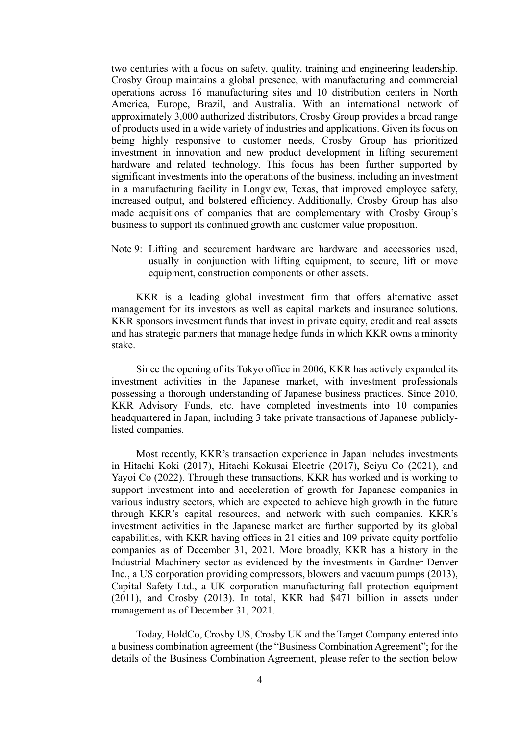two centuries with a focus on safety, quality, training and engineering leadership. Crosby Group maintains a global presence, with manufacturing and commercial operations across 16 manufacturing sites and 10 distribution centers in North America, Europe, Brazil, and Australia. With an international network of approximately 3,000 authorized distributors, Crosby Group provides a broad range of products used in a wide variety of industries and applications. Given its focus on being highly responsive to customer needs, Crosby Group has prioritized investment in innovation and new product development in lifting securement hardware and related technology. This focus has been further supported by significant investments into the operations of the business, including an investment in a manufacturing facility in Longview, Texas, that improved employee safety, increased output, and bolstered efficiency. Additionally, Crosby Group has also made acquisitions of companies that are complementary with Crosby Group's business to support its continued growth and customer value proposition.

Note 9: Lifting and securement hardware are hardware and accessories used, usually in conjunction with lifting equipment, to secure, lift or move equipment, construction components or other assets.

KKR is a leading global investment firm that offers alternative asset management for its investors as well as capital markets and insurance solutions. KKR sponsors investment funds that invest in private equity, credit and real assets and has strategic partners that manage hedge funds in which KKR owns a minority stake.

Since the opening of its Tokyo office in 2006, KKR has actively expanded its investment activities in the Japanese market, with investment professionals possessing a thorough understanding of Japanese business practices. Since 2010, KKR Advisory Funds, etc. have completed investments into 10 companies headquartered in Japan, including 3 take private transactions of Japanese publiclylisted companies.

Most recently, KKR's transaction experience in Japan includes investments in Hitachi Koki (2017), Hitachi Kokusai Electric (2017), Seiyu Co (2021), and Yayoi Co (2022). Through these transactions, KKR has worked and is working to support investment into and acceleration of growth for Japanese companies in various industry sectors, which are expected to achieve high growth in the future through KKR's capital resources, and network with such companies. KKR's investment activities in the Japanese market are further supported by its global capabilities, with KKR having offices in 21 cities and 109 private equity portfolio companies as of December 31, 2021. More broadly, KKR has a history in the Industrial Machinery sector as evidenced by the investments in Gardner Denver Inc., a US corporation providing compressors, blowers and vacuum pumps (2013), Capital Safety Ltd., a UK corporation manufacturing fall protection equipment (2011), and Crosby (2013). In total, KKR had \$471 billion in assets under management as of December 31, 2021.

Today, HoldCo, Crosby US, Crosby UK and the Target Company entered into a business combination agreement (the "Business Combination Agreement"; for the details of the Business Combination Agreement, please refer to the section below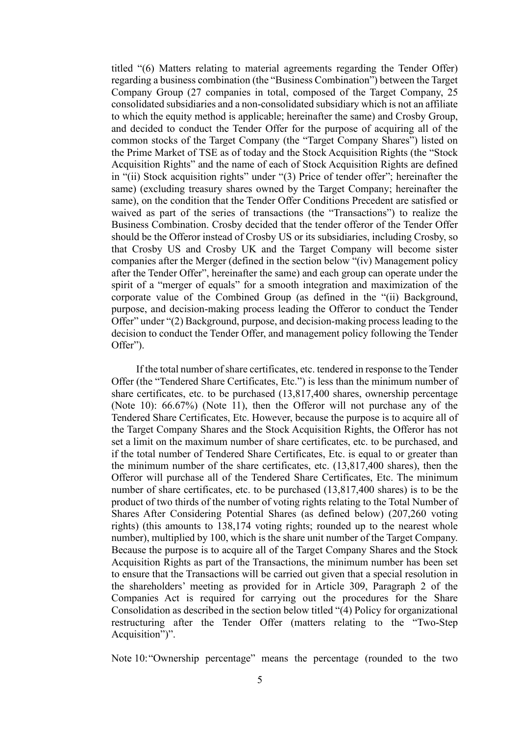titled "(6) Matters relating to material agreements regarding the Tender Offer) regarding a business combination (the "Business Combination") between the Target Company Group (27 companies in total, composed of the Target Company, 25 consolidated subsidiaries and a non-consolidated subsidiary which is not an affiliate to which the equity method is applicable; hereinafter the same) and Crosby Group, and decided to conduct the Tender Offer for the purpose of acquiring all of the common stocks of the Target Company (the "Target Company Shares") listed on the Prime Market of TSE as of today and the Stock Acquisition Rights (the "Stock Acquisition Rights" and the name of each of Stock Acquisition Rights are defined in "(ii) Stock acquisition rights" under "(3) Price of tender offer"; hereinafter the same) (excluding treasury shares owned by the Target Company; hereinafter the same), on the condition that the Tender Offer Conditions Precedent are satisfied or waived as part of the series of transactions (the "Transactions") to realize the Business Combination. Crosby decided that the tender offeror of the Tender Offer should be the Offeror instead of Crosby US or its subsidiaries, including Crosby, so that Crosby US and Crosby UK and the Target Company will become sister companies after the Merger (defined in the section below "(iv) Management policy after the Tender Offer", hereinafter the same) and each group can operate under the spirit of a "merger of equals" for a smooth integration and maximization of the corporate value of the Combined Group (as defined in the "(ii) Background, purpose, and decision-making process leading the Offeror to conduct the Tender Offer" under "(2) Background, purpose, and decision-making process leading to the decision to conduct the Tender Offer, and management policy following the Tender Offer").

If the total number of share certificates, etc. tendered in response to the Tender Offer (the "Tendered Share Certificates, Etc.") is less than the minimum number of share certificates, etc. to be purchased (13,817,400 shares, ownership percentage (Note 10): 66.67%) (Note 11), then the Offeror will not purchase any of the Tendered Share Certificates, Etc. However, because the purpose is to acquire all of the Target Company Shares and the Stock Acquisition Rights, the Offeror has not set a limit on the maximum number of share certificates, etc. to be purchased, and if the total number of Tendered Share Certificates, Etc. is equal to or greater than the minimum number of the share certificates, etc. (13,817,400 shares), then the Offeror will purchase all of the Tendered Share Certificates, Etc. The minimum number of share certificates, etc. to be purchased (13,817,400 shares) is to be the product of two thirds of the number of voting rights relating to the Total Number of Shares After Considering Potential Shares (as defined below) (207,260 voting rights) (this amounts to 138,174 voting rights; rounded up to the nearest whole number), multiplied by 100, which is the share unit number of the Target Company. Because the purpose is to acquire all of the Target Company Shares and the Stock Acquisition Rights as part of the Transactions, the minimum number has been set to ensure that the Transactions will be carried out given that a special resolution in the shareholders' meeting as provided for in Article 309, Paragraph 2 of the Companies Act is required for carrying out the procedures for the Share Consolidation as described in the section below titled "(4) Policy for organizational restructuring after the Tender Offer (matters relating to the "Two-Step Acquisition")".

Note 10:"Ownership percentage" means the percentage (rounded to the two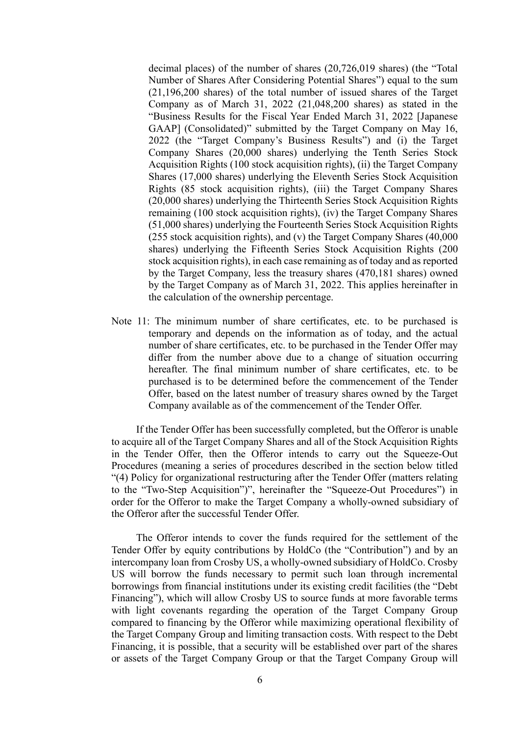decimal places) of the number of shares (20,726,019 shares) (the "Total Number of Shares After Considering Potential Shares") equal to the sum (21,196,200 shares) of the total number of issued shares of the Target Company as of March 31, 2022 (21,048,200 shares) as stated in the "Business Results for the Fiscal Year Ended March 31, 2022 [Japanese GAAP] (Consolidated)" submitted by the Target Company on May 16, 2022 (the "Target Company's Business Results") and (i) the Target Company Shares (20,000 shares) underlying the Tenth Series Stock Acquisition Rights (100 stock acquisition rights), (ii) the Target Company Shares (17,000 shares) underlying the Eleventh Series Stock Acquisition Rights (85 stock acquisition rights), (iii) the Target Company Shares (20,000 shares) underlying the Thirteenth Series Stock Acquisition Rights remaining (100 stock acquisition rights), (iv) the Target Company Shares (51,000 shares) underlying the Fourteenth Series Stock Acquisition Rights (255 stock acquisition rights), and (v) the Target Company Shares (40,000 shares) underlying the Fifteenth Series Stock Acquisition Rights (200 stock acquisition rights), in each case remaining as of today and as reported by the Target Company, less the treasury shares (470,181 shares) owned by the Target Company as of March 31, 2022. This applies hereinafter in the calculation of the ownership percentage.

Note 11: The minimum number of share certificates, etc. to be purchased is temporary and depends on the information as of today, and the actual number of share certificates, etc. to be purchased in the Tender Offer may differ from the number above due to a change of situation occurring hereafter. The final minimum number of share certificates, etc. to be purchased is to be determined before the commencement of the Tender Offer, based on the latest number of treasury shares owned by the Target Company available as of the commencement of the Tender Offer.

If the Tender Offer has been successfully completed, but the Offeror is unable to acquire all of the Target Company Shares and all of the Stock Acquisition Rights in the Tender Offer, then the Offeror intends to carry out the Squeeze-Out Procedures (meaning a series of procedures described in the section below titled "(4) Policy for organizational restructuring after the Tender Offer (matters relating to the "Two-Step Acquisition")", hereinafter the "Squeeze-Out Procedures") in order for the Offeror to make the Target Company a wholly-owned subsidiary of the Offeror after the successful Tender Offer.

The Offeror intends to cover the funds required for the settlement of the Tender Offer by equity contributions by HoldCo (the "Contribution") and by an intercompany loan from Crosby US, a wholly-owned subsidiary of HoldCo. Crosby US will borrow the funds necessary to permit such loan through incremental borrowings from financial institutions under its existing credit facilities (the "Debt Financing"), which will allow Crosby US to source funds at more favorable terms with light covenants regarding the operation of the Target Company Group compared to financing by the Offeror while maximizing operational flexibility of the Target Company Group and limiting transaction costs. With respect to the Debt Financing, it is possible, that a security will be established over part of the shares or assets of the Target Company Group or that the Target Company Group will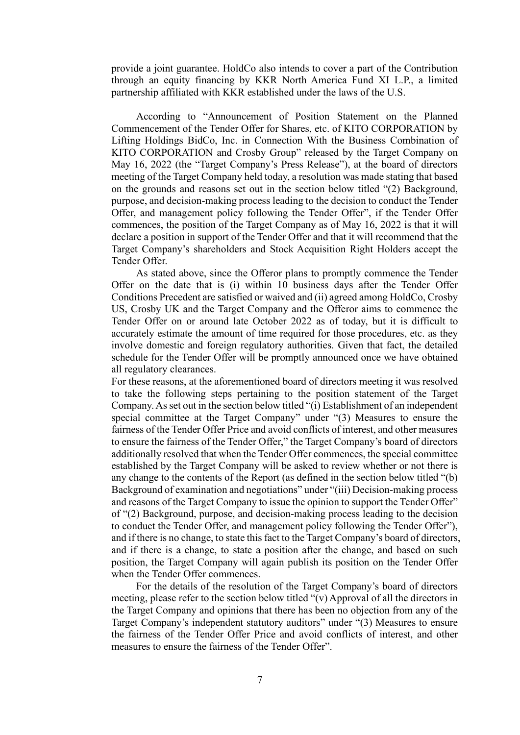provide a joint guarantee. HoldCo also intends to cover a part of the Contribution through an equity financing by KKR North America Fund XI L.P., a limited partnership affiliated with KKR established under the laws of the U.S.

According to "Announcement of Position Statement on the Planned Commencement of the Tender Offer for Shares, etc. of KITO CORPORATION by Lifting Holdings BidCo, Inc. in Connection With the Business Combination of KITO CORPORATION and Crosby Group" released by the Target Company on May 16, 2022 (the "Target Company's Press Release"), at the board of directors meeting of the Target Company held today, a resolution was made stating that based on the grounds and reasons set out in the section below titled "(2) Background, purpose, and decision-making process leading to the decision to conduct the Tender Offer, and management policy following the Tender Offer", if the Tender Offer commences, the position of the Target Company as of May 16, 2022 is that it will declare a position in support of the Tender Offer and that it will recommend that the Target Company's shareholders and Stock Acquisition Right Holders accept the Tender Offer.

As stated above, since the Offeror plans to promptly commence the Tender Offer on the date that is (i) within 10 business days after the Tender Offer Conditions Precedent are satisfied or waived and (ii) agreed among HoldCo, Crosby US, Crosby UK and the Target Company and the Offeror aims to commence the Tender Offer on or around late October 2022 as of today, but it is difficult to accurately estimate the amount of time required for those procedures, etc. as they involve domestic and foreign regulatory authorities. Given that fact, the detailed schedule for the Tender Offer will be promptly announced once we have obtained all regulatory clearances.

For these reasons, at the aforementioned board of directors meeting it was resolved to take the following steps pertaining to the position statement of the Target Company. As set out in the section below titled "(i) Establishment of an independent special committee at the Target Company" under "(3) Measures to ensure the fairness of the Tender Offer Price and avoid conflicts of interest, and other measures to ensure the fairness of the Tender Offer," the Target Company's board of directors additionally resolved that when the Tender Offer commences, the special committee established by the Target Company will be asked to review whether or not there is any change to the contents of the Report (as defined in the section below titled "(b) Background of examination and negotiations" under "(iii) Decision-making process and reasons of the Target Company to issue the opinion to support the Tender Offer" of "(2) Background, purpose, and decision-making process leading to the decision to conduct the Tender Offer, and management policy following the Tender Offer"), and if there is no change, to state this fact to the Target Company's board of directors, and if there is a change, to state a position after the change, and based on such position, the Target Company will again publish its position on the Tender Offer when the Tender Offer commences.

For the details of the resolution of the Target Company's board of directors meeting, please refer to the section below titled "(v) Approval of all the directors in the Target Company and opinions that there has been no objection from any of the Target Company's independent statutory auditors" under "(3) Measures to ensure the fairness of the Tender Offer Price and avoid conflicts of interest, and other measures to ensure the fairness of the Tender Offer".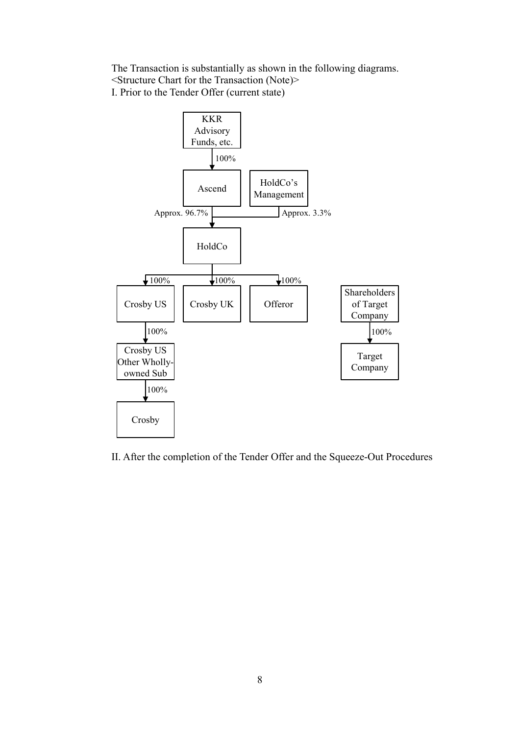The Transaction is substantially as shown in the following diagrams. <Structure Chart for the Transaction (Note)> I. Prior to the Tender Offer (current state)



II. After the completion of the Tender Offer and the Squeeze-Out Procedures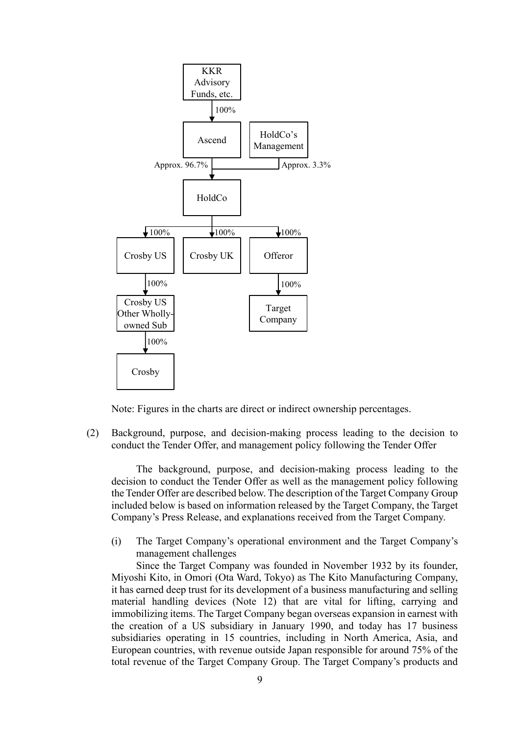

Note: Figures in the charts are direct or indirect ownership percentages.

(2) Background, purpose, and decision-making process leading to the decision to conduct the Tender Offer, and management policy following the Tender Offer

The background, purpose, and decision-making process leading to the decision to conduct the Tender Offer as well as the management policy following the Tender Offer are described below. The description of the Target Company Group included below is based on information released by the Target Company, the Target Company's Press Release, and explanations received from the Target Company.

(i) The Target Company's operational environment and the Target Company's management challenges

Since the Target Company was founded in November 1932 by its founder, Miyoshi Kito, in Omori (Ota Ward, Tokyo) as The Kito Manufacturing Company, it has earned deep trust for its development of a business manufacturing and selling material handling devices (Note 12) that are vital for lifting, carrying and immobilizing items. The Target Company began overseas expansion in earnest with the creation of a US subsidiary in January 1990, and today has 17 business subsidiaries operating in 15 countries, including in North America, Asia, and European countries, with revenue outside Japan responsible for around 75% of the total revenue of the Target Company Group. The Target Company's products and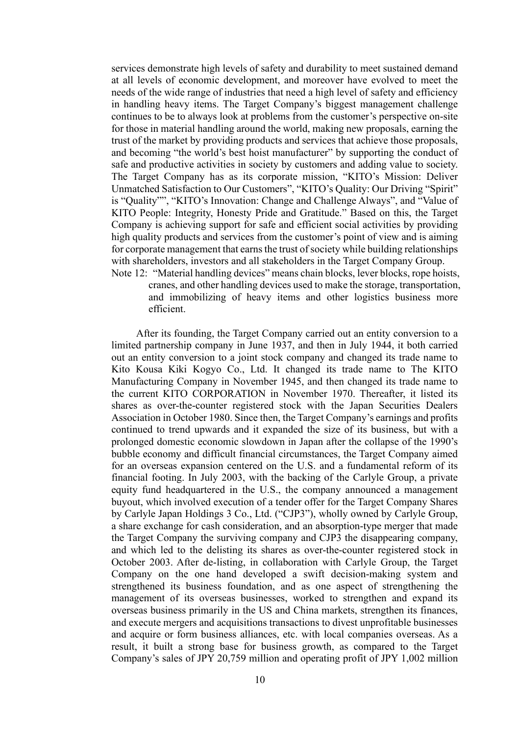services demonstrate high levels of safety and durability to meet sustained demand at all levels of economic development, and moreover have evolved to meet the needs of the wide range of industries that need a high level of safety and efficiency in handling heavy items. The Target Company's biggest management challenge continues to be to always look at problems from the customer's perspective on-site for those in material handling around the world, making new proposals, earning the trust of the market by providing products and services that achieve those proposals, and becoming "the world's best hoist manufacturer" by supporting the conduct of safe and productive activities in society by customers and adding value to society. The Target Company has as its corporate mission, "KITO's Mission: Deliver Unmatched Satisfaction to Our Customers", "KITO's Quality: Our Driving "Spirit" is "Quality"", "KITO's Innovation: Change and Challenge Always", and "Value of KITO People: Integrity, Honesty Pride and Gratitude." Based on this, the Target Company is achieving support for safe and efficient social activities by providing high quality products and services from the customer's point of view and is aiming for corporate management that earns the trust of society while building relationships with shareholders, investors and all stakeholders in the Target Company Group. Note 12: "Material handling devices" means chain blocks, lever blocks, rope hoists,

cranes, and other handling devices used to make the storage, transportation, and immobilizing of heavy items and other logistics business more efficient.

After its founding, the Target Company carried out an entity conversion to a limited partnership company in June 1937, and then in July 1944, it both carried out an entity conversion to a joint stock company and changed its trade name to Kito Kousa Kiki Kogyo Co., Ltd. It changed its trade name to The KITO Manufacturing Company in November 1945, and then changed its trade name to the current KITO CORPORATION in November 1970. Thereafter, it listed its shares as over-the-counter registered stock with the Japan Securities Dealers Association in October 1980. Since then, the Target Company's earnings and profits continued to trend upwards and it expanded the size of its business, but with a prolonged domestic economic slowdown in Japan after the collapse of the 1990's bubble economy and difficult financial circumstances, the Target Company aimed for an overseas expansion centered on the U.S. and a fundamental reform of its financial footing. In July 2003, with the backing of the Carlyle Group, a private equity fund headquartered in the U.S., the company announced a management buyout, which involved execution of a tender offer for the Target Company Shares by Carlyle Japan Holdings 3 Co., Ltd. ("CJP3"), wholly owned by Carlyle Group, a share exchange for cash consideration, and an absorption-type merger that made the Target Company the surviving company and CJP3 the disappearing company, and which led to the delisting its shares as over-the-counter registered stock in October 2003. After de-listing, in collaboration with Carlyle Group, the Target Company on the one hand developed a swift decision-making system and strengthened its business foundation, and as one aspect of strengthening the management of its overseas businesses, worked to strengthen and expand its overseas business primarily in the US and China markets, strengthen its finances, and execute mergers and acquisitions transactions to divest unprofitable businesses and acquire or form business alliances, etc. with local companies overseas. As a result, it built a strong base for business growth, as compared to the Target Company's sales of JPY 20,759 million and operating profit of JPY 1,002 million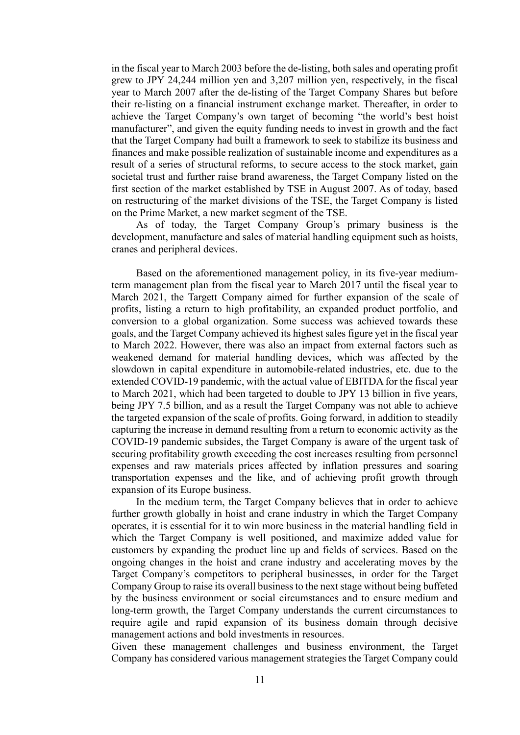in the fiscal year to March 2003 before the de-listing, both sales and operating profit grew to JPY 24,244 million yen and 3,207 million yen, respectively, in the fiscal year to March 2007 after the de-listing of the Target Company Shares but before their re-listing on a financial instrument exchange market. Thereafter, in order to achieve the Target Company's own target of becoming "the world's best hoist manufacturer", and given the equity funding needs to invest in growth and the fact that the Target Company had built a framework to seek to stabilize its business and finances and make possible realization of sustainable income and expenditures as a result of a series of structural reforms, to secure access to the stock market, gain societal trust and further raise brand awareness, the Target Company listed on the first section of the market established by TSE in August 2007. As of today, based on restructuring of the market divisions of the TSE, the Target Company is listed on the Prime Market, a new market segment of the TSE.

As of today, the Target Company Group's primary business is the development, manufacture and sales of material handling equipment such as hoists, cranes and peripheral devices.

Based on the aforementioned management policy, in its five-year mediumterm management plan from the fiscal year to March 2017 until the fiscal year to March 2021, the Targett Company aimed for further expansion of the scale of profits, listing a return to high profitability, an expanded product portfolio, and conversion to a global organization. Some success was achieved towards these goals, and the Target Company achieved its highest sales figure yet in the fiscal year to March 2022. However, there was also an impact from external factors such as weakened demand for material handling devices, which was affected by the slowdown in capital expenditure in automobile-related industries, etc. due to the extended COVID-19 pandemic, with the actual value of EBITDA for the fiscal year to March 2021, which had been targeted to double to JPY 13 billion in five years, being JPY 7.5 billion, and as a result the Target Company was not able to achieve the targeted expansion of the scale of profits. Going forward, in addition to steadily capturing the increase in demand resulting from a return to economic activity as the COVID-19 pandemic subsides, the Target Company is aware of the urgent task of securing profitability growth exceeding the cost increases resulting from personnel expenses and raw materials prices affected by inflation pressures and soaring transportation expenses and the like, and of achieving profit growth through expansion of its Europe business.

In the medium term, the Target Company believes that in order to achieve further growth globally in hoist and crane industry in which the Target Company operates, it is essential for it to win more business in the material handling field in which the Target Company is well positioned, and maximize added value for customers by expanding the product line up and fields of services. Based on the ongoing changes in the hoist and crane industry and accelerating moves by the Target Company's competitors to peripheral businesses, in order for the Target Company Group to raise its overall business to the next stage without being buffeted by the business environment or social circumstances and to ensure medium and long-term growth, the Target Company understands the current circumstances to require agile and rapid expansion of its business domain through decisive management actions and bold investments in resources.

Given these management challenges and business environment, the Target Company has considered various management strategies the Target Company could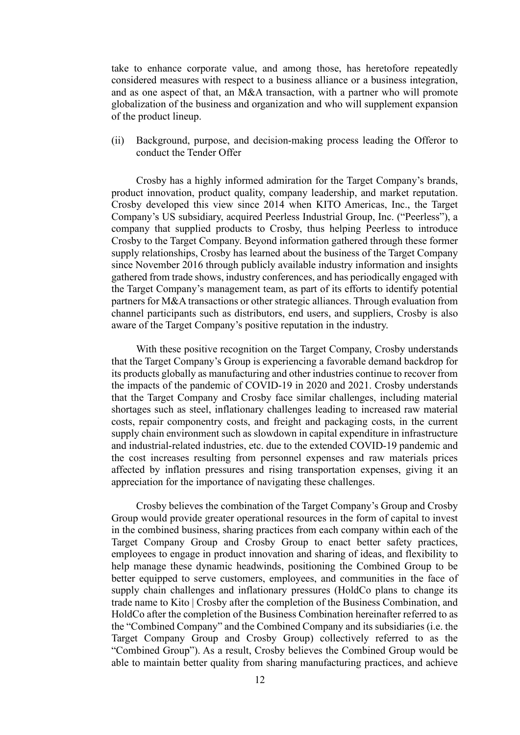take to enhance corporate value, and among those, has heretofore repeatedly considered measures with respect to a business alliance or a business integration, and as one aspect of that, an M&A transaction, with a partner who will promote globalization of the business and organization and who will supplement expansion of the product lineup.

(ii) Background, purpose, and decision-making process leading the Offeror to conduct the Tender Offer

Crosby has a highly informed admiration for the Target Company's brands, product innovation, product quality, company leadership, and market reputation. Crosby developed this view since 2014 when KITO Americas, Inc., the Target Company's US subsidiary, acquired Peerless Industrial Group, Inc. ("Peerless"), a company that supplied products to Crosby, thus helping Peerless to introduce Crosby to the Target Company. Beyond information gathered through these former supply relationships, Crosby has learned about the business of the Target Company since November 2016 through publicly available industry information and insights gathered from trade shows, industry conferences, and has periodically engaged with the Target Company's management team, as part of its efforts to identify potential partners for M&A transactions or other strategic alliances. Through evaluation from channel participants such as distributors, end users, and suppliers, Crosby is also aware of the Target Company's positive reputation in the industry.

With these positive recognition on the Target Company, Crosby understands that the Target Company's Group is experiencing a favorable demand backdrop for its products globally as manufacturing and other industries continue to recover from the impacts of the pandemic of COVID-19 in 2020 and 2021. Crosby understands that the Target Company and Crosby face similar challenges, including material shortages such as steel, inflationary challenges leading to increased raw material costs, repair componentry costs, and freight and packaging costs, in the current supply chain environment such as slowdown in capital expenditure in infrastructure and industrial-related industries, etc. due to the extended COVID-19 pandemic and the cost increases resulting from personnel expenses and raw materials prices affected by inflation pressures and rising transportation expenses, giving it an appreciation for the importance of navigating these challenges.

Crosby believes the combination of the Target Company's Group and Crosby Group would provide greater operational resources in the form of capital to invest in the combined business, sharing practices from each company within each of the Target Company Group and Crosby Group to enact better safety practices, employees to engage in product innovation and sharing of ideas, and flexibility to help manage these dynamic headwinds, positioning the Combined Group to be better equipped to serve customers, employees, and communities in the face of supply chain challenges and inflationary pressures (HoldCo plans to change its trade name to Kito | Crosby after the completion of the Business Combination, and HoldCo after the completion of the Business Combination hereinafter referred to as the "Combined Company" and the Combined Company and its subsidiaries (i.e. the Target Company Group and Crosby Group) collectively referred to as the "Combined Group"). As a result, Crosby believes the Combined Group would be able to maintain better quality from sharing manufacturing practices, and achieve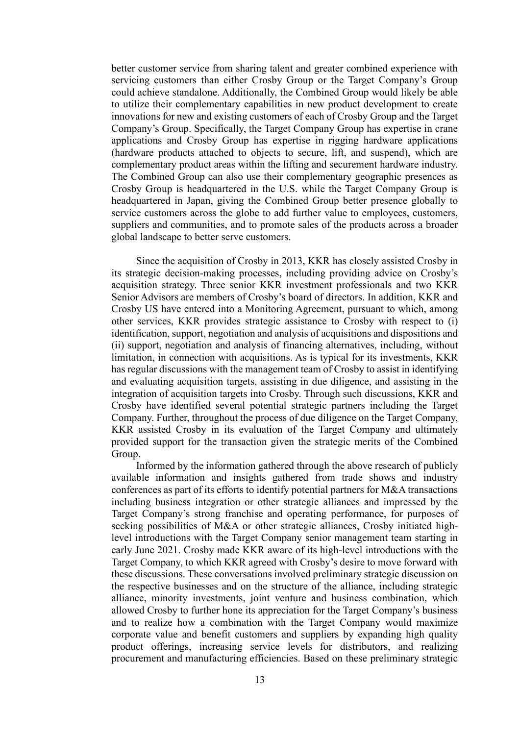better customer service from sharing talent and greater combined experience with servicing customers than either Crosby Group or the Target Company's Group could achieve standalone. Additionally, the Combined Group would likely be able to utilize their complementary capabilities in new product development to create innovations for new and existing customers of each of Crosby Group and the Target Company's Group. Specifically, the Target Company Group has expertise in crane applications and Crosby Group has expertise in rigging hardware applications (hardware products attached to objects to secure, lift, and suspend), which are complementary product areas within the lifting and securement hardware industry. The Combined Group can also use their complementary geographic presences as Crosby Group is headquartered in the U.S. while the Target Company Group is headquartered in Japan, giving the Combined Group better presence globally to service customers across the globe to add further value to employees, customers, suppliers and communities, and to promote sales of the products across a broader global landscape to better serve customers.

Since the acquisition of Crosby in 2013, KKR has closely assisted Crosby in its strategic decision-making processes, including providing advice on Crosby's acquisition strategy. Three senior KKR investment professionals and two KKR Senior Advisors are members of Crosby's board of directors. In addition, KKR and Crosby US have entered into a Monitoring Agreement, pursuant to which, among other services, KKR provides strategic assistance to Crosby with respect to (i) identification, support, negotiation and analysis of acquisitions and dispositions and (ii) support, negotiation and analysis of financing alternatives, including, without limitation, in connection with acquisitions. As is typical for its investments, KKR has regular discussions with the management team of Crosby to assist in identifying and evaluating acquisition targets, assisting in due diligence, and assisting in the integration of acquisition targets into Crosby. Through such discussions, KKR and Crosby have identified several potential strategic partners including the Target Company. Further, throughout the process of due diligence on the Target Company, KKR assisted Crosby in its evaluation of the Target Company and ultimately provided support for the transaction given the strategic merits of the Combined Group.

Informed by the information gathered through the above research of publicly available information and insights gathered from trade shows and industry conferences as part of its efforts to identify potential partners for M&A transactions including business integration or other strategic alliances and impressed by the Target Company's strong franchise and operating performance, for purposes of seeking possibilities of M&A or other strategic alliances, Crosby initiated highlevel introductions with the Target Company senior management team starting in early June 2021. Crosby made KKR aware of its high-level introductions with the Target Company, to which KKR agreed with Crosby's desire to move forward with these discussions. These conversations involved preliminary strategic discussion on the respective businesses and on the structure of the alliance, including strategic alliance, minority investments, joint venture and business combination, which allowed Crosby to further hone its appreciation for the Target Company's business and to realize how a combination with the Target Company would maximize corporate value and benefit customers and suppliers by expanding high quality product offerings, increasing service levels for distributors, and realizing procurement and manufacturing efficiencies. Based on these preliminary strategic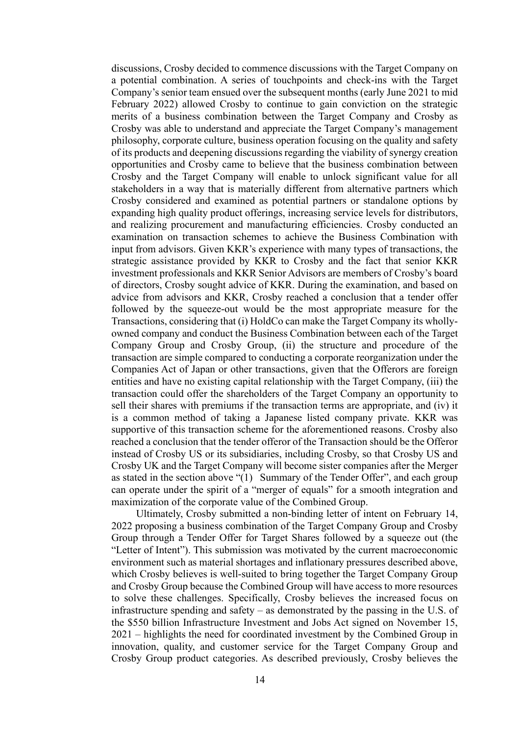discussions, Crosby decided to commence discussions with the Target Company on a potential combination. A series of touchpoints and check-ins with the Target Company's senior team ensued over the subsequent months (early June 2021 to mid February 2022) allowed Crosby to continue to gain conviction on the strategic merits of a business combination between the Target Company and Crosby as Crosby was able to understand and appreciate the Target Company's management philosophy, corporate culture, business operation focusing on the quality and safety of its products and deepening discussions regarding the viability of synergy creation opportunities and Crosby came to believe that the business combination between Crosby and the Target Company will enable to unlock significant value for all stakeholders in a way that is materially different from alternative partners which Crosby considered and examined as potential partners or standalone options by expanding high quality product offerings, increasing service levels for distributors, and realizing procurement and manufacturing efficiencies. Crosby conducted an examination on transaction schemes to achieve the Business Combination with input from advisors. Given KKR's experience with many types of transactions, the strategic assistance provided by KKR to Crosby and the fact that senior KKR investment professionals and KKR Senior Advisors are members of Crosby's board of directors, Crosby sought advice of KKR. During the examination, and based on advice from advisors and KKR, Crosby reached a conclusion that a tender offer followed by the squeeze-out would be the most appropriate measure for the Transactions, considering that (i) HoldCo can make the Target Company its whollyowned company and conduct the Business Combination between each of the Target Company Group and Crosby Group, (ii) the structure and procedure of the transaction are simple compared to conducting a corporate reorganization under the Companies Act of Japan or other transactions, given that the Offerors are foreign entities and have no existing capital relationship with the Target Company, (iii) the transaction could offer the shareholders of the Target Company an opportunity to sell their shares with premiums if the transaction terms are appropriate, and (iv) it is a common method of taking a Japanese listed company private. KKR was supportive of this transaction scheme for the aforementioned reasons. Crosby also reached a conclusion that the tender offeror of the Transaction should be the Offeror instead of Crosby US or its subsidiaries, including Crosby, so that Crosby US and Crosby UK and the Target Company will become sister companies after the Merger as stated in the section above "(1) Summary of the Tender Offer", and each group can operate under the spirit of a "merger of equals" for a smooth integration and maximization of the corporate value of the Combined Group.

Ultimately, Crosby submitted a non-binding letter of intent on February 14, 2022 proposing a business combination of the Target Company Group and Crosby Group through a Tender Offer for Target Shares followed by a squeeze out (the "Letter of Intent"). This submission was motivated by the current macroeconomic environment such as material shortages and inflationary pressures described above, which Crosby believes is well-suited to bring together the Target Company Group and Crosby Group because the Combined Group will have access to more resources to solve these challenges. Specifically, Crosby believes the increased focus on infrastructure spending and safety – as demonstrated by the passing in the U.S. of the \$550 billion Infrastructure Investment and Jobs Act signed on November 15, 2021 – highlights the need for coordinated investment by the Combined Group in innovation, quality, and customer service for the Target Company Group and Crosby Group product categories. As described previously, Crosby believes the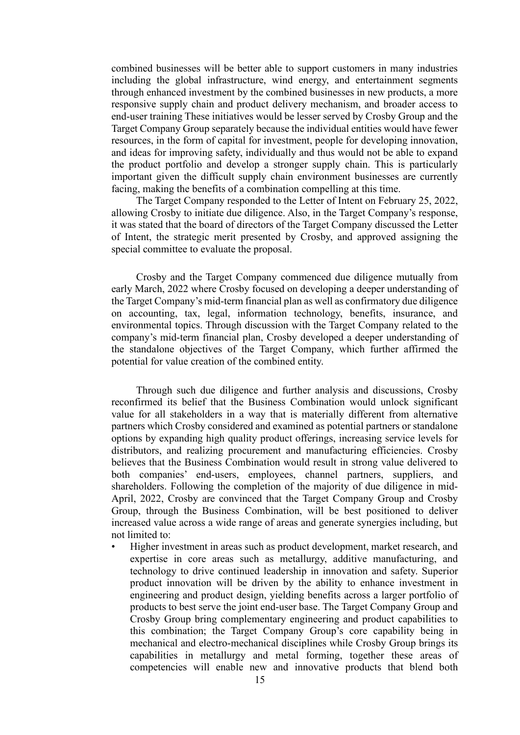combined businesses will be better able to support customers in many industries including the global infrastructure, wind energy, and entertainment segments through enhanced investment by the combined businesses in new products, a more responsive supply chain and product delivery mechanism, and broader access to end-user training These initiatives would be lesser served by Crosby Group and the Target Company Group separately because the individual entities would have fewer resources, in the form of capital for investment, people for developing innovation, and ideas for improving safety, individually and thus would not be able to expand the product portfolio and develop a stronger supply chain. This is particularly important given the difficult supply chain environment businesses are currently facing, making the benefits of a combination compelling at this time.

The Target Company responded to the Letter of Intent on February 25, 2022, allowing Crosby to initiate due diligence. Also, in the Target Company's response, it was stated that the board of directors of the Target Company discussed the Letter of Intent, the strategic merit presented by Crosby, and approved assigning the special committee to evaluate the proposal.

Crosby and the Target Company commenced due diligence mutually from early March, 2022 where Crosby focused on developing a deeper understanding of the Target Company's mid-term financial plan as well as confirmatory due diligence on accounting, tax, legal, information technology, benefits, insurance, and environmental topics. Through discussion with the Target Company related to the company's mid-term financial plan, Crosby developed a deeper understanding of the standalone objectives of the Target Company, which further affirmed the potential for value creation of the combined entity.

Through such due diligence and further analysis and discussions, Crosby reconfirmed its belief that the Business Combination would unlock significant value for all stakeholders in a way that is materially different from alternative partners which Crosby considered and examined as potential partners or standalone options by expanding high quality product offerings, increasing service levels for distributors, and realizing procurement and manufacturing efficiencies. Crosby believes that the Business Combination would result in strong value delivered to both companies' end-users, employees, channel partners, suppliers, and shareholders. Following the completion of the majority of due diligence in mid-April, 2022, Crosby are convinced that the Target Company Group and Crosby Group, through the Business Combination, will be best positioned to deliver increased value across a wide range of areas and generate synergies including, but not limited to:

• Higher investment in areas such as product development, market research, and expertise in core areas such as metallurgy, additive manufacturing, and technology to drive continued leadership in innovation and safety. Superior product innovation will be driven by the ability to enhance investment in engineering and product design, yielding benefits across a larger portfolio of products to best serve the joint end-user base. The Target Company Group and Crosby Group bring complementary engineering and product capabilities to this combination; the Target Company Group's core capability being in mechanical and electro-mechanical disciplines while Crosby Group brings its capabilities in metallurgy and metal forming, together these areas of competencies will enable new and innovative products that blend both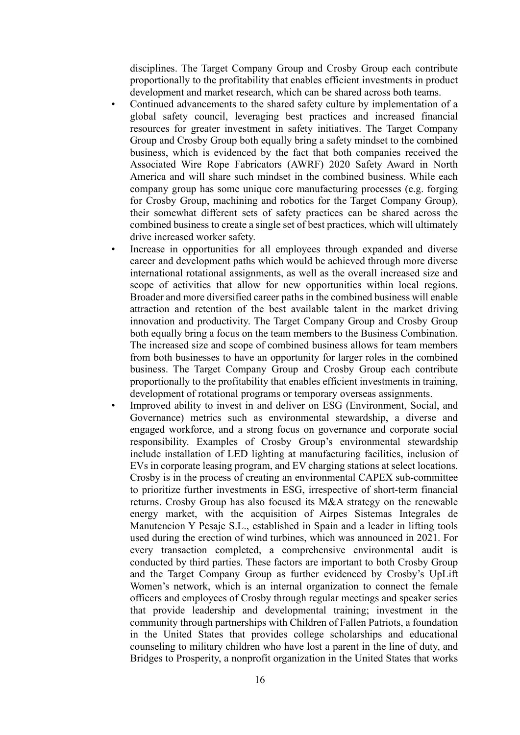disciplines. The Target Company Group and Crosby Group each contribute proportionally to the profitability that enables efficient investments in product development and market research, which can be shared across both teams.

- Continued advancements to the shared safety culture by implementation of a global safety council, leveraging best practices and increased financial resources for greater investment in safety initiatives. The Target Company Group and Crosby Group both equally bring a safety mindset to the combined business, which is evidenced by the fact that both companies received the Associated Wire Rope Fabricators (AWRF) 2020 Safety Award in North America and will share such mindset in the combined business. While each company group has some unique core manufacturing processes (e.g. forging for Crosby Group, machining and robotics for the Target Company Group), their somewhat different sets of safety practices can be shared across the combined business to create a single set of best practices, which will ultimately drive increased worker safety.
- Increase in opportunities for all employees through expanded and diverse career and development paths which would be achieved through more diverse international rotational assignments, as well as the overall increased size and scope of activities that allow for new opportunities within local regions. Broader and more diversified career paths in the combined business will enable attraction and retention of the best available talent in the market driving innovation and productivity. The Target Company Group and Crosby Group both equally bring a focus on the team members to the Business Combination. The increased size and scope of combined business allows for team members from both businesses to have an opportunity for larger roles in the combined business. The Target Company Group and Crosby Group each contribute proportionally to the profitability that enables efficient investments in training, development of rotational programs or temporary overseas assignments.
- Improved ability to invest in and deliver on ESG (Environment, Social, and Governance) metrics such as environmental stewardship, a diverse and engaged workforce, and a strong focus on governance and corporate social responsibility. Examples of Crosby Group's environmental stewardship include installation of LED lighting at manufacturing facilities, inclusion of EVs in corporate leasing program, and EV charging stations at select locations. Crosby is in the process of creating an environmental CAPEX sub-committee to prioritize further investments in ESG, irrespective of short-term financial returns. Crosby Group has also focused its M&A strategy on the renewable energy market, with the acquisition of Airpes Sistemas Integrales de Manutencion Y Pesaje S.L., established in Spain and a leader in lifting tools used during the erection of wind turbines, which was announced in 2021. For every transaction completed, a comprehensive environmental audit is conducted by third parties. These factors are important to both Crosby Group and the Target Company Group as further evidenced by Crosby's UpLift Women's network, which is an internal organization to connect the female officers and employees of Crosby through regular meetings and speaker series that provide leadership and developmental training; investment in the community through partnerships with Children of Fallen Patriots, a foundation in the United States that provides college scholarships and educational counseling to military children who have lost a parent in the line of duty, and Bridges to Prosperity, a nonprofit organization in the United States that works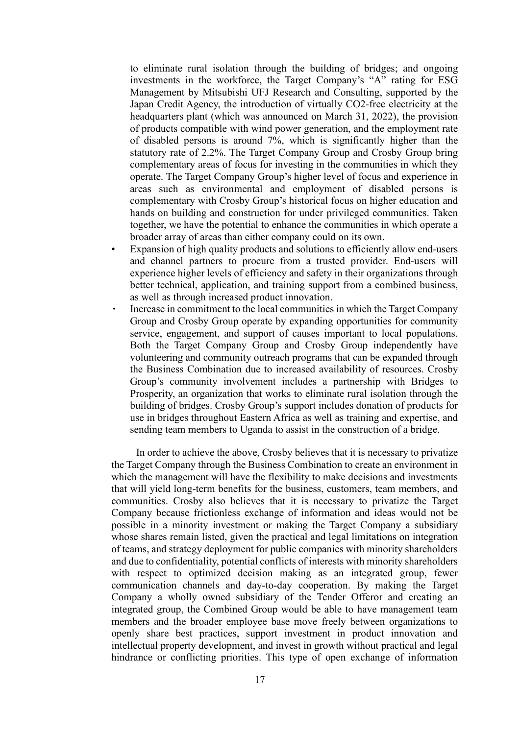to eliminate rural isolation through the building of bridges; and ongoing investments in the workforce, the Target Company's "A" rating for ESG Management by Mitsubishi UFJ Research and Consulting, supported by the Japan Credit Agency, the introduction of virtually CO2-free electricity at the headquarters plant (which was announced on March 31, 2022), the provision of products compatible with wind power generation, and the employment rate of disabled persons is around 7%, which is significantly higher than the statutory rate of 2.2%. The Target Company Group and Crosby Group bring complementary areas of focus for investing in the communities in which they operate. The Target Company Group's higher level of focus and experience in areas such as environmental and employment of disabled persons is complementary with Crosby Group's historical focus on higher education and hands on building and construction for under privileged communities. Taken together, we have the potential to enhance the communities in which operate a broader array of areas than either company could on its own.

- Expansion of high quality products and solutions to efficiently allow end-users and channel partners to procure from a trusted provider. End-users will experience higher levels of efficiency and safety in their organizations through better technical, application, and training support from a combined business, as well as through increased product innovation.
- Increase in commitment to the local communities in which the Target Company Group and Crosby Group operate by expanding opportunities for community service, engagement, and support of causes important to local populations. Both the Target Company Group and Crosby Group independently have volunteering and community outreach programs that can be expanded through the Business Combination due to increased availability of resources. Crosby Group's community involvement includes a partnership with Bridges to Prosperity, an organization that works to eliminate rural isolation through the building of bridges. Crosby Group's support includes donation of products for use in bridges throughout Eastern Africa as well as training and expertise, and sending team members to Uganda to assist in the construction of a bridge.

In order to achieve the above, Crosby believes that it is necessary to privatize the Target Company through the Business Combination to create an environment in which the management will have the flexibility to make decisions and investments that will yield long-term benefits for the business, customers, team members, and communities. Crosby also believes that it is necessary to privatize the Target Company because frictionless exchange of information and ideas would not be possible in a minority investment or making the Target Company a subsidiary whose shares remain listed, given the practical and legal limitations on integration of teams, and strategy deployment for public companies with minority shareholders and due to confidentiality, potential conflicts of interests with minority shareholders with respect to optimized decision making as an integrated group, fewer communication channels and day-to-day cooperation. By making the Target Company a wholly owned subsidiary of the Tender Offeror and creating an integrated group, the Combined Group would be able to have management team members and the broader employee base move freely between organizations to openly share best practices, support investment in product innovation and intellectual property development, and invest in growth without practical and legal hindrance or conflicting priorities. This type of open exchange of information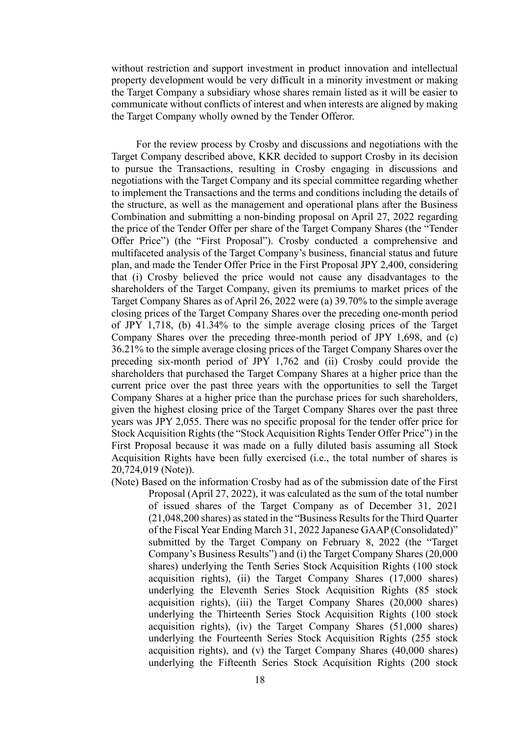without restriction and support investment in product innovation and intellectual property development would be very difficult in a minority investment or making the Target Company a subsidiary whose shares remain listed as it will be easier to communicate without conflicts of interest and when interests are aligned by making the Target Company wholly owned by the Tender Offeror.

For the review process by Crosby and discussions and negotiations with the Target Company described above, KKR decided to support Crosby in its decision to pursue the Transactions, resulting in Crosby engaging in discussions and negotiations with the Target Company and its special committee regarding whether to implement the Transactions and the terms and conditions including the details of the structure, as well as the management and operational plans after the Business Combination and submitting a non-binding proposal on April 27, 2022 regarding the price of the Tender Offer per share of the Target Company Shares (the "Tender Offer Price") (the "First Proposal"). Crosby conducted a comprehensive and multifaceted analysis of the Target Company's business, financial status and future plan, and made the Tender Offer Price in the First Proposal JPY 2,400, considering that (i) Crosby believed the price would not cause any disadvantages to the shareholders of the Target Company, given its premiums to market prices of the Target Company Shares as of April 26, 2022 were (a) 39.70% to the simple average closing prices of the Target Company Shares over the preceding one-month period of JPY 1,718, (b) 41.34% to the simple average closing prices of the Target Company Shares over the preceding three-month period of JPY 1,698, and (c) 36.21% to the simple average closing prices of the Target Company Shares over the preceding six-month period of JPY 1,762 and (ii) Crosby could provide the shareholders that purchased the Target Company Shares at a higher price than the current price over the past three years with the opportunities to sell the Target Company Shares at a higher price than the purchase prices for such shareholders, given the highest closing price of the Target Company Shares over the past three years was JPY 2,055. There was no specific proposal for the tender offer price for Stock Acquisition Rights (the "Stock Acquisition Rights Tender Offer Price") in the First Proposal because it was made on a fully diluted basis assuming all Stock Acquisition Rights have been fully exercised (i.e., the total number of shares is 20,724,019 (Note)).

(Note) Based on the information Crosby had as of the submission date of the First Proposal (April 27, 2022), it was calculated as the sum of the total number of issued shares of the Target Company as of December 31, 2021 (21,048,200 shares) as stated in the "Business Results for the Third Quarter of the Fiscal Year Ending March 31, 2022 Japanese GAAP (Consolidated)" submitted by the Target Company on February 8, 2022 (the "Target Company's Business Results") and (i) the Target Company Shares (20,000 shares) underlying the Tenth Series Stock Acquisition Rights (100 stock acquisition rights), (ii) the Target Company Shares (17,000 shares) underlying the Eleventh Series Stock Acquisition Rights (85 stock acquisition rights), (iii) the Target Company Shares (20,000 shares) underlying the Thirteenth Series Stock Acquisition Rights (100 stock acquisition rights), (iv) the Target Company Shares (51,000 shares) underlying the Fourteenth Series Stock Acquisition Rights (255 stock acquisition rights), and (v) the Target Company Shares (40,000 shares) underlying the Fifteenth Series Stock Acquisition Rights (200 stock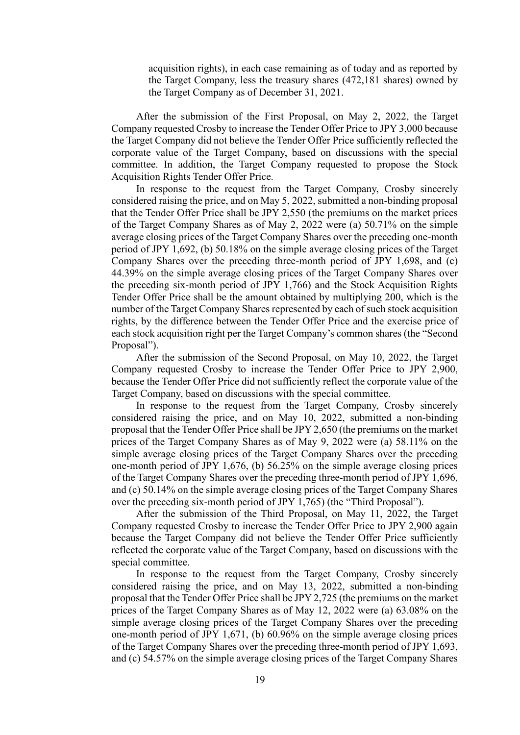acquisition rights), in each case remaining as of today and as reported by the Target Company, less the treasury shares (472,181 shares) owned by the Target Company as of December 31, 2021.

After the submission of the First Proposal, on May 2, 2022, the Target Company requested Crosby to increase the Tender Offer Price to JPY 3,000 because the Target Company did not believe the Tender Offer Price sufficiently reflected the corporate value of the Target Company, based on discussions with the special committee. In addition, the Target Company requested to propose the Stock Acquisition Rights Tender Offer Price.

In response to the request from the Target Company, Crosby sincerely considered raising the price, and on May 5, 2022, submitted a non-binding proposal that the Tender Offer Price shall be JPY 2,550 (the premiums on the market prices of the Target Company Shares as of May 2, 2022 were (a) 50.71% on the simple average closing prices of the Target Company Shares over the preceding one-month period of JPY 1,692, (b) 50.18% on the simple average closing prices of the Target Company Shares over the preceding three-month period of JPY 1,698, and (c) 44.39% on the simple average closing prices of the Target Company Shares over the preceding six-month period of JPY 1,766) and the Stock Acquisition Rights Tender Offer Price shall be the amount obtained by multiplying 200, which is the number of the Target Company Shares represented by each of such stock acquisition rights, by the difference between the Tender Offer Price and the exercise price of each stock acquisition right per the Target Company's common shares (the "Second Proposal").

After the submission of the Second Proposal, on May 10, 2022, the Target Company requested Crosby to increase the Tender Offer Price to JPY 2,900, because the Tender Offer Price did not sufficiently reflect the corporate value of the Target Company, based on discussions with the special committee.

In response to the request from the Target Company, Crosby sincerely considered raising the price, and on May 10, 2022, submitted a non-binding proposal that the Tender Offer Price shall be JPY 2,650 (the premiums on the market prices of the Target Company Shares as of May 9, 2022 were (a) 58.11% on the simple average closing prices of the Target Company Shares over the preceding one-month period of JPY 1,676, (b) 56.25% on the simple average closing prices of the Target Company Shares over the preceding three-month period of JPY 1,696, and (c) 50.14% on the simple average closing prices of the Target Company Shares over the preceding six-month period of JPY 1,765) (the "Third Proposal").

After the submission of the Third Proposal, on May 11, 2022, the Target Company requested Crosby to increase the Tender Offer Price to JPY 2,900 again because the Target Company did not believe the Tender Offer Price sufficiently reflected the corporate value of the Target Company, based on discussions with the special committee.

In response to the request from the Target Company, Crosby sincerely considered raising the price, and on May 13, 2022, submitted a non-binding proposal that the Tender Offer Price shall be JPY 2,725 (the premiums on the market prices of the Target Company Shares as of May 12, 2022 were (a) 63.08% on the simple average closing prices of the Target Company Shares over the preceding one-month period of JPY 1,671, (b) 60.96% on the simple average closing prices of the Target Company Shares over the preceding three-month period of JPY 1,693, and (c) 54.57% on the simple average closing prices of the Target Company Shares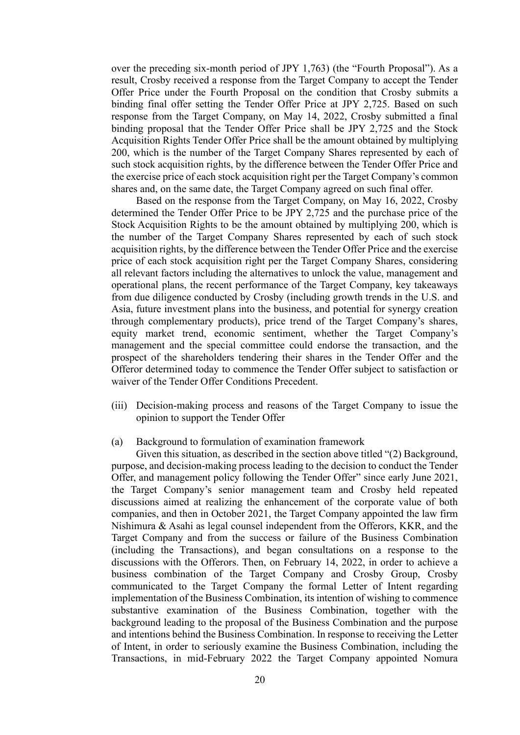over the preceding six-month period of JPY 1,763) (the "Fourth Proposal"). As a result, Crosby received a response from the Target Company to accept the Tender Offer Price under the Fourth Proposal on the condition that Crosby submits a binding final offer setting the Tender Offer Price at JPY 2,725. Based on such response from the Target Company, on May 14, 2022, Crosby submitted a final binding proposal that the Tender Offer Price shall be JPY 2,725 and the Stock Acquisition Rights Tender Offer Price shall be the amount obtained by multiplying 200, which is the number of the Target Company Shares represented by each of such stock acquisition rights, by the difference between the Tender Offer Price and the exercise price of each stock acquisition right per the Target Company's common shares and, on the same date, the Target Company agreed on such final offer.

Based on the response from the Target Company, on May 16, 2022, Crosby determined the Tender Offer Price to be JPY 2,725 and the purchase price of the Stock Acquisition Rights to be the amount obtained by multiplying 200, which is the number of the Target Company Shares represented by each of such stock acquisition rights, by the difference between the Tender Offer Price and the exercise price of each stock acquisition right per the Target Company Shares, considering all relevant factors including the alternatives to unlock the value, management and operational plans, the recent performance of the Target Company, key takeaways from due diligence conducted by Crosby (including growth trends in the U.S. and Asia, future investment plans into the business, and potential for synergy creation through complementary products), price trend of the Target Company's shares, equity market trend, economic sentiment, whether the Target Company's management and the special committee could endorse the transaction, and the prospect of the shareholders tendering their shares in the Tender Offer and the Offeror determined today to commence the Tender Offer subject to satisfaction or waiver of the Tender Offer Conditions Precedent.

- (iii) Decision-making process and reasons of the Target Company to issue the opinion to support the Tender Offer
- (a) Background to formulation of examination framework

Given this situation, as described in the section above titled "(2) Background, purpose, and decision-making process leading to the decision to conduct the Tender Offer, and management policy following the Tender Offer" since early June 2021, the Target Company's senior management team and Crosby held repeated discussions aimed at realizing the enhancement of the corporate value of both companies, and then in October 2021, the Target Company appointed the law firm Nishimura & Asahi as legal counsel independent from the Offerors, KKR, and the Target Company and from the success or failure of the Business Combination (including the Transactions), and began consultations on a response to the discussions with the Offerors. Then, on February 14, 2022, in order to achieve a business combination of the Target Company and Crosby Group, Crosby communicated to the Target Company the formal Letter of Intent regarding implementation of the Business Combination, its intention of wishing to commence substantive examination of the Business Combination, together with the background leading to the proposal of the Business Combination and the purpose and intentions behind the Business Combination. In response to receiving the Letter of Intent, in order to seriously examine the Business Combination, including the Transactions, in mid-February 2022 the Target Company appointed Nomura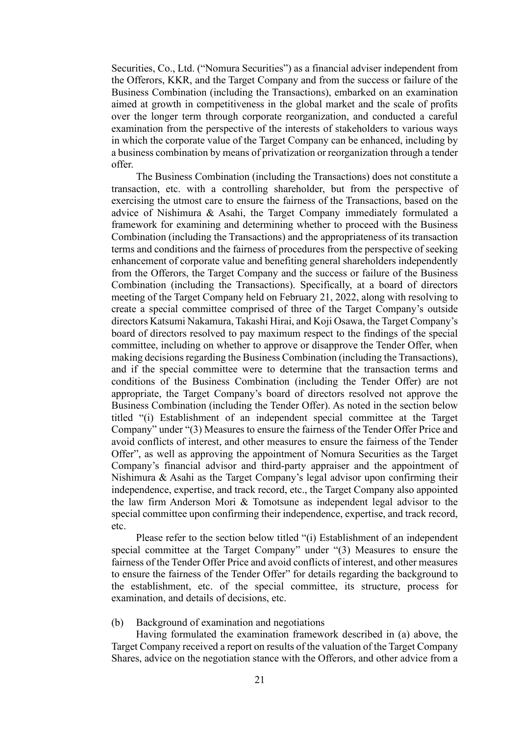Securities, Co., Ltd. ("Nomura Securities") as a financial adviser independent from the Offerors, KKR, and the Target Company and from the success or failure of the Business Combination (including the Transactions), embarked on an examination aimed at growth in competitiveness in the global market and the scale of profits over the longer term through corporate reorganization, and conducted a careful examination from the perspective of the interests of stakeholders to various ways in which the corporate value of the Target Company can be enhanced, including by a business combination by means of privatization or reorganization through a tender offer.

The Business Combination (including the Transactions) does not constitute a transaction, etc. with a controlling shareholder, but from the perspective of exercising the utmost care to ensure the fairness of the Transactions, based on the advice of Nishimura & Asahi, the Target Company immediately formulated a framework for examining and determining whether to proceed with the Business Combination (including the Transactions) and the appropriateness of its transaction terms and conditions and the fairness of procedures from the perspective of seeking enhancement of corporate value and benefiting general shareholders independently from the Offerors, the Target Company and the success or failure of the Business Combination (including the Transactions). Specifically, at a board of directors meeting of the Target Company held on February 21, 2022, along with resolving to create a special committee comprised of three of the Target Company's outside directors Katsumi Nakamura, Takashi Hirai, and Koji Osawa, the Target Company's board of directors resolved to pay maximum respect to the findings of the special committee, including on whether to approve or disapprove the Tender Offer, when making decisions regarding the Business Combination (including the Transactions), and if the special committee were to determine that the transaction terms and conditions of the Business Combination (including the Tender Offer) are not appropriate, the Target Company's board of directors resolved not approve the Business Combination (including the Tender Offer). As noted in the section below titled "(i) Establishment of an independent special committee at the Target Company" under "(3) Measures to ensure the fairness of the Tender Offer Price and avoid conflicts of interest, and other measures to ensure the fairness of the Tender Offer", as well as approving the appointment of Nomura Securities as the Target Company's financial advisor and third-party appraiser and the appointment of Nishimura & Asahi as the Target Company's legal advisor upon confirming their independence, expertise, and track record, etc., the Target Company also appointed the law firm Anderson Mori & Tomotsune as independent legal advisor to the special committee upon confirming their independence, expertise, and track record, etc.

Please refer to the section below titled "(i) Establishment of an independent special committee at the Target Company" under "(3) Measures to ensure the fairness of the Tender Offer Price and avoid conflicts of interest, and other measures to ensure the fairness of the Tender Offer" for details regarding the background to the establishment, etc. of the special committee, its structure, process for examination, and details of decisions, etc.

## (b) Background of examination and negotiations

Having formulated the examination framework described in (a) above, the Target Company received a report on results of the valuation of the Target Company Shares, advice on the negotiation stance with the Offerors, and other advice from a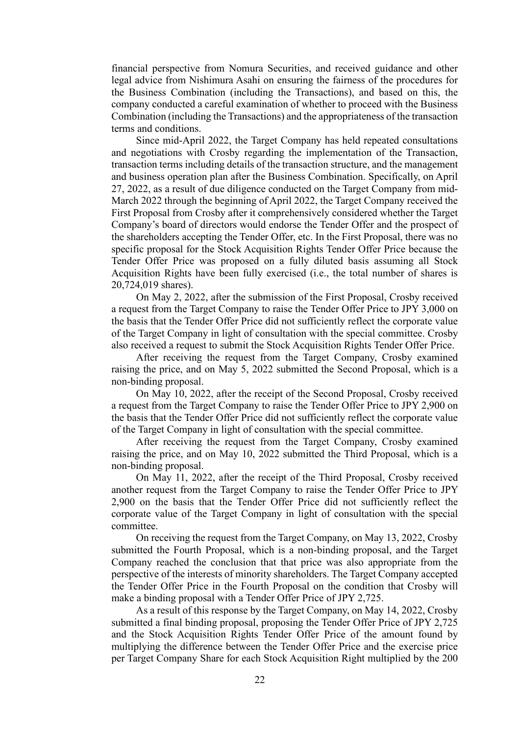financial perspective from Nomura Securities, and received guidance and other legal advice from Nishimura Asahi on ensuring the fairness of the procedures for the Business Combination (including the Transactions), and based on this, the company conducted a careful examination of whether to proceed with the Business Combination (including the Transactions) and the appropriateness of the transaction terms and conditions.

Since mid-April 2022, the Target Company has held repeated consultations and negotiations with Crosby regarding the implementation of the Transaction, transaction terms including details of the transaction structure, and the management and business operation plan after the Business Combination. Specifically, on April 27, 2022, as a result of due diligence conducted on the Target Company from mid-March 2022 through the beginning of April 2022, the Target Company received the First Proposal from Crosby after it comprehensively considered whether the Target Company's board of directors would endorse the Tender Offer and the prospect of the shareholders accepting the Tender Offer, etc. In the First Proposal, there was no specific proposal for the Stock Acquisition Rights Tender Offer Price because the Tender Offer Price was proposed on a fully diluted basis assuming all Stock Acquisition Rights have been fully exercised (i.e., the total number of shares is 20,724,019 shares).

On May 2, 2022, after the submission of the First Proposal, Crosby received a request from the Target Company to raise the Tender Offer Price to JPY 3,000 on the basis that the Tender Offer Price did not sufficiently reflect the corporate value of the Target Company in light of consultation with the special committee. Crosby also received a request to submit the Stock Acquisition Rights Tender Offer Price.

After receiving the request from the Target Company, Crosby examined raising the price, and on May 5, 2022 submitted the Second Proposal, which is a non-binding proposal.

On May 10, 2022, after the receipt of the Second Proposal, Crosby received a request from the Target Company to raise the Tender Offer Price to JPY 2,900 on the basis that the Tender Offer Price did not sufficiently reflect the corporate value of the Target Company in light of consultation with the special committee.

After receiving the request from the Target Company, Crosby examined raising the price, and on May 10, 2022 submitted the Third Proposal, which is a non-binding proposal.

On May 11, 2022, after the receipt of the Third Proposal, Crosby received another request from the Target Company to raise the Tender Offer Price to JPY 2,900 on the basis that the Tender Offer Price did not sufficiently reflect the corporate value of the Target Company in light of consultation with the special committee.

On receiving the request from the Target Company, on May 13, 2022, Crosby submitted the Fourth Proposal, which is a non-binding proposal, and the Target Company reached the conclusion that that price was also appropriate from the perspective of the interests of minority shareholders. The Target Company accepted the Tender Offer Price in the Fourth Proposal on the condition that Crosby will make a binding proposal with a Tender Offer Price of JPY 2,725.

As a result of this response by the Target Company, on May 14, 2022, Crosby submitted a final binding proposal, proposing the Tender Offer Price of JPY 2,725 and the Stock Acquisition Rights Tender Offer Price of the amount found by multiplying the difference between the Tender Offer Price and the exercise price per Target Company Share for each Stock Acquisition Right multiplied by the 200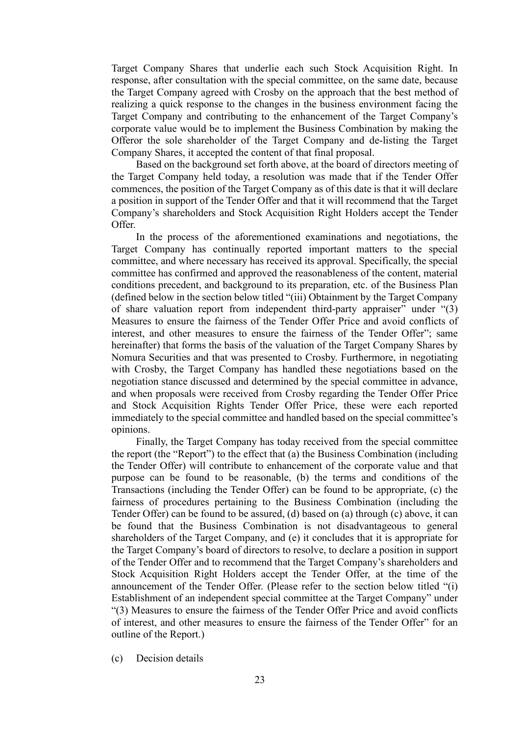Target Company Shares that underlie each such Stock Acquisition Right. In response, after consultation with the special committee, on the same date, because the Target Company agreed with Crosby on the approach that the best method of realizing a quick response to the changes in the business environment facing the Target Company and contributing to the enhancement of the Target Company's corporate value would be to implement the Business Combination by making the Offeror the sole shareholder of the Target Company and de-listing the Target Company Shares, it accepted the content of that final proposal.

Based on the background set forth above, at the board of directors meeting of the Target Company held today, a resolution was made that if the Tender Offer commences, the position of the Target Company as of this date is that it will declare a position in support of the Tender Offer and that it will recommend that the Target Company's shareholders and Stock Acquisition Right Holders accept the Tender Offer.

In the process of the aforementioned examinations and negotiations, the Target Company has continually reported important matters to the special committee, and where necessary has received its approval. Specifically, the special committee has confirmed and approved the reasonableness of the content, material conditions precedent, and background to its preparation, etc. of the Business Plan (defined below in the section below titled "(iii) Obtainment by the Target Company of share valuation report from independent third-party appraiser" under "(3) Measures to ensure the fairness of the Tender Offer Price and avoid conflicts of interest, and other measures to ensure the fairness of the Tender Offer"; same hereinafter) that forms the basis of the valuation of the Target Company Shares by Nomura Securities and that was presented to Crosby. Furthermore, in negotiating with Crosby, the Target Company has handled these negotiations based on the negotiation stance discussed and determined by the special committee in advance, and when proposals were received from Crosby regarding the Tender Offer Price and Stock Acquisition Rights Tender Offer Price, these were each reported immediately to the special committee and handled based on the special committee's opinions.

Finally, the Target Company has today received from the special committee the report (the "Report") to the effect that (a) the Business Combination (including the Tender Offer) will contribute to enhancement of the corporate value and that purpose can be found to be reasonable, (b) the terms and conditions of the Transactions (including the Tender Offer) can be found to be appropriate, (c) the fairness of procedures pertaining to the Business Combination (including the Tender Offer) can be found to be assured, (d) based on (a) through (c) above, it can be found that the Business Combination is not disadvantageous to general shareholders of the Target Company, and (e) it concludes that it is appropriate for the Target Company's board of directors to resolve, to declare a position in support of the Tender Offer and to recommend that the Target Company's shareholders and Stock Acquisition Right Holders accept the Tender Offer, at the time of the announcement of the Tender Offer. (Please refer to the section below titled "(i) Establishment of an independent special committee at the Target Company" under "(3) Measures to ensure the fairness of the Tender Offer Price and avoid conflicts of interest, and other measures to ensure the fairness of the Tender Offer" for an outline of the Report.)

(c) Decision details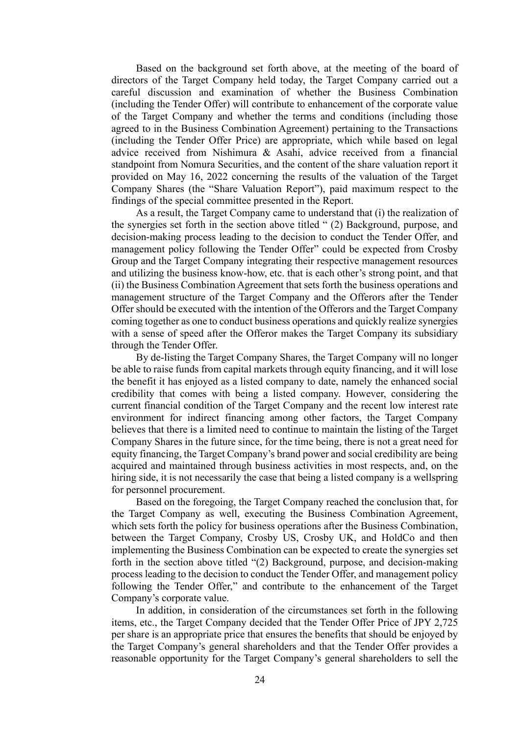Based on the background set forth above, at the meeting of the board of directors of the Target Company held today, the Target Company carried out a careful discussion and examination of whether the Business Combination (including the Tender Offer) will contribute to enhancement of the corporate value of the Target Company and whether the terms and conditions (including those agreed to in the Business Combination Agreement) pertaining to the Transactions (including the Tender Offer Price) are appropriate, which while based on legal advice received from Nishimura & Asahi, advice received from a financial standpoint from Nomura Securities, and the content of the share valuation report it provided on May 16, 2022 concerning the results of the valuation of the Target Company Shares (the "Share Valuation Report"), paid maximum respect to the findings of the special committee presented in the Report.

As a result, the Target Company came to understand that (i) the realization of the synergies set forth in the section above titled " (2) Background, purpose, and decision-making process leading to the decision to conduct the Tender Offer, and management policy following the Tender Offer" could be expected from Crosby Group and the Target Company integrating their respective management resources and utilizing the business know-how, etc. that is each other's strong point, and that (ii) the Business Combination Agreement that sets forth the business operations and management structure of the Target Company and the Offerors after the Tender Offer should be executed with the intention of the Offerors and the Target Company coming together as one to conduct business operations and quickly realize synergies with a sense of speed after the Offeror makes the Target Company its subsidiary through the Tender Offer.

By de-listing the Target Company Shares, the Target Company will no longer be able to raise funds from capital markets through equity financing, and it will lose the benefit it has enjoyed as a listed company to date, namely the enhanced social credibility that comes with being a listed company. However, considering the current financial condition of the Target Company and the recent low interest rate environment for indirect financing among other factors, the Target Company believes that there is a limited need to continue to maintain the listing of the Target Company Shares in the future since, for the time being, there is not a great need for equity financing, the Target Company's brand power and social credibility are being acquired and maintained through business activities in most respects, and, on the hiring side, it is not necessarily the case that being a listed company is a wellspring for personnel procurement.

Based on the foregoing, the Target Company reached the conclusion that, for the Target Company as well, executing the Business Combination Agreement, which sets forth the policy for business operations after the Business Combination, between the Target Company, Crosby US, Crosby UK, and HoldCo and then implementing the Business Combination can be expected to create the synergies set forth in the section above titled "(2) Background, purpose, and decision-making process leading to the decision to conduct the Tender Offer, and management policy following the Tender Offer," and contribute to the enhancement of the Target Company's corporate value.

In addition, in consideration of the circumstances set forth in the following items, etc., the Target Company decided that the Tender Offer Price of JPY 2,725 per share is an appropriate price that ensures the benefits that should be enjoyed by the Target Company's general shareholders and that the Tender Offer provides a reasonable opportunity for the Target Company's general shareholders to sell the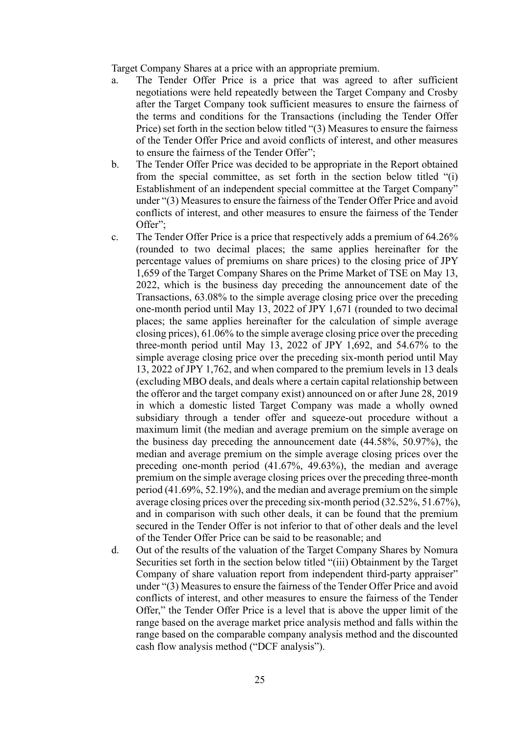Target Company Shares at a price with an appropriate premium.

- a. The Tender Offer Price is a price that was agreed to after sufficient negotiations were held repeatedly between the Target Company and Crosby after the Target Company took sufficient measures to ensure the fairness of the terms and conditions for the Transactions (including the Tender Offer Price) set forth in the section below titled "(3) Measures to ensure the fairness of the Tender Offer Price and avoid conflicts of interest, and other measures to ensure the fairness of the Tender Offer";
- b. The Tender Offer Price was decided to be appropriate in the Report obtained from the special committee, as set forth in the section below titled "(i) Establishment of an independent special committee at the Target Company" under "(3) Measures to ensure the fairness of the Tender Offer Price and avoid conflicts of interest, and other measures to ensure the fairness of the Tender Offer";
- c. The Tender Offer Price is a price that respectively adds a premium of 64.26% (rounded to two decimal places; the same applies hereinafter for the percentage values of premiums on share prices) to the closing price of JPY 1,659 of the Target Company Shares on the Prime Market of TSE on May 13, 2022, which is the business day preceding the announcement date of the Transactions, 63.08% to the simple average closing price over the preceding one-month period until May 13, 2022 of JPY 1,671 (rounded to two decimal places; the same applies hereinafter for the calculation of simple average closing prices), 61.06% to the simple average closing price over the preceding three-month period until May 13, 2022 of JPY 1,692, and 54.67% to the simple average closing price over the preceding six-month period until May 13, 2022 of JPY 1,762, and when compared to the premium levels in 13 deals (excluding MBO deals, and deals where a certain capital relationship between the offeror and the target company exist) announced on or after June 28, 2019 in which a domestic listed Target Company was made a wholly owned subsidiary through a tender offer and squeeze-out procedure without a maximum limit (the median and average premium on the simple average on the business day preceding the announcement date (44.58%, 50.97%), the median and average premium on the simple average closing prices over the preceding one-month period (41.67%, 49.63%), the median and average premium on the simple average closing prices over the preceding three-month period (41.69%, 52.19%), and the median and average premium on the simple average closing prices over the preceding six-month period (32.52%, 51.67%), and in comparison with such other deals, it can be found that the premium secured in the Tender Offer is not inferior to that of other deals and the level of the Tender Offer Price can be said to be reasonable; and
- d. Out of the results of the valuation of the Target Company Shares by Nomura Securities set forth in the section below titled "(iii) Obtainment by the Target Company of share valuation report from independent third-party appraiser" under "(3) Measures to ensure the fairness of the Tender Offer Price and avoid conflicts of interest, and other measures to ensure the fairness of the Tender Offer," the Tender Offer Price is a level that is above the upper limit of the range based on the average market price analysis method and falls within the range based on the comparable company analysis method and the discounted cash flow analysis method ("DCF analysis").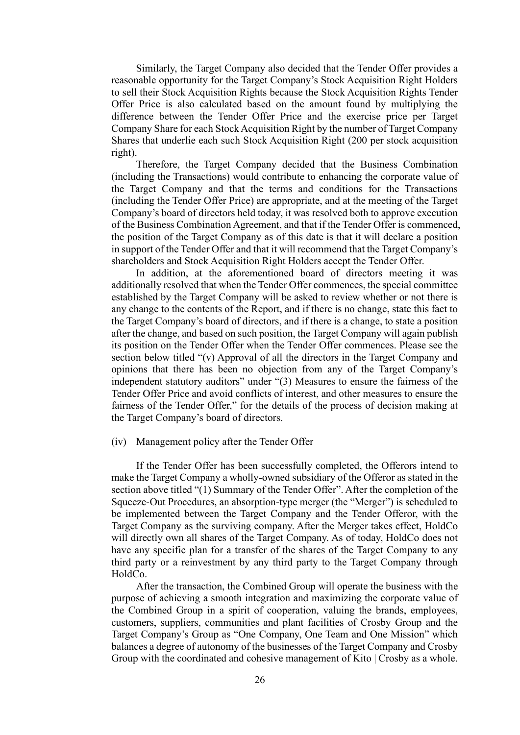Similarly, the Target Company also decided that the Tender Offer provides a reasonable opportunity for the Target Company's Stock Acquisition Right Holders to sell their Stock Acquisition Rights because the Stock Acquisition Rights Tender Offer Price is also calculated based on the amount found by multiplying the difference between the Tender Offer Price and the exercise price per Target Company Share for each Stock Acquisition Right by the number of Target Company Shares that underlie each such Stock Acquisition Right (200 per stock acquisition right).

Therefore, the Target Company decided that the Business Combination (including the Transactions) would contribute to enhancing the corporate value of the Target Company and that the terms and conditions for the Transactions (including the Tender Offer Price) are appropriate, and at the meeting of the Target Company's board of directors held today, it was resolved both to approve execution of the Business Combination Agreement, and that if the Tender Offer is commenced, the position of the Target Company as of this date is that it will declare a position in support of the Tender Offer and that it will recommend that the Target Company's shareholders and Stock Acquisition Right Holders accept the Tender Offer.

In addition, at the aforementioned board of directors meeting it was additionally resolved that when the Tender Offer commences, the special committee established by the Target Company will be asked to review whether or not there is any change to the contents of the Report, and if there is no change, state this fact to the Target Company's board of directors, and if there is a change, to state a position after the change, and based on such position, the Target Company will again publish its position on the Tender Offer when the Tender Offer commences. Please see the section below titled "(v) Approval of all the directors in the Target Company and opinions that there has been no objection from any of the Target Company's independent statutory auditors" under "(3) Measures to ensure the fairness of the Tender Offer Price and avoid conflicts of interest, and other measures to ensure the fairness of the Tender Offer," for the details of the process of decision making at the Target Company's board of directors.

#### (iv) Management policy after the Tender Offer

If the Tender Offer has been successfully completed, the Offerors intend to make the Target Company a wholly-owned subsidiary of the Offeror as stated in the section above titled "(1) Summary of the Tender Offer". After the completion of the Squeeze-Out Procedures, an absorption-type merger (the "Merger") is scheduled to be implemented between the Target Company and the Tender Offeror, with the Target Company as the surviving company. After the Merger takes effect, HoldCo will directly own all shares of the Target Company. As of today, HoldCo does not have any specific plan for a transfer of the shares of the Target Company to any third party or a reinvestment by any third party to the Target Company through HoldCo.

After the transaction, the Combined Group will operate the business with the purpose of achieving a smooth integration and maximizing the corporate value of the Combined Group in a spirit of cooperation, valuing the brands, employees, customers, suppliers, communities and plant facilities of Crosby Group and the Target Company's Group as "One Company, One Team and One Mission" which balances a degree of autonomy of the businesses of the Target Company and Crosby Group with the coordinated and cohesive management of Kito | Crosby as a whole.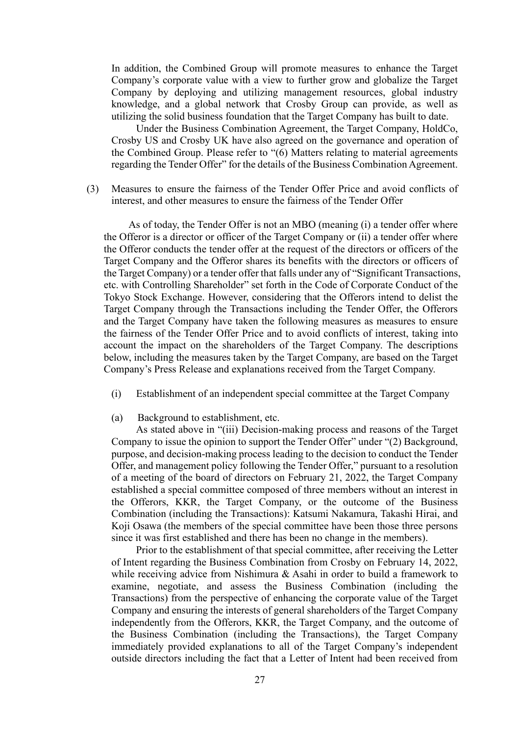In addition, the Combined Group will promote measures to enhance the Target Company's corporate value with a view to further grow and globalize the Target Company by deploying and utilizing management resources, global industry knowledge, and a global network that Crosby Group can provide, as well as utilizing the solid business foundation that the Target Company has built to date.

Under the Business Combination Agreement, the Target Company, HoldCo, Crosby US and Crosby UK have also agreed on the governance and operation of the Combined Group. Please refer to "(6) Matters relating to material agreements regarding the Tender Offer" for the details of the Business Combination Agreement.

(3) Measures to ensure the fairness of the Tender Offer Price and avoid conflicts of interest, and other measures to ensure the fairness of the Tender Offer

As of today, the Tender Offer is not an MBO (meaning (i) a tender offer where the Offeror is a director or officer of the Target Company or (ii) a tender offer where the Offeror conducts the tender offer at the request of the directors or officers of the Target Company and the Offeror shares its benefits with the directors or officers of the Target Company) or a tender offer that falls under any of "Significant Transactions, etc. with Controlling Shareholder" set forth in the Code of Corporate Conduct of the Tokyo Stock Exchange. However, considering that the Offerors intend to delist the Target Company through the Transactions including the Tender Offer, the Offerors and the Target Company have taken the following measures as measures to ensure the fairness of the Tender Offer Price and to avoid conflicts of interest, taking into account the impact on the shareholders of the Target Company. The descriptions below, including the measures taken by the Target Company, are based on the Target Company's Press Release and explanations received from the Target Company.

- (i) Establishment of an independent special committee at the Target Company
- (a) Background to establishment, etc.

As stated above in "(iii) Decision-making process and reasons of the Target Company to issue the opinion to support the Tender Offer" under "(2) Background, purpose, and decision-making process leading to the decision to conduct the Tender Offer, and management policy following the Tender Offer," pursuant to a resolution of a meeting of the board of directors on February 21, 2022, the Target Company established a special committee composed of three members without an interest in the Offerors, KKR, the Target Company, or the outcome of the Business Combination (including the Transactions): Katsumi Nakamura, Takashi Hirai, and Koji Osawa (the members of the special committee have been those three persons since it was first established and there has been no change in the members).

Prior to the establishment of that special committee, after receiving the Letter of Intent regarding the Business Combination from Crosby on February 14, 2022, while receiving advice from Nishimura & Asahi in order to build a framework to examine, negotiate, and assess the Business Combination (including the Transactions) from the perspective of enhancing the corporate value of the Target Company and ensuring the interests of general shareholders of the Target Company independently from the Offerors, KKR, the Target Company, and the outcome of the Business Combination (including the Transactions), the Target Company immediately provided explanations to all of the Target Company's independent outside directors including the fact that a Letter of Intent had been received from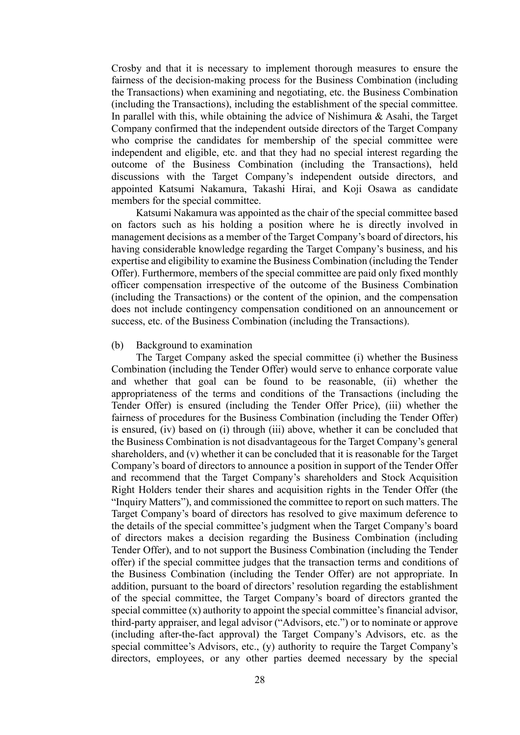Crosby and that it is necessary to implement thorough measures to ensure the fairness of the decision-making process for the Business Combination (including the Transactions) when examining and negotiating, etc. the Business Combination (including the Transactions), including the establishment of the special committee. In parallel with this, while obtaining the advice of Nishimura  $\&$  Asahi, the Target Company confirmed that the independent outside directors of the Target Company who comprise the candidates for membership of the special committee were independent and eligible, etc. and that they had no special interest regarding the outcome of the Business Combination (including the Transactions), held discussions with the Target Company's independent outside directors, and appointed Katsumi Nakamura, Takashi Hirai, and Koji Osawa as candidate members for the special committee.

Katsumi Nakamura was appointed as the chair of the special committee based on factors such as his holding a position where he is directly involved in management decisions as a member of the Target Company's board of directors, his having considerable knowledge regarding the Target Company's business, and his expertise and eligibility to examine the Business Combination (including the Tender Offer). Furthermore, members of the special committee are paid only fixed monthly officer compensation irrespective of the outcome of the Business Combination (including the Transactions) or the content of the opinion, and the compensation does not include contingency compensation conditioned on an announcement or success, etc. of the Business Combination (including the Transactions).

#### (b) Background to examination

The Target Company asked the special committee (i) whether the Business Combination (including the Tender Offer) would serve to enhance corporate value and whether that goal can be found to be reasonable, (ii) whether the appropriateness of the terms and conditions of the Transactions (including the Tender Offer) is ensured (including the Tender Offer Price), (iii) whether the fairness of procedures for the Business Combination (including the Tender Offer) is ensured, (iv) based on (i) through (iii) above, whether it can be concluded that the Business Combination is not disadvantageous for the Target Company's general shareholders, and (v) whether it can be concluded that it is reasonable for the Target Company's board of directors to announce a position in support of the Tender Offer and recommend that the Target Company's shareholders and Stock Acquisition Right Holders tender their shares and acquisition rights in the Tender Offer (the "Inquiry Matters"), and commissioned the committee to report on such matters. The Target Company's board of directors has resolved to give maximum deference to the details of the special committee's judgment when the Target Company's board of directors makes a decision regarding the Business Combination (including Tender Offer), and to not support the Business Combination (including the Tender offer) if the special committee judges that the transaction terms and conditions of the Business Combination (including the Tender Offer) are not appropriate. In addition, pursuant to the board of directors' resolution regarding the establishment of the special committee, the Target Company's board of directors granted the special committee (x) authority to appoint the special committee's financial advisor, third-party appraiser, and legal advisor ("Advisors, etc.") or to nominate or approve (including after-the-fact approval) the Target Company's Advisors, etc. as the special committee's Advisors, etc., (y) authority to require the Target Company's directors, employees, or any other parties deemed necessary by the special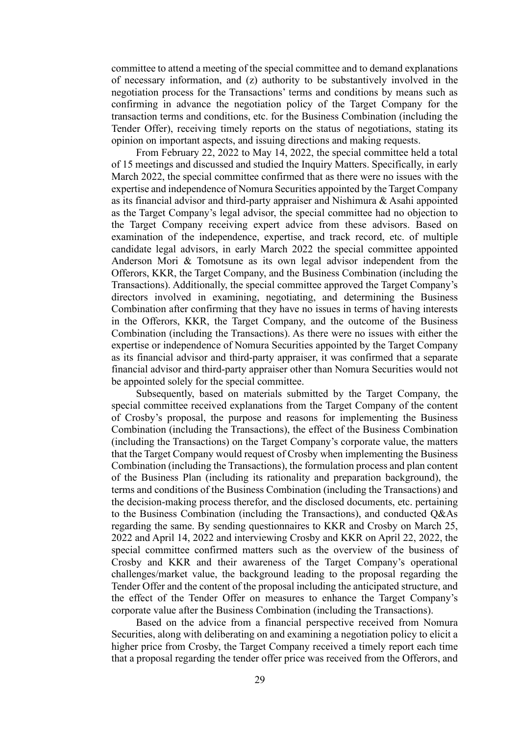committee to attend a meeting of the special committee and to demand explanations of necessary information, and (z) authority to be substantively involved in the negotiation process for the Transactions' terms and conditions by means such as confirming in advance the negotiation policy of the Target Company for the transaction terms and conditions, etc. for the Business Combination (including the Tender Offer), receiving timely reports on the status of negotiations, stating its opinion on important aspects, and issuing directions and making requests.

From February 22, 2022 to May 14, 2022, the special committee held a total of 15 meetings and discussed and studied the Inquiry Matters. Specifically, in early March 2022, the special committee confirmed that as there were no issues with the expertise and independence of Nomura Securities appointed by the Target Company as its financial advisor and third-party appraiser and Nishimura & Asahi appointed as the Target Company's legal advisor, the special committee had no objection to the Target Company receiving expert advice from these advisors. Based on examination of the independence, expertise, and track record, etc. of multiple candidate legal advisors, in early March 2022 the special committee appointed Anderson Mori & Tomotsune as its own legal advisor independent from the Offerors, KKR, the Target Company, and the Business Combination (including the Transactions). Additionally, the special committee approved the Target Company's directors involved in examining, negotiating, and determining the Business Combination after confirming that they have no issues in terms of having interests in the Offerors, KKR, the Target Company, and the outcome of the Business Combination (including the Transactions). As there were no issues with either the expertise or independence of Nomura Securities appointed by the Target Company as its financial advisor and third-party appraiser, it was confirmed that a separate financial advisor and third-party appraiser other than Nomura Securities would not be appointed solely for the special committee.

Subsequently, based on materials submitted by the Target Company, the special committee received explanations from the Target Company of the content of Crosby's proposal, the purpose and reasons for implementing the Business Combination (including the Transactions), the effect of the Business Combination (including the Transactions) on the Target Company's corporate value, the matters that the Target Company would request of Crosby when implementing the Business Combination (including the Transactions), the formulation process and plan content of the Business Plan (including its rationality and preparation background), the terms and conditions of the Business Combination (including the Transactions) and the decision-making process therefor, and the disclosed documents, etc. pertaining to the Business Combination (including the Transactions), and conducted Q&As regarding the same. By sending questionnaires to KKR and Crosby on March 25, 2022 and April 14, 2022 and interviewing Crosby and KKR on April 22, 2022, the special committee confirmed matters such as the overview of the business of Crosby and KKR and their awareness of the Target Company's operational challenges/market value, the background leading to the proposal regarding the Tender Offer and the content of the proposal including the anticipated structure, and the effect of the Tender Offer on measures to enhance the Target Company's corporate value after the Business Combination (including the Transactions).

Based on the advice from a financial perspective received from Nomura Securities, along with deliberating on and examining a negotiation policy to elicit a higher price from Crosby, the Target Company received a timely report each time that a proposal regarding the tender offer price was received from the Offerors, and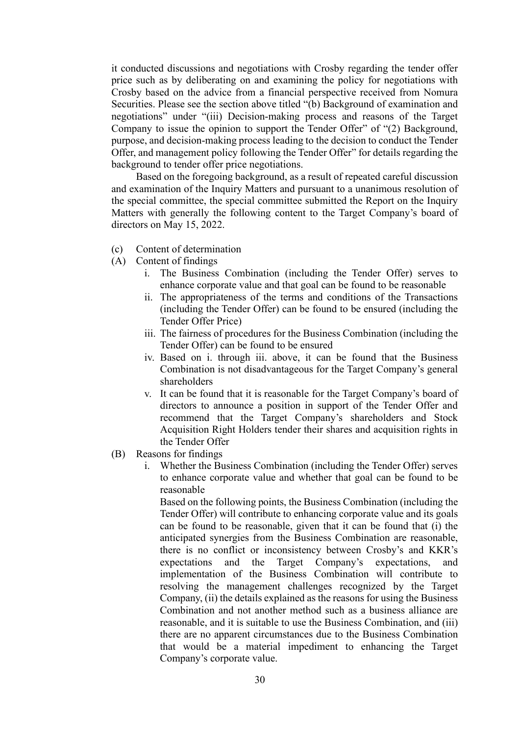it conducted discussions and negotiations with Crosby regarding the tender offer price such as by deliberating on and examining the policy for negotiations with Crosby based on the advice from a financial perspective received from Nomura Securities. Please see the section above titled "(b) Background of examination and negotiations" under "(iii) Decision-making process and reasons of the Target Company to issue the opinion to support the Tender Offer" of "(2) Background, purpose, and decision-making process leading to the decision to conduct the Tender Offer, and management policy following the Tender Offer" for details regarding the background to tender offer price negotiations.

Based on the foregoing background, as a result of repeated careful discussion and examination of the Inquiry Matters and pursuant to a unanimous resolution of the special committee, the special committee submitted the Report on the Inquiry Matters with generally the following content to the Target Company's board of directors on May 15, 2022.

- (c) Content of determination
- (A) Content of findings
	- i. The Business Combination (including the Tender Offer) serves to enhance corporate value and that goal can be found to be reasonable
	- ii. The appropriateness of the terms and conditions of the Transactions (including the Tender Offer) can be found to be ensured (including the Tender Offer Price)
	- iii. The fairness of procedures for the Business Combination (including the Tender Offer) can be found to be ensured
	- iv. Based on i. through iii. above, it can be found that the Business Combination is not disadvantageous for the Target Company's general shareholders
	- v. It can be found that it is reasonable for the Target Company's board of directors to announce a position in support of the Tender Offer and recommend that the Target Company's shareholders and Stock Acquisition Right Holders tender their shares and acquisition rights in the Tender Offer
- (B) Reasons for findings
	- i. Whether the Business Combination (including the Tender Offer) serves to enhance corporate value and whether that goal can be found to be reasonable

Based on the following points, the Business Combination (including the Tender Offer) will contribute to enhancing corporate value and its goals can be found to be reasonable, given that it can be found that (i) the anticipated synergies from the Business Combination are reasonable, there is no conflict or inconsistency between Crosby's and KKR's expectations and the Target Company's expectations, and implementation of the Business Combination will contribute to resolving the management challenges recognized by the Target Company, (ii) the details explained as the reasons for using the Business Combination and not another method such as a business alliance are reasonable, and it is suitable to use the Business Combination, and (iii) there are no apparent circumstances due to the Business Combination that would be a material impediment to enhancing the Target Company's corporate value.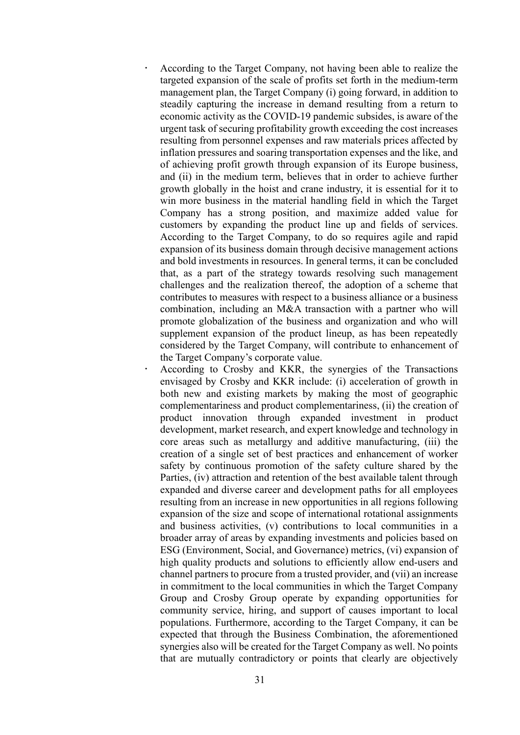- According to the Target Company, not having been able to realize the targeted expansion of the scale of profits set forth in the medium-term management plan, the Target Company (i) going forward, in addition to steadily capturing the increase in demand resulting from a return to economic activity as the COVID-19 pandemic subsides, is aware of the urgent task of securing profitability growth exceeding the cost increases resulting from personnel expenses and raw materials prices affected by inflation pressures and soaring transportation expenses and the like, and of achieving profit growth through expansion of its Europe business, and (ii) in the medium term, believes that in order to achieve further growth globally in the hoist and crane industry, it is essential for it to win more business in the material handling field in which the Target Company has a strong position, and maximize added value for customers by expanding the product line up and fields of services. According to the Target Company, to do so requires agile and rapid expansion of its business domain through decisive management actions and bold investments in resources. In general terms, it can be concluded that, as a part of the strategy towards resolving such management challenges and the realization thereof, the adoption of a scheme that contributes to measures with respect to a business alliance or a business combination, including an M&A transaction with a partner who will promote globalization of the business and organization and who will supplement expansion of the product lineup, as has been repeatedly considered by the Target Company, will contribute to enhancement of the Target Company's corporate value.
	- According to Crosby and KKR, the synergies of the Transactions envisaged by Crosby and KKR include: (i) acceleration of growth in both new and existing markets by making the most of geographic complementariness and product complementariness, (ii) the creation of product innovation through expanded investment in product development, market research, and expert knowledge and technology in core areas such as metallurgy and additive manufacturing, (iii) the creation of a single set of best practices and enhancement of worker safety by continuous promotion of the safety culture shared by the Parties, (iv) attraction and retention of the best available talent through expanded and diverse career and development paths for all employees resulting from an increase in new opportunities in all regions following expansion of the size and scope of international rotational assignments and business activities, (v) contributions to local communities in a broader array of areas by expanding investments and policies based on ESG (Environment, Social, and Governance) metrics, (vi) expansion of high quality products and solutions to efficiently allow end-users and channel partners to procure from a trusted provider, and (vii) an increase in commitment to the local communities in which the Target Company Group and Crosby Group operate by expanding opportunities for community service, hiring, and support of causes important to local populations. Furthermore, according to the Target Company, it can be expected that through the Business Combination, the aforementioned synergies also will be created for the Target Company as well. No points that are mutually contradictory or points that clearly are objectively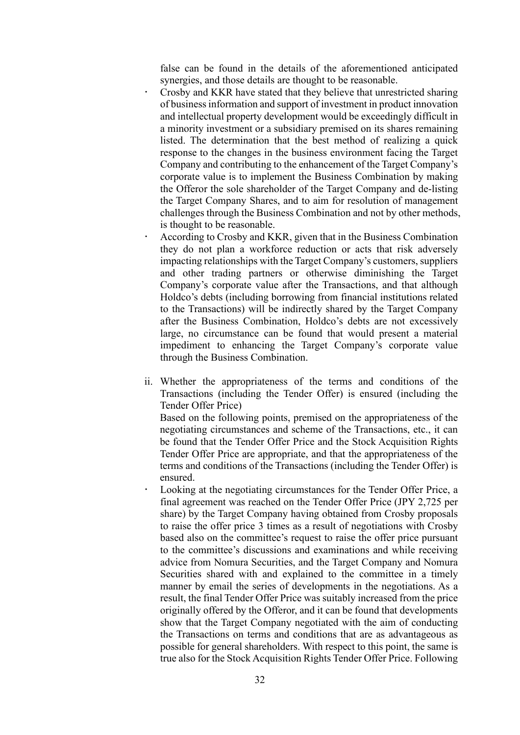false can be found in the details of the aforementioned anticipated synergies, and those details are thought to be reasonable.

- Crosby and KKR have stated that they believe that unrestricted sharing of business information and support of investment in product innovation and intellectual property development would be exceedingly difficult in a minority investment or a subsidiary premised on its shares remaining listed. The determination that the best method of realizing a quick response to the changes in the business environment facing the Target Company and contributing to the enhancement of the Target Company's corporate value is to implement the Business Combination by making the Offeror the sole shareholder of the Target Company and de-listing the Target Company Shares, and to aim for resolution of management challenges through the Business Combination and not by other methods, is thought to be reasonable.
	- According to Crosby and KKR, given that in the Business Combination they do not plan a workforce reduction or acts that risk adversely impacting relationships with the Target Company's customers, suppliers and other trading partners or otherwise diminishing the Target Company's corporate value after the Transactions, and that although Holdco's debts (including borrowing from financial institutions related to the Transactions) will be indirectly shared by the Target Company after the Business Combination, Holdco's debts are not excessively large, no circumstance can be found that would present a material impediment to enhancing the Target Company's corporate value through the Business Combination.
- ii. Whether the appropriateness of the terms and conditions of the Transactions (including the Tender Offer) is ensured (including the Tender Offer Price)

Based on the following points, premised on the appropriateness of the negotiating circumstances and scheme of the Transactions, etc., it can be found that the Tender Offer Price and the Stock Acquisition Rights Tender Offer Price are appropriate, and that the appropriateness of the terms and conditions of the Transactions (including the Tender Offer) is ensured.

 Looking at the negotiating circumstances for the Tender Offer Price, a final agreement was reached on the Tender Offer Price (JPY 2,725 per share) by the Target Company having obtained from Crosby proposals to raise the offer price 3 times as a result of negotiations with Crosby based also on the committee's request to raise the offer price pursuant to the committee's discussions and examinations and while receiving advice from Nomura Securities, and the Target Company and Nomura Securities shared with and explained to the committee in a timely manner by email the series of developments in the negotiations. As a result, the final Tender Offer Price was suitably increased from the price originally offered by the Offeror, and it can be found that developments show that the Target Company negotiated with the aim of conducting the Transactions on terms and conditions that are as advantageous as possible for general shareholders. With respect to this point, the same is true also for the Stock Acquisition Rights Tender Offer Price. Following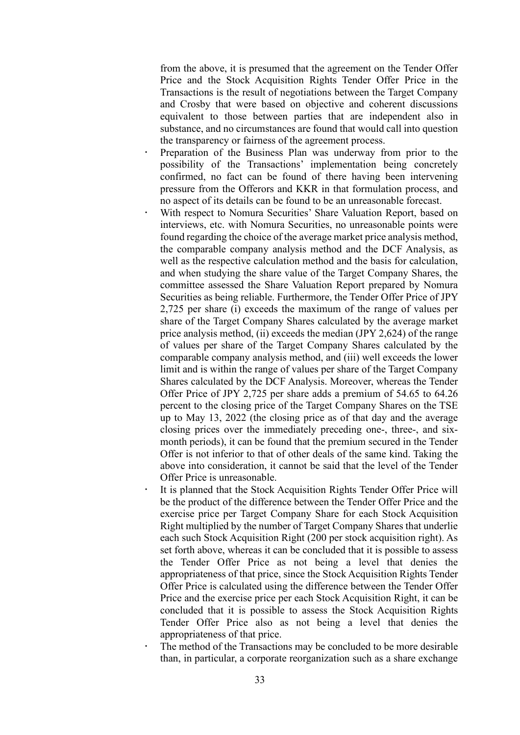from the above, it is presumed that the agreement on the Tender Offer Price and the Stock Acquisition Rights Tender Offer Price in the Transactions is the result of negotiations between the Target Company and Crosby that were based on objective and coherent discussions equivalent to those between parties that are independent also in substance, and no circumstances are found that would call into question the transparency or fairness of the agreement process.

- Preparation of the Business Plan was underway from prior to the possibility of the Transactions' implementation being concretely confirmed, no fact can be found of there having been intervening pressure from the Offerors and KKR in that formulation process, and no aspect of its details can be found to be an unreasonable forecast.
- With respect to Nomura Securities' Share Valuation Report, based on interviews, etc. with Nomura Securities, no unreasonable points were found regarding the choice of the average market price analysis method, the comparable company analysis method and the DCF Analysis, as well as the respective calculation method and the basis for calculation, and when studying the share value of the Target Company Shares, the committee assessed the Share Valuation Report prepared by Nomura Securities as being reliable. Furthermore, the Tender Offer Price of JPY 2,725 per share (i) exceeds the maximum of the range of values per share of the Target Company Shares calculated by the average market price analysis method, (ii) exceeds the median (JPY 2,624) of the range of values per share of the Target Company Shares calculated by the comparable company analysis method, and (iii) well exceeds the lower limit and is within the range of values per share of the Target Company Shares calculated by the DCF Analysis. Moreover, whereas the Tender Offer Price of JPY 2,725 per share adds a premium of 54.65 to 64.26 percent to the closing price of the Target Company Shares on the TSE up to May 13, 2022 (the closing price as of that day and the average closing prices over the immediately preceding one-, three-, and sixmonth periods), it can be found that the premium secured in the Tender Offer is not inferior to that of other deals of the same kind. Taking the above into consideration, it cannot be said that the level of the Tender Offer Price is unreasonable.
- It is planned that the Stock Acquisition Rights Tender Offer Price will be the product of the difference between the Tender Offer Price and the exercise price per Target Company Share for each Stock Acquisition Right multiplied by the number of Target Company Shares that underlie each such Stock Acquisition Right (200 per stock acquisition right). As set forth above, whereas it can be concluded that it is possible to assess the Tender Offer Price as not being a level that denies the appropriateness of that price, since the Stock Acquisition Rights Tender Offer Price is calculated using the difference between the Tender Offer Price and the exercise price per each Stock Acquisition Right, it can be concluded that it is possible to assess the Stock Acquisition Rights Tender Offer Price also as not being a level that denies the appropriateness of that price.
- The method of the Transactions may be concluded to be more desirable than, in particular, a corporate reorganization such as a share exchange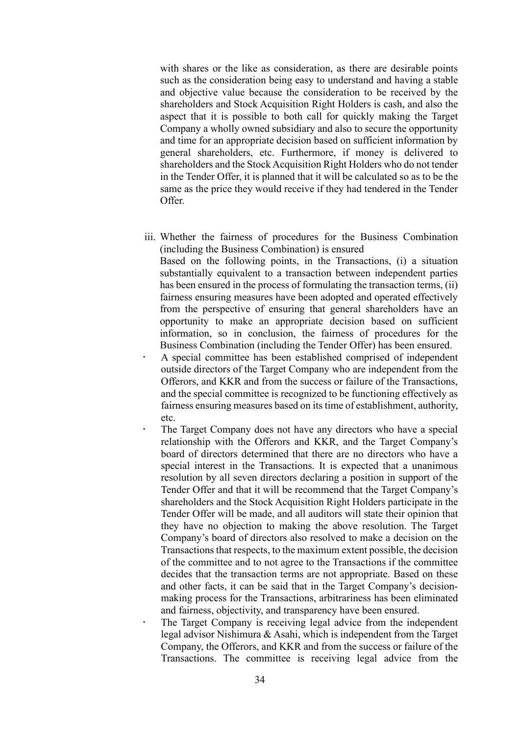with shares or the like as consideration, as there are desirable points such as the consideration being easy to understand and having a stable and objective value because the consideration to be received by the shareholders and Stock Acquisition Right Holders is cash, and also the aspect that it is possible to both call for quickly making the Target Company a wholly owned subsidiary and also to secure the opportunity and time for an appropriate decision based on sufficient information by general shareholders, etc. Furthermore, if money is delivered to shareholders and the Stock Acquisition Right Holders who do not tender in the Tender Offer, it is planned that it will be calculated so as to be the same as the price they would receive if they had tendered in the Tender Offer.

iii. Whether the fairness of procedures for the Business Combination (including the Business Combination) is ensured

Based on the following points, in the Transactions, (i) a situation substantially equivalent to a transaction between independent parties has been ensured in the process of formulating the transaction terms, (ii) fairness ensuring measures have been adopted and operated effectively from the perspective of ensuring that general shareholders have an opportunity to make an appropriate decision based on sufficient information, so in conclusion, the fairness of procedures for the Business Combination (including the Tender Offer) has been ensured.

- A special committee has been established comprised of independent outside directors of the Target Company who are independent from the Offerors, and KKR and from the success or failure of the Transactions, and the special committee is recognized to be functioning effectively as fairness ensuring measures based on its time of establishment, authority, etc.
- The Target Company does not have any directors who have a special relationship with the Offerors and KKR, and the Target Company's board of directors determined that there are no directors who have a special interest in the Transactions. It is expected that a unanimous resolution by all seven directors declaring a position in support of the Tender Offer and that it will be recommend that the Target Company's shareholders and the Stock Acquisition Right Holders participate in the Tender Offer will be made, and all auditors will state their opinion that they have no objection to making the above resolution. The Target Company's board of directors also resolved to make a decision on the Transactions that respects, to the maximum extent possible, the decision of the committee and to not agree to the Transactions if the committee decides that the transaction terms are not appropriate. Based on these and other facts, it can be said that in the Target Company's decisionmaking process for the Transactions, arbitrariness has been eliminated and fairness, objectivity, and transparency have been ensured.
- The Target Company is receiving legal advice from the independent legal advisor Nishimura & Asahi, which is independent from the Target Company, the Offerors, and KKR and from the success or failure of the Transactions. The committee is receiving legal advice from the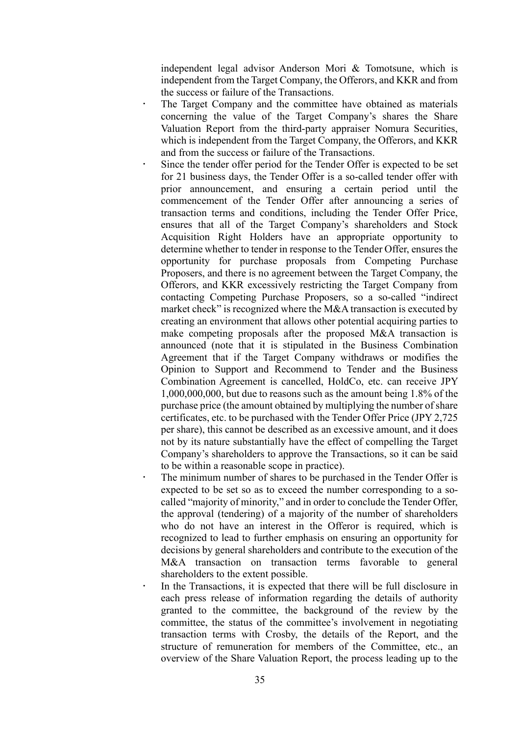independent legal advisor Anderson Mori & Tomotsune, which is independent from the Target Company, the Offerors, and KKR and from the success or failure of the Transactions.

- The Target Company and the committee have obtained as materials concerning the value of the Target Company's shares the Share Valuation Report from the third-party appraiser Nomura Securities, which is independent from the Target Company, the Offerors, and KKR and from the success or failure of the Transactions.
	- Since the tender offer period for the Tender Offer is expected to be set for 21 business days, the Tender Offer is a so-called tender offer with prior announcement, and ensuring a certain period until the commencement of the Tender Offer after announcing a series of transaction terms and conditions, including the Tender Offer Price, ensures that all of the Target Company's shareholders and Stock Acquisition Right Holders have an appropriate opportunity to determine whether to tender in response to the Tender Offer, ensures the opportunity for purchase proposals from Competing Purchase Proposers, and there is no agreement between the Target Company, the Offerors, and KKR excessively restricting the Target Company from contacting Competing Purchase Proposers, so a so-called "indirect market check" is recognized where the M&A transaction is executed by creating an environment that allows other potential acquiring parties to make competing proposals after the proposed M&A transaction is announced (note that it is stipulated in the Business Combination Agreement that if the Target Company withdraws or modifies the Opinion to Support and Recommend to Tender and the Business Combination Agreement is cancelled, HoldCo, etc. can receive JPY 1,000,000,000, but due to reasons such as the amount being 1.8% of the purchase price (the amount obtained by multiplying the number of share certificates, etc. to be purchased with the Tender Offer Price (JPY 2,725 per share), this cannot be described as an excessive amount, and it does not by its nature substantially have the effect of compelling the Target Company's shareholders to approve the Transactions, so it can be said to be within a reasonable scope in practice).
- The minimum number of shares to be purchased in the Tender Offer is expected to be set so as to exceed the number corresponding to a socalled "majority of minority," and in order to conclude the Tender Offer, the approval (tendering) of a majority of the number of shareholders who do not have an interest in the Offeror is required, which is recognized to lead to further emphasis on ensuring an opportunity for decisions by general shareholders and contribute to the execution of the M&A transaction on transaction terms favorable to general shareholders to the extent possible.
- In the Transactions, it is expected that there will be full disclosure in each press release of information regarding the details of authority granted to the committee, the background of the review by the committee, the status of the committee's involvement in negotiating transaction terms with Crosby, the details of the Report, and the structure of remuneration for members of the Committee, etc., an overview of the Share Valuation Report, the process leading up to the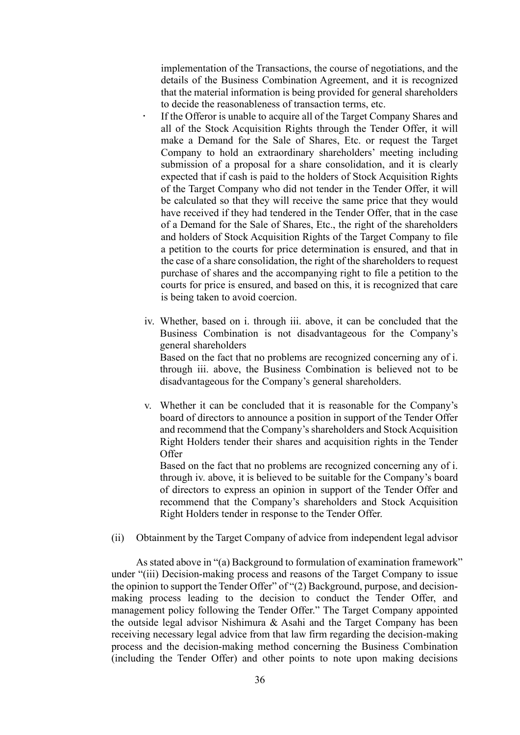implementation of the Transactions, the course of negotiations, and the details of the Business Combination Agreement, and it is recognized that the material information is being provided for general shareholders to decide the reasonableness of transaction terms, etc.

- If the Offeror is unable to acquire all of the Target Company Shares and all of the Stock Acquisition Rights through the Tender Offer, it will make a Demand for the Sale of Shares, Etc. or request the Target Company to hold an extraordinary shareholders' meeting including submission of a proposal for a share consolidation, and it is clearly expected that if cash is paid to the holders of Stock Acquisition Rights of the Target Company who did not tender in the Tender Offer, it will be calculated so that they will receive the same price that they would have received if they had tendered in the Tender Offer, that in the case of a Demand for the Sale of Shares, Etc., the right of the shareholders and holders of Stock Acquisition Rights of the Target Company to file a petition to the courts for price determination is ensured, and that in the case of a share consolidation, the right of the shareholders to request purchase of shares and the accompanying right to file a petition to the courts for price is ensured, and based on this, it is recognized that care is being taken to avoid coercion.
- iv. Whether, based on i. through iii. above, it can be concluded that the Business Combination is not disadvantageous for the Company's general shareholders Based on the fact that no problems are recognized concerning any of i. through iii. above, the Business Combination is believed not to be

disadvantageous for the Company's general shareholders.

v. Whether it can be concluded that it is reasonable for the Company's board of directors to announce a position in support of the Tender Offer and recommend that the Company's shareholders and Stock Acquisition Right Holders tender their shares and acquisition rights in the Tender **Offer** 

Based on the fact that no problems are recognized concerning any of i. through iv. above, it is believed to be suitable for the Company's board of directors to express an opinion in support of the Tender Offer and recommend that the Company's shareholders and Stock Acquisition Right Holders tender in response to the Tender Offer.

(ii) Obtainment by the Target Company of advice from independent legal advisor

As stated above in "(a) Background to formulation of examination framework" under "(iii) Decision-making process and reasons of the Target Company to issue the opinion to support the Tender Offer" of "(2) Background, purpose, and decisionmaking process leading to the decision to conduct the Tender Offer, and management policy following the Tender Offer." The Target Company appointed the outside legal advisor Nishimura & Asahi and the Target Company has been receiving necessary legal advice from that law firm regarding the decision-making process and the decision-making method concerning the Business Combination (including the Tender Offer) and other points to note upon making decisions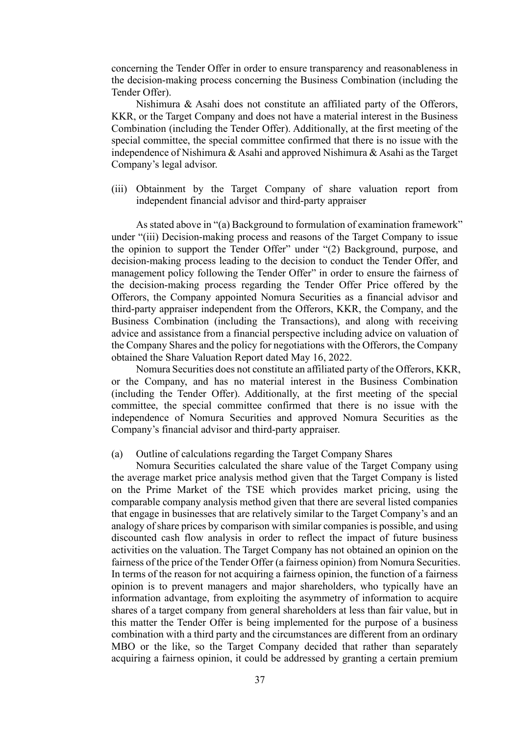concerning the Tender Offer in order to ensure transparency and reasonableness in the decision-making process concerning the Business Combination (including the Tender Offer).

Nishimura & Asahi does not constitute an affiliated party of the Offerors, KKR, or the Target Company and does not have a material interest in the Business Combination (including the Tender Offer). Additionally, at the first meeting of the special committee, the special committee confirmed that there is no issue with the independence of Nishimura & Asahi and approved Nishimura & Asahi as the Target Company's legal advisor.

(iii) Obtainment by the Target Company of share valuation report from independent financial advisor and third-party appraiser

As stated above in "(a) Background to formulation of examination framework" under "(iii) Decision-making process and reasons of the Target Company to issue the opinion to support the Tender Offer" under "(2) Background, purpose, and decision-making process leading to the decision to conduct the Tender Offer, and management policy following the Tender Offer" in order to ensure the fairness of the decision-making process regarding the Tender Offer Price offered by the Offerors, the Company appointed Nomura Securities as a financial advisor and third-party appraiser independent from the Offerors, KKR, the Company, and the Business Combination (including the Transactions), and along with receiving advice and assistance from a financial perspective including advice on valuation of the Company Shares and the policy for negotiations with the Offerors, the Company obtained the Share Valuation Report dated May 16, 2022.

Nomura Securities does not constitute an affiliated party of the Offerors, KKR, or the Company, and has no material interest in the Business Combination (including the Tender Offer). Additionally, at the first meeting of the special committee, the special committee confirmed that there is no issue with the independence of Nomura Securities and approved Nomura Securities as the Company's financial advisor and third-party appraiser.

## (a) Outline of calculations regarding the Target Company Shares

Nomura Securities calculated the share value of the Target Company using the average market price analysis method given that the Target Company is listed on the Prime Market of the TSE which provides market pricing, using the comparable company analysis method given that there are several listed companies that engage in businesses that are relatively similar to the Target Company's and an analogy of share prices by comparison with similar companies is possible, and using discounted cash flow analysis in order to reflect the impact of future business activities on the valuation. The Target Company has not obtained an opinion on the fairness of the price of the Tender Offer (a fairness opinion) from Nomura Securities. In terms of the reason for not acquiring a fairness opinion, the function of a fairness opinion is to prevent managers and major shareholders, who typically have an information advantage, from exploiting the asymmetry of information to acquire shares of a target company from general shareholders at less than fair value, but in this matter the Tender Offer is being implemented for the purpose of a business combination with a third party and the circumstances are different from an ordinary MBO or the like, so the Target Company decided that rather than separately acquiring a fairness opinion, it could be addressed by granting a certain premium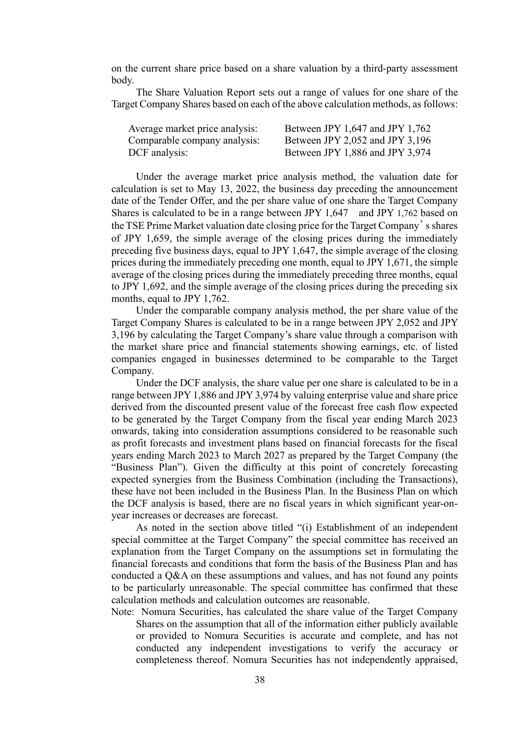on the current share price based on a share valuation by a third-party assessment body.

The Share Valuation Report sets out a range of values for one share of the Target Company Shares based on each of the above calculation methods, as follows:

| Average market price analysis: | Between JPY 1,647 and JPY 1,762 |
|--------------------------------|---------------------------------|
| Comparable company analysis:   | Between JPY 2,052 and JPY 3,196 |
| DCF analysis:                  | Between JPY 1,886 and JPY 3,974 |

Under the average market price analysis method, the valuation date for calculation is set to May 13, 2022, the business day preceding the announcement date of the Tender Offer, and the per share value of one share the Target Company Shares is calculated to be in a range between JPY 1,647 and JPY 1,762 based on the TSE Prime Market valuation date closing price for the Target Company's shares of JPY 1,659, the simple average of the closing prices during the immediately preceding five business days, equal to JPY 1,647, the simple average of the closing prices during the immediately preceding one month, equal to JPY 1,671, the simple average of the closing prices during the immediately preceding three months, equal to JPY 1,692, and the simple average of the closing prices during the preceding six months, equal to JPY 1,762.

Under the comparable company analysis method, the per share value of the Target Company Shares is calculated to be in a range between JPY 2,052 and JPY 3,196 by calculating the Target Company's share value through a comparison with the market share price and financial statements showing earnings, etc. of listed companies engaged in businesses determined to be comparable to the Target Company.

Under the DCF analysis, the share value per one share is calculated to be in a range between JPY 1,886 and JPY 3,974 by valuing enterprise value and share price derived from the discounted present value of the forecast free cash flow expected to be generated by the Target Company from the fiscal year ending March 2023 onwards, taking into consideration assumptions considered to be reasonable such as profit forecasts and investment plans based on financial forecasts for the fiscal years ending March 2023 to March 2027 as prepared by the Target Company (the "Business Plan"). Given the difficulty at this point of concretely forecasting expected synergies from the Business Combination (including the Transactions), these have not been included in the Business Plan. In the Business Plan on which the DCF analysis is based, there are no fiscal years in which significant year-onyear increases or decreases are forecast.

As noted in the section above titled "(i) Establishment of an independent special committee at the Target Company" the special committee has received an explanation from the Target Company on the assumptions set in formulating the financial forecasts and conditions that form the basis of the Business Plan and has conducted a Q&A on these assumptions and values, and has not found any points to be particularly unreasonable. The special committee has confirmed that these calculation methods and calculation outcomes are reasonable.

Note: Nomura Securities, has calculated the share value of the Target Company Shares on the assumption that all of the information either publicly available or provided to Nomura Securities is accurate and complete, and has not conducted any independent investigations to verify the accuracy or completeness thereof. Nomura Securities has not independently appraised,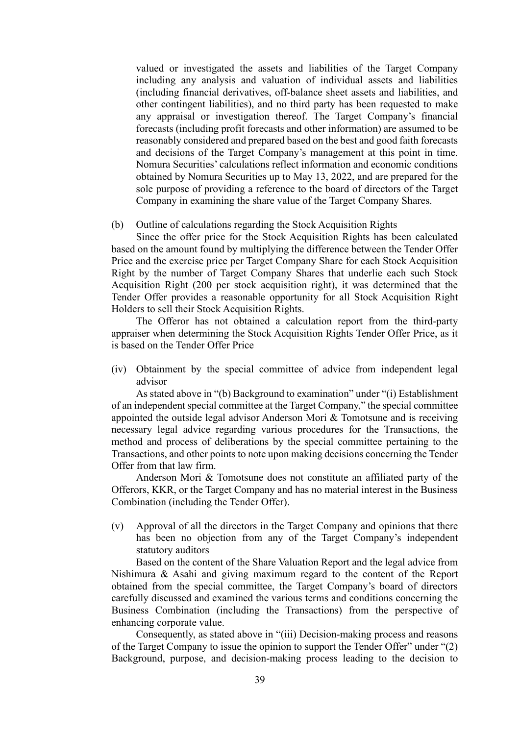valued or investigated the assets and liabilities of the Target Company including any analysis and valuation of individual assets and liabilities (including financial derivatives, off-balance sheet assets and liabilities, and other contingent liabilities), and no third party has been requested to make any appraisal or investigation thereof. The Target Company's financial forecasts (including profit forecasts and other information) are assumed to be reasonably considered and prepared based on the best and good faith forecasts and decisions of the Target Company's management at this point in time. Nomura Securities' calculations reflect information and economic conditions obtained by Nomura Securities up to May 13, 2022, and are prepared for the sole purpose of providing a reference to the board of directors of the Target Company in examining the share value of the Target Company Shares.

#### (b) Outline of calculations regarding the Stock Acquisition Rights

Since the offer price for the Stock Acquisition Rights has been calculated based on the amount found by multiplying the difference between the Tender Offer Price and the exercise price per Target Company Share for each Stock Acquisition Right by the number of Target Company Shares that underlie each such Stock Acquisition Right (200 per stock acquisition right), it was determined that the Tender Offer provides a reasonable opportunity for all Stock Acquisition Right Holders to sell their Stock Acquisition Rights.

The Offeror has not obtained a calculation report from the third-party appraiser when determining the Stock Acquisition Rights Tender Offer Price, as it is based on the Tender Offer Price

(iv) Obtainment by the special committee of advice from independent legal advisor

As stated above in "(b) Background to examination" under "(i) Establishment of an independent special committee at the Target Company," the special committee appointed the outside legal advisor Anderson Mori & Tomotsune and is receiving necessary legal advice regarding various procedures for the Transactions, the method and process of deliberations by the special committee pertaining to the Transactions, and other points to note upon making decisions concerning the Tender Offer from that law firm.

Anderson Mori & Tomotsune does not constitute an affiliated party of the Offerors, KKR, or the Target Company and has no material interest in the Business Combination (including the Tender Offer).

(v) Approval of all the directors in the Target Company and opinions that there has been no objection from any of the Target Company's independent statutory auditors

Based on the content of the Share Valuation Report and the legal advice from Nishimura & Asahi and giving maximum regard to the content of the Report obtained from the special committee, the Target Company's board of directors carefully discussed and examined the various terms and conditions concerning the Business Combination (including the Transactions) from the perspective of enhancing corporate value.

Consequently, as stated above in "(iii) Decision-making process and reasons of the Target Company to issue the opinion to support the Tender Offer" under "(2) Background, purpose, and decision-making process leading to the decision to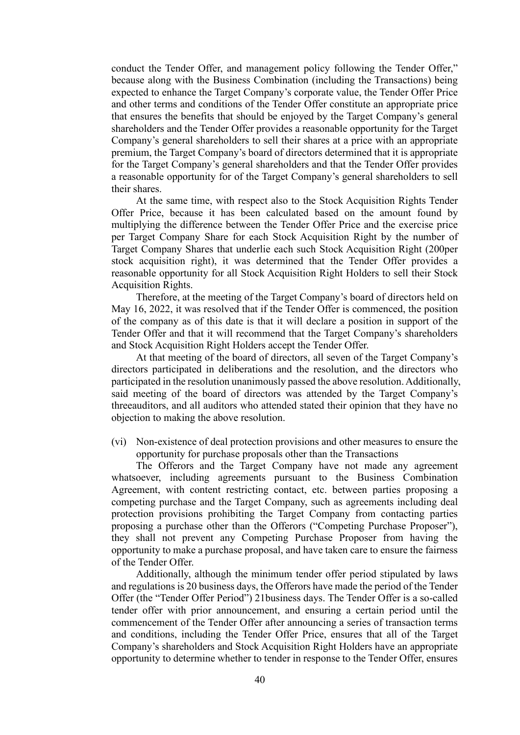conduct the Tender Offer, and management policy following the Tender Offer," because along with the Business Combination (including the Transactions) being expected to enhance the Target Company's corporate value, the Tender Offer Price and other terms and conditions of the Tender Offer constitute an appropriate price that ensures the benefits that should be enjoyed by the Target Company's general shareholders and the Tender Offer provides a reasonable opportunity for the Target Company's general shareholders to sell their shares at a price with an appropriate premium, the Target Company's board of directors determined that it is appropriate for the Target Company's general shareholders and that the Tender Offer provides a reasonable opportunity for of the Target Company's general shareholders to sell their shares.

At the same time, with respect also to the Stock Acquisition Rights Tender Offer Price, because it has been calculated based on the amount found by multiplying the difference between the Tender Offer Price and the exercise price per Target Company Share for each Stock Acquisition Right by the number of Target Company Shares that underlie each such Stock Acquisition Right (200per stock acquisition right), it was determined that the Tender Offer provides a reasonable opportunity for all Stock Acquisition Right Holders to sell their Stock Acquisition Rights.

Therefore, at the meeting of the Target Company's board of directors held on May 16, 2022, it was resolved that if the Tender Offer is commenced, the position of the company as of this date is that it will declare a position in support of the Tender Offer and that it will recommend that the Target Company's shareholders and Stock Acquisition Right Holders accept the Tender Offer.

At that meeting of the board of directors, all seven of the Target Company's directors participated in deliberations and the resolution, and the directors who participated in the resolution unanimously passed the above resolution. Additionally, said meeting of the board of directors was attended by the Target Company's threeauditors, and all auditors who attended stated their opinion that they have no objection to making the above resolution.

(vi) Non-existence of deal protection provisions and other measures to ensure the opportunity for purchase proposals other than the Transactions

The Offerors and the Target Company have not made any agreement whatsoever, including agreements pursuant to the Business Combination Agreement, with content restricting contact, etc. between parties proposing a competing purchase and the Target Company, such as agreements including deal protection provisions prohibiting the Target Company from contacting parties proposing a purchase other than the Offerors ("Competing Purchase Proposer"), they shall not prevent any Competing Purchase Proposer from having the opportunity to make a purchase proposal, and have taken care to ensure the fairness of the Tender Offer.

Additionally, although the minimum tender offer period stipulated by laws and regulations is 20 business days, the Offerors have made the period of the Tender Offer (the "Tender Offer Period") 21business days. The Tender Offer is a so-called tender offer with prior announcement, and ensuring a certain period until the commencement of the Tender Offer after announcing a series of transaction terms and conditions, including the Tender Offer Price, ensures that all of the Target Company's shareholders and Stock Acquisition Right Holders have an appropriate opportunity to determine whether to tender in response to the Tender Offer, ensures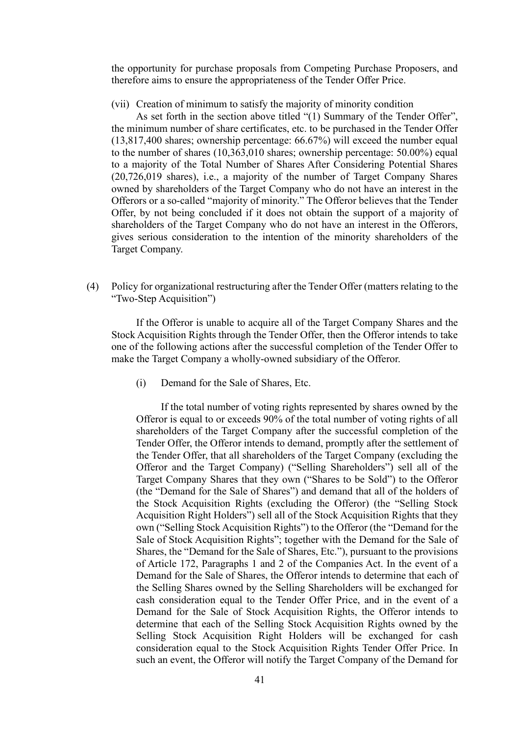the opportunity for purchase proposals from Competing Purchase Proposers, and therefore aims to ensure the appropriateness of the Tender Offer Price.

(vii) Creation of minimum to satisfy the majority of minority condition

As set forth in the section above titled "(1) Summary of the Tender Offer", the minimum number of share certificates, etc. to be purchased in the Tender Offer (13,817,400 shares; ownership percentage: 66.67%) will exceed the number equal to the number of shares (10,363,010 shares; ownership percentage: 50.00%) equal to a majority of the Total Number of Shares After Considering Potential Shares (20,726,019 shares), i.e., a majority of the number of Target Company Shares owned by shareholders of the Target Company who do not have an interest in the Offerors or a so-called "majority of minority." The Offeror believes that the Tender Offer, by not being concluded if it does not obtain the support of a majority of shareholders of the Target Company who do not have an interest in the Offerors, gives serious consideration to the intention of the minority shareholders of the Target Company.

(4) Policy for organizational restructuring after the Tender Offer (matters relating to the "Two-Step Acquisition")

If the Offeror is unable to acquire all of the Target Company Shares and the Stock Acquisition Rights through the Tender Offer, then the Offeror intends to take one of the following actions after the successful completion of the Tender Offer to make the Target Company a wholly-owned subsidiary of the Offeror.

(i) Demand for the Sale of Shares, Etc.

If the total number of voting rights represented by shares owned by the Offeror is equal to or exceeds 90% of the total number of voting rights of all shareholders of the Target Company after the successful completion of the Tender Offer, the Offeror intends to demand, promptly after the settlement of the Tender Offer, that all shareholders of the Target Company (excluding the Offeror and the Target Company) ("Selling Shareholders") sell all of the Target Company Shares that they own ("Shares to be Sold") to the Offeror (the "Demand for the Sale of Shares") and demand that all of the holders of the Stock Acquisition Rights (excluding the Offeror) (the "Selling Stock Acquisition Right Holders") sell all of the Stock Acquisition Rights that they own ("Selling Stock Acquisition Rights") to the Offeror (the "Demand for the Sale of Stock Acquisition Rights"; together with the Demand for the Sale of Shares, the "Demand for the Sale of Shares, Etc."), pursuant to the provisions of Article 172, Paragraphs 1 and 2 of the Companies Act. In the event of a Demand for the Sale of Shares, the Offeror intends to determine that each of the Selling Shares owned by the Selling Shareholders will be exchanged for cash consideration equal to the Tender Offer Price, and in the event of a Demand for the Sale of Stock Acquisition Rights, the Offeror intends to determine that each of the Selling Stock Acquisition Rights owned by the Selling Stock Acquisition Right Holders will be exchanged for cash consideration equal to the Stock Acquisition Rights Tender Offer Price. In such an event, the Offeror will notify the Target Company of the Demand for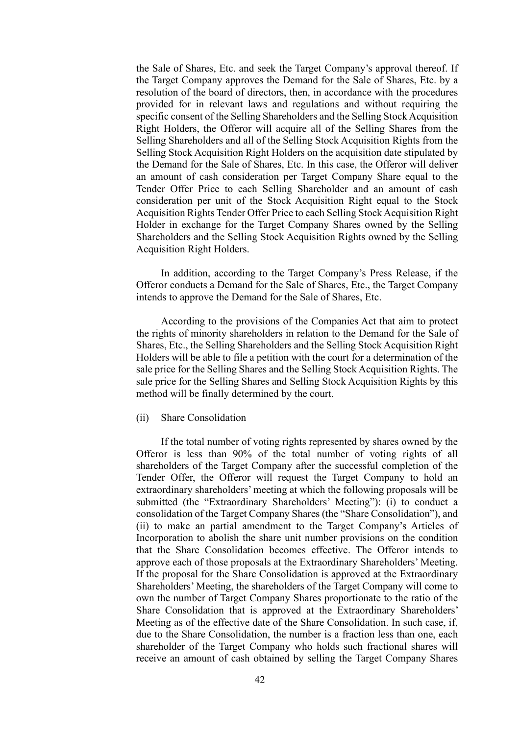the Sale of Shares, Etc. and seek the Target Company's approval thereof. If the Target Company approves the Demand for the Sale of Shares, Etc. by a resolution of the board of directors, then, in accordance with the procedures provided for in relevant laws and regulations and without requiring the specific consent of the Selling Shareholders and the Selling Stock Acquisition Right Holders, the Offeror will acquire all of the Selling Shares from the Selling Shareholders and all of the Selling Stock Acquisition Rights from the Selling Stock Acquisition Right Holders on the acquisition date stipulated by the Demand for the Sale of Shares, Etc. In this case, the Offeror will deliver an amount of cash consideration per Target Company Share equal to the Tender Offer Price to each Selling Shareholder and an amount of cash consideration per unit of the Stock Acquisition Right equal to the Stock Acquisition Rights Tender Offer Price to each Selling Stock Acquisition Right Holder in exchange for the Target Company Shares owned by the Selling Shareholders and the Selling Stock Acquisition Rights owned by the Selling Acquisition Right Holders.

In addition, according to the Target Company's Press Release, if the Offeror conducts a Demand for the Sale of Shares, Etc., the Target Company intends to approve the Demand for the Sale of Shares, Etc.

According to the provisions of the Companies Act that aim to protect the rights of minority shareholders in relation to the Demand for the Sale of Shares, Etc., the Selling Shareholders and the Selling Stock Acquisition Right Holders will be able to file a petition with the court for a determination of the sale price for the Selling Shares and the Selling Stock Acquisition Rights. The sale price for the Selling Shares and Selling Stock Acquisition Rights by this method will be finally determined by the court.

#### (ii) Share Consolidation

If the total number of voting rights represented by shares owned by the Offeror is less than 90% of the total number of voting rights of all shareholders of the Target Company after the successful completion of the Tender Offer, the Offeror will request the Target Company to hold an extraordinary shareholders' meeting at which the following proposals will be submitted (the "Extraordinary Shareholders' Meeting"): (i) to conduct a consolidation of the Target Company Shares (the "Share Consolidation"), and (ii) to make an partial amendment to the Target Company's Articles of Incorporation to abolish the share unit number provisions on the condition that the Share Consolidation becomes effective. The Offeror intends to approve each of those proposals at the Extraordinary Shareholders' Meeting. If the proposal for the Share Consolidation is approved at the Extraordinary Shareholders' Meeting, the shareholders of the Target Company will come to own the number of Target Company Shares proportionate to the ratio of the Share Consolidation that is approved at the Extraordinary Shareholders' Meeting as of the effective date of the Share Consolidation. In such case, if, due to the Share Consolidation, the number is a fraction less than one, each shareholder of the Target Company who holds such fractional shares will receive an amount of cash obtained by selling the Target Company Shares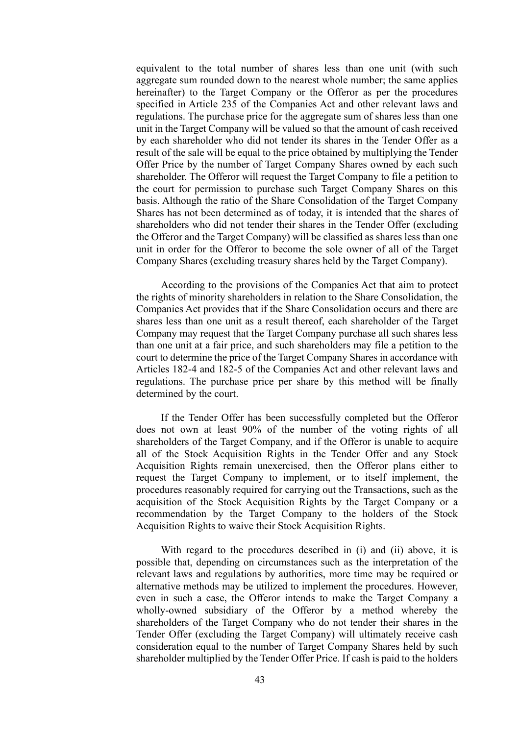equivalent to the total number of shares less than one unit (with such aggregate sum rounded down to the nearest whole number; the same applies hereinafter) to the Target Company or the Offeror as per the procedures specified in Article 235 of the Companies Act and other relevant laws and regulations. The purchase price for the aggregate sum of shares less than one unit in the Target Company will be valued so that the amount of cash received by each shareholder who did not tender its shares in the Tender Offer as a result of the sale will be equal to the price obtained by multiplying the Tender Offer Price by the number of Target Company Shares owned by each such shareholder. The Offeror will request the Target Company to file a petition to the court for permission to purchase such Target Company Shares on this basis. Although the ratio of the Share Consolidation of the Target Company Shares has not been determined as of today, it is intended that the shares of shareholders who did not tender their shares in the Tender Offer (excluding the Offeror and the Target Company) will be classified as shares less than one unit in order for the Offeror to become the sole owner of all of the Target Company Shares (excluding treasury shares held by the Target Company).

According to the provisions of the Companies Act that aim to protect the rights of minority shareholders in relation to the Share Consolidation, the Companies Act provides that if the Share Consolidation occurs and there are shares less than one unit as a result thereof, each shareholder of the Target Company may request that the Target Company purchase all such shares less than one unit at a fair price, and such shareholders may file a petition to the court to determine the price of the Target Company Shares in accordance with Articles 182-4 and 182-5 of the Companies Act and other relevant laws and regulations. The purchase price per share by this method will be finally determined by the court.

If the Tender Offer has been successfully completed but the Offeror does not own at least 90% of the number of the voting rights of all shareholders of the Target Company, and if the Offeror is unable to acquire all of the Stock Acquisition Rights in the Tender Offer and any Stock Acquisition Rights remain unexercised, then the Offeror plans either to request the Target Company to implement, or to itself implement, the procedures reasonably required for carrying out the Transactions, such as the acquisition of the Stock Acquisition Rights by the Target Company or a recommendation by the Target Company to the holders of the Stock Acquisition Rights to waive their Stock Acquisition Rights.

With regard to the procedures described in (i) and (ii) above, it is possible that, depending on circumstances such as the interpretation of the relevant laws and regulations by authorities, more time may be required or alternative methods may be utilized to implement the procedures. However, even in such a case, the Offeror intends to make the Target Company a wholly-owned subsidiary of the Offeror by a method whereby the shareholders of the Target Company who do not tender their shares in the Tender Offer (excluding the Target Company) will ultimately receive cash consideration equal to the number of Target Company Shares held by such shareholder multiplied by the Tender Offer Price. If cash is paid to the holders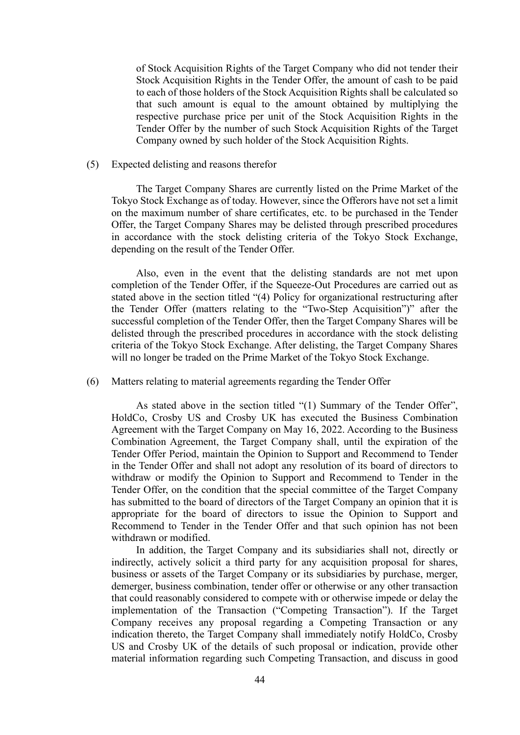of Stock Acquisition Rights of the Target Company who did not tender their Stock Acquisition Rights in the Tender Offer, the amount of cash to be paid to each of those holders of the Stock Acquisition Rights shall be calculated so that such amount is equal to the amount obtained by multiplying the respective purchase price per unit of the Stock Acquisition Rights in the Tender Offer by the number of such Stock Acquisition Rights of the Target Company owned by such holder of the Stock Acquisition Rights.

### (5) Expected delisting and reasons therefor

The Target Company Shares are currently listed on the Prime Market of the Tokyo Stock Exchange as of today. However, since the Offerors have not set a limit on the maximum number of share certificates, etc. to be purchased in the Tender Offer, the Target Company Shares may be delisted through prescribed procedures in accordance with the stock delisting criteria of the Tokyo Stock Exchange, depending on the result of the Tender Offer.

Also, even in the event that the delisting standards are not met upon completion of the Tender Offer, if the Squeeze-Out Procedures are carried out as stated above in the section titled "(4) Policy for organizational restructuring after the Tender Offer (matters relating to the "Two-Step Acquisition")" after the successful completion of the Tender Offer, then the Target Company Shares will be delisted through the prescribed procedures in accordance with the stock delisting criteria of the Tokyo Stock Exchange. After delisting, the Target Company Shares will no longer be traded on the Prime Market of the Tokyo Stock Exchange.

(6) Matters relating to material agreements regarding the Tender Offer

As stated above in the section titled "(1) Summary of the Tender Offer", HoldCo, Crosby US and Crosby UK has executed the Business Combination Agreement with the Target Company on May 16, 2022. According to the Business Combination Agreement, the Target Company shall, until the expiration of the Tender Offer Period, maintain the Opinion to Support and Recommend to Tender in the Tender Offer and shall not adopt any resolution of its board of directors to withdraw or modify the Opinion to Support and Recommend to Tender in the Tender Offer, on the condition that the special committee of the Target Company has submitted to the board of directors of the Target Company an opinion that it is appropriate for the board of directors to issue the Opinion to Support and Recommend to Tender in the Tender Offer and that such opinion has not been withdrawn or modified.

In addition, the Target Company and its subsidiaries shall not, directly or indirectly, actively solicit a third party for any acquisition proposal for shares, business or assets of the Target Company or its subsidiaries by purchase, merger, demerger, business combination, tender offer or otherwise or any other transaction that could reasonably considered to compete with or otherwise impede or delay the implementation of the Transaction ("Competing Transaction"). If the Target Company receives any proposal regarding a Competing Transaction or any indication thereto, the Target Company shall immediately notify HoldCo, Crosby US and Crosby UK of the details of such proposal or indication, provide other material information regarding such Competing Transaction, and discuss in good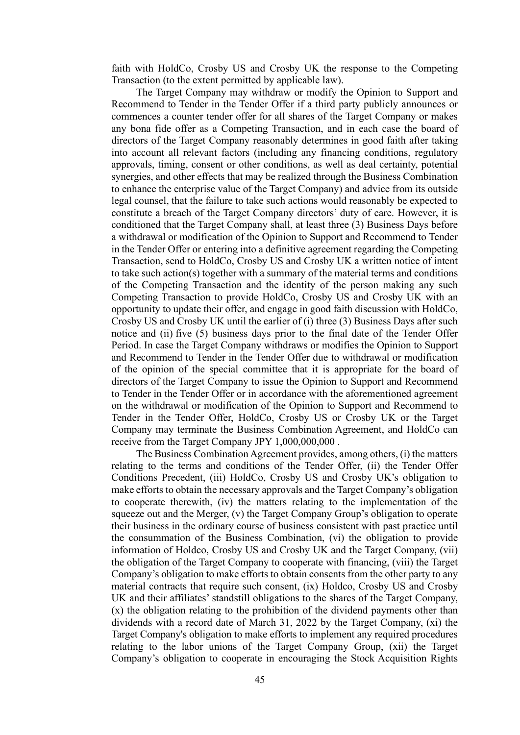faith with HoldCo, Crosby US and Crosby UK the response to the Competing Transaction (to the extent permitted by applicable law).

The Target Company may withdraw or modify the Opinion to Support and Recommend to Tender in the Tender Offer if a third party publicly announces or commences a counter tender offer for all shares of the Target Company or makes any bona fide offer as a Competing Transaction, and in each case the board of directors of the Target Company reasonably determines in good faith after taking into account all relevant factors (including any financing conditions, regulatory approvals, timing, consent or other conditions, as well as deal certainty, potential synergies, and other effects that may be realized through the Business Combination to enhance the enterprise value of the Target Company) and advice from its outside legal counsel, that the failure to take such actions would reasonably be expected to constitute a breach of the Target Company directors' duty of care. However, it is conditioned that the Target Company shall, at least three (3) Business Days before a withdrawal or modification of the Opinion to Support and Recommend to Tender in the Tender Offer or entering into a definitive agreement regarding the Competing Transaction, send to HoldCo, Crosby US and Crosby UK a written notice of intent to take such action(s) together with a summary of the material terms and conditions of the Competing Transaction and the identity of the person making any such Competing Transaction to provide HoldCo, Crosby US and Crosby UK with an opportunity to update their offer, and engage in good faith discussion with HoldCo, Crosby US and Crosby UK until the earlier of (i) three (3) Business Days after such notice and (ii) five (5) business days prior to the final date of the Tender Offer Period. In case the Target Company withdraws or modifies the Opinion to Support and Recommend to Tender in the Tender Offer due to withdrawal or modification of the opinion of the special committee that it is appropriate for the board of directors of the Target Company to issue the Opinion to Support and Recommend to Tender in the Tender Offer or in accordance with the aforementioned agreement on the withdrawal or modification of the Opinion to Support and Recommend to Tender in the Tender Offer, HoldCo, Crosby US or Crosby UK or the Target Company may terminate the Business Combination Agreement, and HoldCo can receive from the Target Company JPY 1,000,000,000.

The Business Combination Agreement provides, among others, (i) the matters relating to the terms and conditions of the Tender Offer, (ii) the Tender Offer Conditions Precedent, (iii) HoldCo, Crosby US and Crosby UK's obligation to make efforts to obtain the necessary approvals and the Target Company's obligation to cooperate therewith, (iv) the matters relating to the implementation of the squeeze out and the Merger, (v) the Target Company Group's obligation to operate their business in the ordinary course of business consistent with past practice until the consummation of the Business Combination, (vi) the obligation to provide information of Holdco, Crosby US and Crosby UK and the Target Company, (vii) the obligation of the Target Company to cooperate with financing, (viii) the Target Company's obligation to make efforts to obtain consents from the other party to any material contracts that require such consent, (ix) Holdco, Crosby US and Crosby UK and their affiliates' standstill obligations to the shares of the Target Company, (x) the obligation relating to the prohibition of the dividend payments other than dividends with a record date of March 31, 2022 by the Target Company, (xi) the Target Company's obligation to make efforts to implement any required procedures relating to the labor unions of the Target Company Group, (xii) the Target Company's obligation to cooperate in encouraging the Stock Acquisition Rights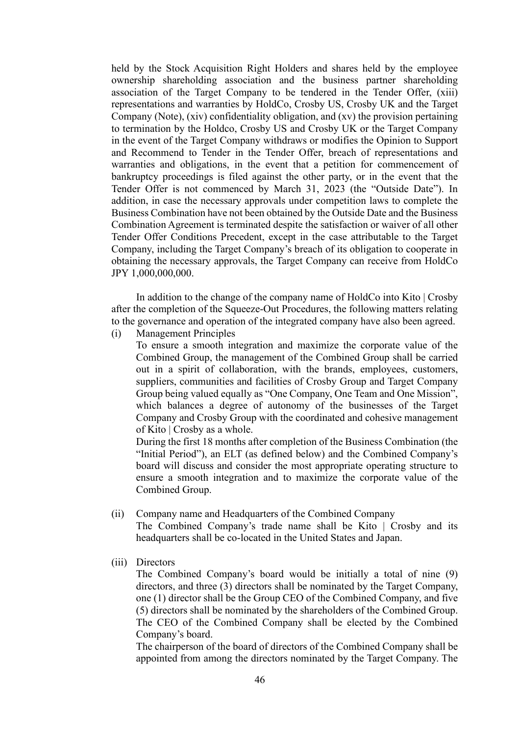held by the Stock Acquisition Right Holders and shares held by the employee ownership shareholding association and the business partner shareholding association of the Target Company to be tendered in the Tender Offer, (xiii) representations and warranties by HoldCo, Crosby US, Crosby UK and the Target Company (Note), (xiv) confidentiality obligation, and (xv) the provision pertaining to termination by the Holdco, Crosby US and Crosby UK or the Target Company in the event of the Target Company withdraws or modifies the Opinion to Support and Recommend to Tender in the Tender Offer, breach of representations and warranties and obligations, in the event that a petition for commencement of bankruptcy proceedings is filed against the other party, or in the event that the Tender Offer is not commenced by March 31, 2023 (the "Outside Date"). In addition, in case the necessary approvals under competition laws to complete the Business Combination have not been obtained by the Outside Date and the Business Combination Agreement is terminated despite the satisfaction or waiver of all other Tender Offer Conditions Precedent, except in the case attributable to the Target Company, including the Target Company's breach of its obligation to cooperate in obtaining the necessary approvals, the Target Company can receive from HoldCo JPY 1,000,000,000.

In addition to the change of the company name of HoldCo into Kito | Crosby after the completion of the Squeeze-Out Procedures, the following matters relating to the governance and operation of the integrated company have also been agreed.

(i) Management Principles

To ensure a smooth integration and maximize the corporate value of the Combined Group, the management of the Combined Group shall be carried out in a spirit of collaboration, with the brands, employees, customers, suppliers, communities and facilities of Crosby Group and Target Company Group being valued equally as "One Company, One Team and One Mission", which balances a degree of autonomy of the businesses of the Target Company and Crosby Group with the coordinated and cohesive management of Kito | Crosby as a whole.

During the first 18 months after completion of the Business Combination (the "Initial Period"), an ELT (as defined below) and the Combined Company's board will discuss and consider the most appropriate operating structure to ensure a smooth integration and to maximize the corporate value of the Combined Group.

(ii) Company name and Headquarters of the Combined Company

The Combined Company's trade name shall be Kito | Crosby and its headquarters shall be co-located in the United States and Japan.

(iii) Directors

The Combined Company's board would be initially a total of nine (9) directors, and three (3) directors shall be nominated by the Target Company, one (1) director shall be the Group CEO of the Combined Company, and five (5) directors shall be nominated by the shareholders of the Combined Group. The CEO of the Combined Company shall be elected by the Combined Company's board.

The chairperson of the board of directors of the Combined Company shall be appointed from among the directors nominated by the Target Company. The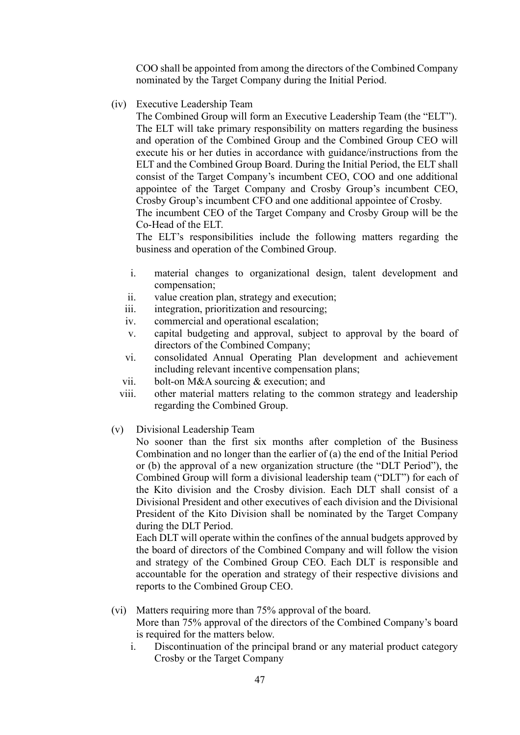COO shall be appointed from among the directors of the Combined Company nominated by the Target Company during the Initial Period.

(iv) Executive Leadership Team

The Combined Group will form an Executive Leadership Team (the "ELT"). The ELT will take primary responsibility on matters regarding the business and operation of the Combined Group and the Combined Group CEO will execute his or her duties in accordance with guidance/instructions from the ELT and the Combined Group Board. During the Initial Period, the ELT shall consist of the Target Company's incumbent CEO, COO and one additional appointee of the Target Company and Crosby Group's incumbent CEO, Crosby Group's incumbent CFO and one additional appointee of Crosby.

The incumbent CEO of the Target Company and Crosby Group will be the Co-Head of the ELT.

The ELT's responsibilities include the following matters regarding the business and operation of the Combined Group.

- i. material changes to organizational design, talent development and compensation;
- ii. value creation plan, strategy and execution;
- iii. integration, prioritization and resourcing;
- iv. commercial and operational escalation;
- v. capital budgeting and approval, subject to approval by the board of directors of the Combined Company;
- vi. consolidated Annual Operating Plan development and achievement including relevant incentive compensation plans;
- vii. bolt-on M&A sourcing & execution; and
- viii. other material matters relating to the common strategy and leadership regarding the Combined Group.
- (v) Divisional Leadership Team

No sooner than the first six months after completion of the Business Combination and no longer than the earlier of (a) the end of the Initial Period or (b) the approval of a new organization structure (the "DLT Period"), the Combined Group will form a divisional leadership team ("DLT") for each of the Kito division and the Crosby division. Each DLT shall consist of a Divisional President and other executives of each division and the Divisional President of the Kito Division shall be nominated by the Target Company during the DLT Period.

Each DLT will operate within the confines of the annual budgets approved by the board of directors of the Combined Company and will follow the vision and strategy of the Combined Group CEO. Each DLT is responsible and accountable for the operation and strategy of their respective divisions and reports to the Combined Group CEO.

- (vi) Matters requiring more than 75% approval of the board. More than 75% approval of the directors of the Combined Company's board is required for the matters below.
	- i. Discontinuation of the principal brand or any material product category Crosby or the Target Company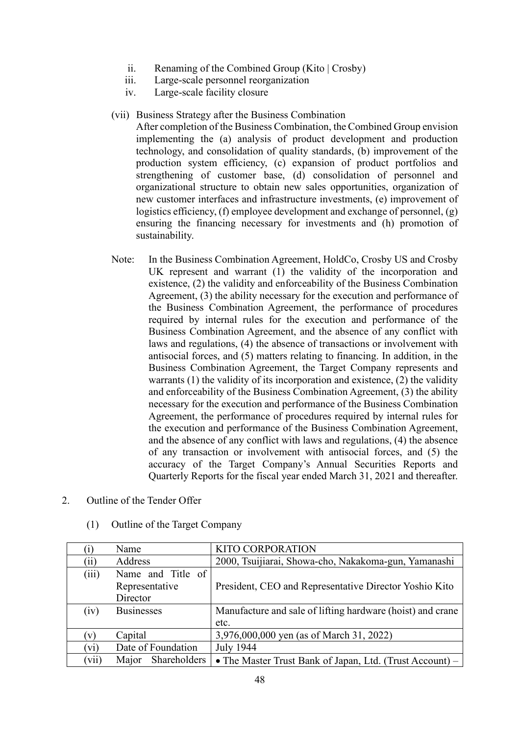- ii. Renaming of the Combined Group (Kito | Crosby)
- iii. Large-scale personnel reorganization
- iv. Large-scale facility closure
- (vii) Business Strategy after the Business Combination

After completion of the Business Combination, the Combined Group envision implementing the (a) analysis of product development and production technology, and consolidation of quality standards, (b) improvement of the production system efficiency, (c) expansion of product portfolios and strengthening of customer base, (d) consolidation of personnel and organizational structure to obtain new sales opportunities, organization of new customer interfaces and infrastructure investments, (e) improvement of logistics efficiency, (f) employee development and exchange of personnel, (g) ensuring the financing necessary for investments and (h) promotion of sustainability.

- Note: In the Business Combination Agreement, HoldCo, Crosby US and Crosby UK represent and warrant (1) the validity of the incorporation and existence, (2) the validity and enforceability of the Business Combination Agreement, (3) the ability necessary for the execution and performance of the Business Combination Agreement, the performance of procedures required by internal rules for the execution and performance of the Business Combination Agreement, and the absence of any conflict with laws and regulations, (4) the absence of transactions or involvement with antisocial forces, and (5) matters relating to financing. In addition, in the Business Combination Agreement, the Target Company represents and warrants (1) the validity of its incorporation and existence, (2) the validity and enforceability of the Business Combination Agreement, (3) the ability necessary for the execution and performance of the Business Combination Agreement, the performance of procedures required by internal rules for the execution and performance of the Business Combination Agreement, and the absence of any conflict with laws and regulations, (4) the absence of any transaction or involvement with antisocial forces, and (5) the accuracy of the Target Company's Annual Securities Reports and Quarterly Reports for the fiscal year ended March 31, 2021 and thereafter.
- 2. Outline of the Tender Offer

| 1)            | Name                  | <b>KITO CORPORATION</b>                                    |  |
|---------------|-----------------------|------------------------------------------------------------|--|
| $\rm (ii)$    | Address               | 2000, Tsuijiarai, Showa-cho, Nakakoma-gun, Yamanashi       |  |
| (iii)         | Name and Title of     |                                                            |  |
|               | Representative        | President, CEO and Representative Director Yoshio Kito     |  |
|               | Director              |                                                            |  |
| (iv)          | <b>Businesses</b>     | Manufacture and sale of lifting hardware (hoist) and crane |  |
|               |                       | etc.                                                       |  |
| $\mathbf{v})$ | Capital               | 3,976,000,000 yen (as of March 31, 2022)                   |  |
| (vi)          | Date of Foundation    | <b>July 1944</b>                                           |  |
| (vii)         | Shareholders<br>Major | • The Master Trust Bank of Japan, Ltd. (Trust Account) –   |  |

(1) Outline of the Target Company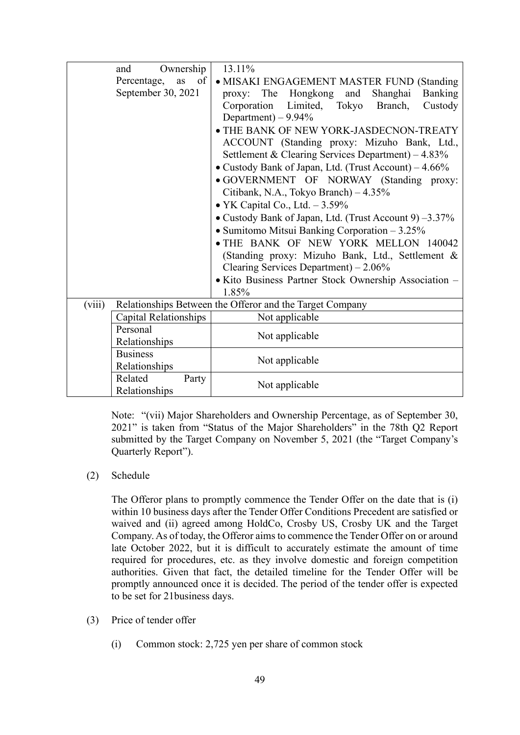|        | and                   | Ownership | 13.11%                                                                                   |  |  |  |
|--------|-----------------------|-----------|------------------------------------------------------------------------------------------|--|--|--|
|        | Percentage,           | of<br>as  | • MISAKI ENGAGEMENT MASTER FUND (Standing                                                |  |  |  |
|        | September 30, 2021    |           | The Hongkong and<br>Banking<br>Shanghai<br>proxy:                                        |  |  |  |
|        |                       |           | Corporation Limited, Tokyo<br>Branch,<br>Custody                                         |  |  |  |
|        |                       |           | Department) $-9.94\%$                                                                    |  |  |  |
|        |                       |           | • THE BANK OF NEW YORK-JASDECNON-TREATY                                                  |  |  |  |
|        |                       |           | ACCOUNT (Standing proxy: Mizuho Bank, Ltd.,                                              |  |  |  |
|        |                       |           | Settlement & Clearing Services Department) - 4.83%                                       |  |  |  |
|        |                       |           | • Custody Bank of Japan, Ltd. (Trust Account) – 4.66%                                    |  |  |  |
|        |                       |           | · GOVERNMENT OF NORWAY (Standing proxy:                                                  |  |  |  |
|        |                       |           | Citibank, N.A., Tokyo Branch) - 4.35%                                                    |  |  |  |
|        |                       |           | • YK Capital Co., Ltd. $-3.59\%$                                                         |  |  |  |
|        |                       |           | • Custody Bank of Japan, Ltd. (Trust Account 9) -3.37%                                   |  |  |  |
|        |                       |           | • Sumitomo Mitsui Banking Corporation $-3.25\%$                                          |  |  |  |
|        |                       |           | · THE BANK OF NEW YORK MELLON 140042<br>(Standing proxy: Mizuho Bank, Ltd., Settlement & |  |  |  |
|        |                       |           |                                                                                          |  |  |  |
|        |                       |           | Clearing Services Department) $-2.06\%$                                                  |  |  |  |
|        |                       |           | · Kito Business Partner Stock Ownership Association -                                    |  |  |  |
|        |                       |           | 1.85%                                                                                    |  |  |  |
| (viii) |                       |           | Relationships Between the Offeror and the Target Company                                 |  |  |  |
|        | Capital Relationships |           | Not applicable                                                                           |  |  |  |
|        | Personal              |           | Not applicable                                                                           |  |  |  |
|        | Relationships         |           |                                                                                          |  |  |  |
|        | <b>Business</b>       |           | Not applicable                                                                           |  |  |  |
|        | Relationships         |           |                                                                                          |  |  |  |
|        | Related               | Party     | Not applicable                                                                           |  |  |  |
|        | Relationships         |           |                                                                                          |  |  |  |

Note: "(vii) Major Shareholders and Ownership Percentage, as of September 30, 2021" is taken from "Status of the Major Shareholders" in the 78th Q2 Report submitted by the Target Company on November 5, 2021 (the "Target Company's Quarterly Report").

(2) Schedule

The Offeror plans to promptly commence the Tender Offer on the date that is (i) within 10 business days after the Tender Offer Conditions Precedent are satisfied or waived and (ii) agreed among HoldCo, Crosby US, Crosby UK and the Target Company. As of today, the Offeror aims to commence the Tender Offer on or around late October 2022, but it is difficult to accurately estimate the amount of time required for procedures, etc. as they involve domestic and foreign competition authorities. Given that fact, the detailed timeline for the Tender Offer will be promptly announced once it is decided. The period of the tender offer is expected to be set for 21business days.

- (3) Price of tender offer
	- (i) Common stock: 2,725 yen per share of common stock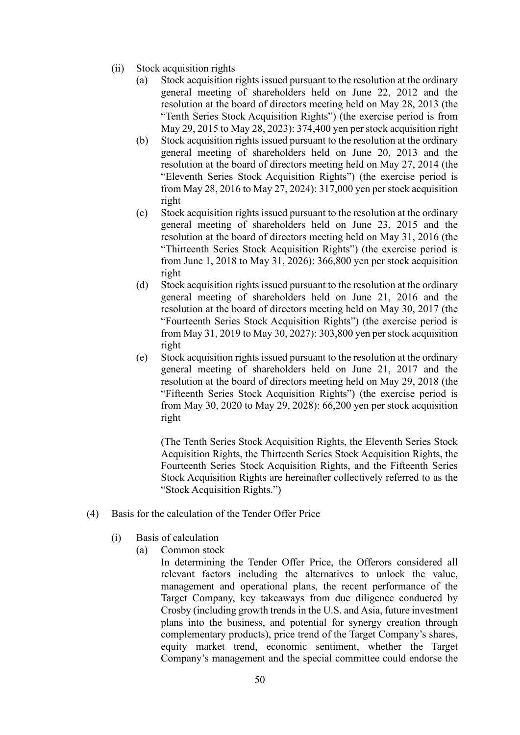- (ii) Stock acquisition rights
	- (a) Stock acquisition rights issued pursuant to the resolution at the ordinary general meeting of shareholders held on June 22, 2012 and the resolution at the board of directors meeting held on May 28, 2013 (the "Tenth Series Stock Acquisition Rights") (the exercise period is from May 29, 2015 to May 28, 2023): 374,400 yen per stock acquisition right
	- (b) Stock acquisition rights issued pursuant to the resolution at the ordinary general meeting of shareholders held on June 20, 2013 and the resolution at the board of directors meeting held on May 27, 2014 (the "Eleventh Series Stock Acquisition Rights") (the exercise period is from May 28, 2016 to May 27, 2024): 317,000 yen per stock acquisition right
	- (c) Stock acquisition rights issued pursuant to the resolution at the ordinary general meeting of shareholders held on June 23, 2015 and the resolution at the board of directors meeting held on May 31, 2016 (the "Thirteenth Series Stock Acquisition Rights") (the exercise period is from June 1, 2018 to May 31, 2026): 366,800 yen per stock acquisition right
	- (d) Stock acquisition rights issued pursuant to the resolution at the ordinary general meeting of shareholders held on June 21, 2016 and the resolution at the board of directors meeting held on May 30, 2017 (the "Fourteenth Series Stock Acquisition Rights") (the exercise period is from May 31, 2019 to May 30, 2027): 303,800 yen per stock acquisition right
	- (e) Stock acquisition rights issued pursuant to the resolution at the ordinary general meeting of shareholders held on June 21, 2017 and the resolution at the board of directors meeting held on May 29, 2018 (the "Fifteenth Series Stock Acquisition Rights") (the exercise period is from May 30, 2020 to May 29, 2028): 66,200 yen per stock acquisition right

(The Tenth Series Stock Acquisition Rights, the Eleventh Series Stock Acquisition Rights, the Thirteenth Series Stock Acquisition Rights, the Fourteenth Series Stock Acquisition Rights, and the Fifteenth Series Stock Acquisition Rights are hereinafter collectively referred to as the "Stock Acquisition Rights.")

- (4) Basis for the calculation of the Tender Offer Price
	- (i) Basis of calculation
		- (a) Common stock

In determining the Tender Offer Price, the Offerors considered all relevant factors including the alternatives to unlock the value, management and operational plans, the recent performance of the Target Company, key takeaways from due diligence conducted by Crosby (including growth trends in the U.S. and Asia, future investment plans into the business, and potential for synergy creation through complementary products), price trend of the Target Company's shares, equity market trend, economic sentiment, whether the Target Company's management and the special committee could endorse the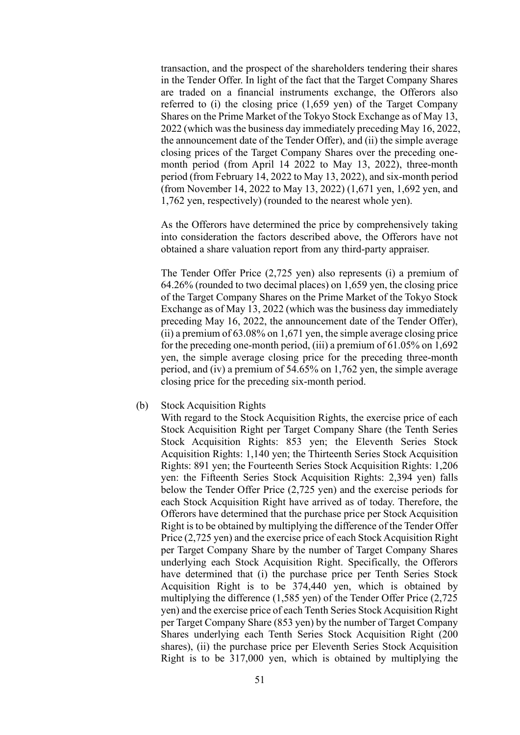transaction, and the prospect of the shareholders tendering their shares in the Tender Offer. In light of the fact that the Target Company Shares are traded on a financial instruments exchange, the Offerors also referred to (i) the closing price (1,659 yen) of the Target Company Shares on the Prime Market of the Tokyo Stock Exchange as of May 13, 2022 (which was the business day immediately preceding May 16, 2022, the announcement date of the Tender Offer), and (ii) the simple average closing prices of the Target Company Shares over the preceding onemonth period (from April 14 2022 to May 13, 2022), three-month period (from February 14, 2022 to May 13, 2022), and six-month period (from November 14, 2022 to May 13, 2022) (1,671 yen, 1,692 yen, and 1,762 yen, respectively) (rounded to the nearest whole yen).

As the Offerors have determined the price by comprehensively taking into consideration the factors described above, the Offerors have not obtained a share valuation report from any third-party appraiser.

The Tender Offer Price (2,725 yen) also represents (i) a premium of 64.26% (rounded to two decimal places) on 1,659 yen, the closing price of the Target Company Shares on the Prime Market of the Tokyo Stock Exchange as of May 13, 2022 (which was the business day immediately preceding May 16, 2022, the announcement date of the Tender Offer), (ii) a premium of 63.08% on 1,671 yen, the simple average closing price for the preceding one-month period, (iii) a premium of 61.05% on 1,692 yen, the simple average closing price for the preceding three-month period, and (iv) a premium of 54.65% on 1,762 yen, the simple average closing price for the preceding six-month period.

## (b) Stock Acquisition Rights

With regard to the Stock Acquisition Rights, the exercise price of each Stock Acquisition Right per Target Company Share (the Tenth Series Stock Acquisition Rights: 853 yen; the Eleventh Series Stock Acquisition Rights: 1,140 yen; the Thirteenth Series Stock Acquisition Rights: 891 yen; the Fourteenth Series Stock Acquisition Rights: 1,206 yen: the Fifteenth Series Stock Acquisition Rights: 2,394 yen) falls below the Tender Offer Price (2,725 yen) and the exercise periods for each Stock Acquisition Right have arrived as of today. Therefore, the Offerors have determined that the purchase price per Stock Acquisition Right is to be obtained by multiplying the difference of the Tender Offer Price (2,725 yen) and the exercise price of each Stock Acquisition Right per Target Company Share by the number of Target Company Shares underlying each Stock Acquisition Right. Specifically, the Offerors have determined that (i) the purchase price per Tenth Series Stock Acquisition Right is to be 374,440 yen, which is obtained by multiplying the difference (1,585 yen) of the Tender Offer Price (2,725 yen) and the exercise price of each Tenth Series Stock Acquisition Right per Target Company Share (853 yen) by the number of Target Company Shares underlying each Tenth Series Stock Acquisition Right (200 shares), (ii) the purchase price per Eleventh Series Stock Acquisition Right is to be 317,000 yen, which is obtained by multiplying the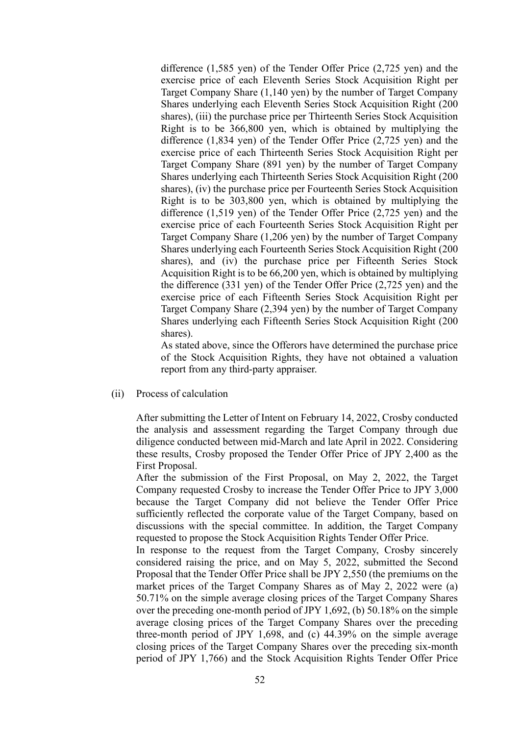difference (1,585 yen) of the Tender Offer Price (2,725 yen) and the exercise price of each Eleventh Series Stock Acquisition Right per Target Company Share (1,140 yen) by the number of Target Company Shares underlying each Eleventh Series Stock Acquisition Right (200 shares), (iii) the purchase price per Thirteenth Series Stock Acquisition Right is to be 366,800 yen, which is obtained by multiplying the difference (1,834 yen) of the Tender Offer Price (2,725 yen) and the exercise price of each Thirteenth Series Stock Acquisition Right per Target Company Share (891 yen) by the number of Target Company Shares underlying each Thirteenth Series Stock Acquisition Right (200 shares), (iv) the purchase price per Fourteenth Series Stock Acquisition Right is to be 303,800 yen, which is obtained by multiplying the difference (1,519 yen) of the Tender Offer Price (2,725 yen) and the exercise price of each Fourteenth Series Stock Acquisition Right per Target Company Share (1,206 yen) by the number of Target Company Shares underlying each Fourteenth Series Stock Acquisition Right (200 shares), and (iv) the purchase price per Fifteenth Series Stock Acquisition Right is to be 66,200 yen, which is obtained by multiplying the difference (331 yen) of the Tender Offer Price (2,725 yen) and the exercise price of each Fifteenth Series Stock Acquisition Right per Target Company Share (2,394 yen) by the number of Target Company Shares underlying each Fifteenth Series Stock Acquisition Right (200 shares).

As stated above, since the Offerors have determined the purchase price of the Stock Acquisition Rights, they have not obtained a valuation report from any third-party appraiser.

(ii) Process of calculation

After submitting the Letter of Intent on February 14, 2022, Crosby conducted the analysis and assessment regarding the Target Company through due diligence conducted between mid-March and late April in 2022. Considering these results, Crosby proposed the Tender Offer Price of JPY 2,400 as the First Proposal.

After the submission of the First Proposal, on May 2, 2022, the Target Company requested Crosby to increase the Tender Offer Price to JPY 3,000 because the Target Company did not believe the Tender Offer Price sufficiently reflected the corporate value of the Target Company, based on discussions with the special committee. In addition, the Target Company requested to propose the Stock Acquisition Rights Tender Offer Price.

In response to the request from the Target Company, Crosby sincerely considered raising the price, and on May 5, 2022, submitted the Second Proposal that the Tender Offer Price shall be JPY 2,550 (the premiums on the market prices of the Target Company Shares as of May 2, 2022 were (a) 50.71% on the simple average closing prices of the Target Company Shares over the preceding one-month period of JPY 1,692, (b) 50.18% on the simple average closing prices of the Target Company Shares over the preceding three-month period of JPY 1,698, and (c) 44.39% on the simple average closing prices of the Target Company Shares over the preceding six-month period of JPY 1,766) and the Stock Acquisition Rights Tender Offer Price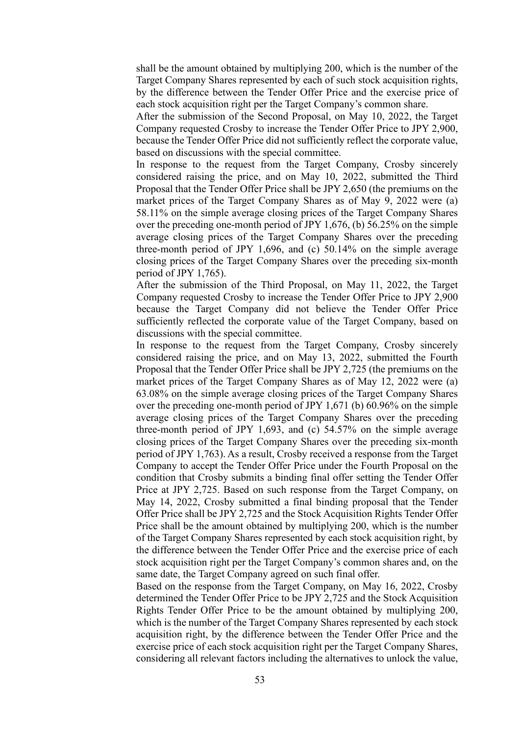shall be the amount obtained by multiplying 200, which is the number of the Target Company Shares represented by each of such stock acquisition rights, by the difference between the Tender Offer Price and the exercise price of each stock acquisition right per the Target Company's common share.

After the submission of the Second Proposal, on May 10, 2022, the Target Company requested Crosby to increase the Tender Offer Price to JPY 2,900, because the Tender Offer Price did not sufficiently reflect the corporate value, based on discussions with the special committee.

In response to the request from the Target Company, Crosby sincerely considered raising the price, and on May 10, 2022, submitted the Third Proposal that the Tender Offer Price shall be JPY 2,650 (the premiums on the market prices of the Target Company Shares as of May 9, 2022 were (a) 58.11% on the simple average closing prices of the Target Company Shares over the preceding one-month period of JPY 1,676, (b) 56.25% on the simple average closing prices of the Target Company Shares over the preceding three-month period of JPY 1,696, and (c) 50.14% on the simple average closing prices of the Target Company Shares over the preceding six-month period of JPY 1,765).

After the submission of the Third Proposal, on May 11, 2022, the Target Company requested Crosby to increase the Tender Offer Price to JPY 2,900 because the Target Company did not believe the Tender Offer Price sufficiently reflected the corporate value of the Target Company, based on discussions with the special committee.

In response to the request from the Target Company, Crosby sincerely considered raising the price, and on May 13, 2022, submitted the Fourth Proposal that the Tender Offer Price shall be JPY 2,725 (the premiums on the market prices of the Target Company Shares as of May 12, 2022 were (a) 63.08% on the simple average closing prices of the Target Company Shares over the preceding one-month period of JPY 1,671 (b) 60.96% on the simple average closing prices of the Target Company Shares over the preceding three-month period of JPY 1,693, and (c) 54.57% on the simple average closing prices of the Target Company Shares over the preceding six-month period of JPY 1,763). As a result, Crosby received a response from the Target Company to accept the Tender Offer Price under the Fourth Proposal on the condition that Crosby submits a binding final offer setting the Tender Offer Price at JPY 2,725. Based on such response from the Target Company, on May 14, 2022, Crosby submitted a final binding proposal that the Tender Offer Price shall be JPY 2,725 and the Stock Acquisition Rights Tender Offer Price shall be the amount obtained by multiplying 200, which is the number of the Target Company Shares represented by each stock acquisition right, by the difference between the Tender Offer Price and the exercise price of each stock acquisition right per the Target Company's common shares and, on the same date, the Target Company agreed on such final offer.

Based on the response from the Target Company, on May 16, 2022, Crosby determined the Tender Offer Price to be JPY 2,725 and the Stock Acquisition Rights Tender Offer Price to be the amount obtained by multiplying 200, which is the number of the Target Company Shares represented by each stock acquisition right, by the difference between the Tender Offer Price and the exercise price of each stock acquisition right per the Target Company Shares, considering all relevant factors including the alternatives to unlock the value,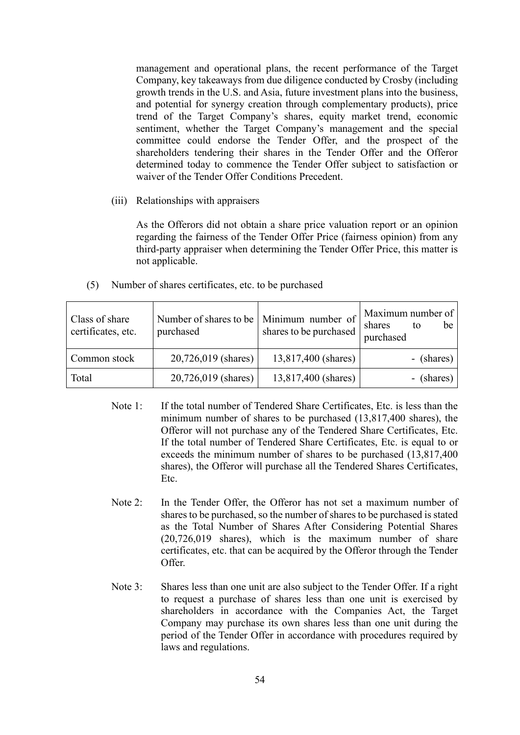management and operational plans, the recent performance of the Target Company, key takeaways from due diligence conducted by Crosby (including growth trends in the U.S. and Asia, future investment plans into the business, and potential for synergy creation through complementary products), price trend of the Target Company's shares, equity market trend, economic sentiment, whether the Target Company's management and the special committee could endorse the Tender Offer, and the prospect of the shareholders tendering their shares in the Tender Offer and the Offeror determined today to commence the Tender Offer subject to satisfaction or waiver of the Tender Offer Conditions Precedent.

(iii) Relationships with appraisers

As the Offerors did not obtain a share price valuation report or an opinion regarding the fairness of the Tender Offer Price (fairness opinion) from any third-party appraiser when determining the Tender Offer Price, this matter is not applicable.

(5) Number of shares certificates, etc. to be purchased

| Class of share<br>certificates, etc. | Number of shares to be   Minimum number of<br>purchased | shares to be purchased | Maximum number of<br>be<br>shares<br>to<br>purchased |
|--------------------------------------|---------------------------------------------------------|------------------------|------------------------------------------------------|
| Common stock                         | 20,726,019 (shares)                                     | 13,817,400 (shares)    | - (shares)                                           |
| Total                                | 20,726,019 (shares)                                     | 13,817,400 (shares)    | - (shares)                                           |

- Note 1: If the total number of Tendered Share Certificates, Etc. is less than the minimum number of shares to be purchased (13,817,400 shares), the Offeror will not purchase any of the Tendered Share Certificates, Etc. If the total number of Tendered Share Certificates, Etc. is equal to or exceeds the minimum number of shares to be purchased (13,817,400 shares), the Offeror will purchase all the Tendered Shares Certificates, Etc.
- Note 2: In the Tender Offer, the Offeror has not set a maximum number of shares to be purchased, so the number of shares to be purchased is stated as the Total Number of Shares After Considering Potential Shares (20,726,019 shares), which is the maximum number of share certificates, etc. that can be acquired by the Offeror through the Tender Offer.
- Note 3: Shares less than one unit are also subject to the Tender Offer. If a right to request a purchase of shares less than one unit is exercised by shareholders in accordance with the Companies Act, the Target Company may purchase its own shares less than one unit during the period of the Tender Offer in accordance with procedures required by laws and regulations.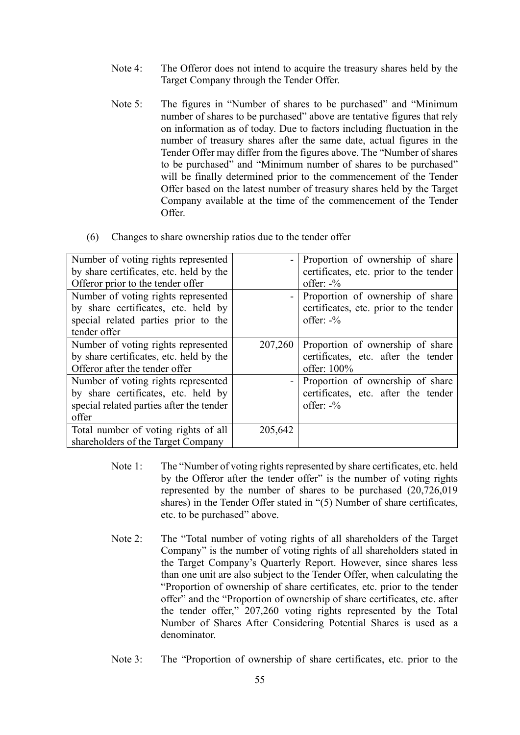- Note 4: The Offeror does not intend to acquire the treasury shares held by the Target Company through the Tender Offer.
- Note 5: The figures in "Number of shares to be purchased" and "Minimum number of shares to be purchased" above are tentative figures that rely on information as of today. Due to factors including fluctuation in the number of treasury shares after the same date, actual figures in the Tender Offer may differ from the figures above. The "Number of shares to be purchased" and "Minimum number of shares to be purchased" will be finally determined prior to the commencement of the Tender Offer based on the latest number of treasury shares held by the Target Company available at the time of the commencement of the Tender Offer.

| (6) Changes to share ownership ratios due to the tender offer |  |  |  |  |
|---------------------------------------------------------------|--|--|--|--|
|                                                               |  |  |  |  |

| Number of voting rights represented      |         | Proportion of ownership of share           |
|------------------------------------------|---------|--------------------------------------------|
| by share certificates, etc. held by the  |         | certificates, etc. prior to the tender     |
| Offeror prior to the tender offer        |         | offer: $-\frac{6}{6}$                      |
| Number of voting rights represented      |         | - Proportion of ownership of share         |
| by share certificates, etc. held by      |         | certificates, etc. prior to the tender     |
| special related parties prior to the     |         | offer: $-\frac{6}{6}$                      |
| tender offer                             |         |                                            |
| Number of voting rights represented      |         | $207,260$ Proportion of ownership of share |
| by share certificates, etc. held by the  |         | certificates, etc. after the tender        |
| Offeror after the tender offer           |         | offer: 100%                                |
| Number of voting rights represented      |         | Proportion of ownership of share           |
| by share certificates, etc. held by      |         | certificates, etc. after the tender        |
| special related parties after the tender |         | offer: $-\frac{6}{6}$                      |
| offer                                    |         |                                            |
| Total number of voting rights of all     | 205,642 |                                            |
| shareholders of the Target Company       |         |                                            |

- Note 1: The "Number of voting rights represented by share certificates, etc. held by the Offeror after the tender offer" is the number of voting rights represented by the number of shares to be purchased (20,726,019 shares) in the Tender Offer stated in "(5) Number of share certificates, etc. to be purchased" above.
- Note 2: The "Total number of voting rights of all shareholders of the Target Company" is the number of voting rights of all shareholders stated in the Target Company's Quarterly Report. However, since shares less than one unit are also subject to the Tender Offer, when calculating the "Proportion of ownership of share certificates, etc. prior to the tender offer" and the "Proportion of ownership of share certificates, etc. after the tender offer," 207,260 voting rights represented by the Total Number of Shares After Considering Potential Shares is used as a denominator.
- Note 3: The "Proportion of ownership of share certificates, etc. prior to the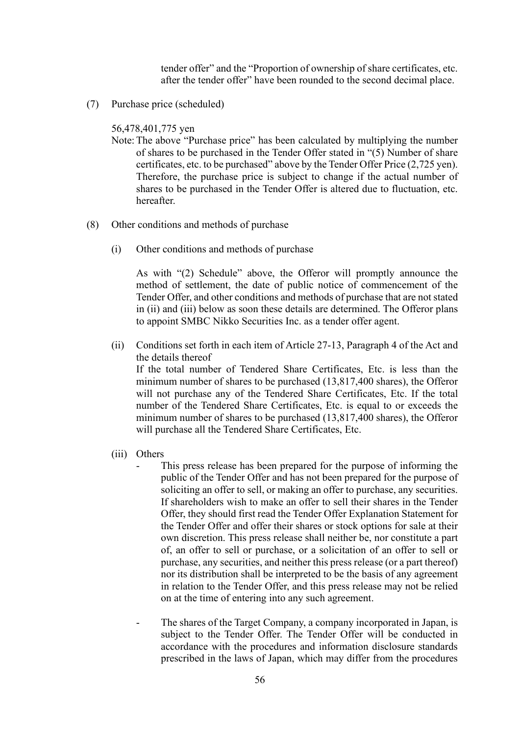tender offer" and the "Proportion of ownership of share certificates, etc. after the tender offer" have been rounded to the second decimal place.

(7) Purchase price (scheduled)

56,478,401,775 yen

- Note:The above "Purchase price" has been calculated by multiplying the number of shares to be purchased in the Tender Offer stated in "(5) Number of share certificates, etc. to be purchased" above by the Tender Offer Price (2,725 yen). Therefore, the purchase price is subject to change if the actual number of shares to be purchased in the Tender Offer is altered due to fluctuation, etc. hereafter.
- (8) Other conditions and methods of purchase
	- (i) Other conditions and methods of purchase

As with "(2) Schedule" above, the Offeror will promptly announce the method of settlement, the date of public notice of commencement of the Tender Offer, and other conditions and methods of purchase that are not stated in (ii) and (iii) below as soon these details are determined. The Offeror plans to appoint SMBC Nikko Securities Inc. as a tender offer agent.

(ii) Conditions set forth in each item of Article 27-13, Paragraph 4 of the Act and the details thereof

If the total number of Tendered Share Certificates, Etc. is less than the minimum number of shares to be purchased (13,817,400 shares), the Offeror will not purchase any of the Tendered Share Certificates, Etc. If the total number of the Tendered Share Certificates, Etc. is equal to or exceeds the minimum number of shares to be purchased (13,817,400 shares), the Offeror will purchase all the Tendered Share Certificates, Etc.

- (iii) Others
	- This press release has been prepared for the purpose of informing the public of the Tender Offer and has not been prepared for the purpose of soliciting an offer to sell, or making an offer to purchase, any securities. If shareholders wish to make an offer to sell their shares in the Tender Offer, they should first read the Tender Offer Explanation Statement for the Tender Offer and offer their shares or stock options for sale at their own discretion. This press release shall neither be, nor constitute a part of, an offer to sell or purchase, or a solicitation of an offer to sell or purchase, any securities, and neither this press release (or a part thereof) nor its distribution shall be interpreted to be the basis of any agreement in relation to the Tender Offer, and this press release may not be relied on at the time of entering into any such agreement.
	- The shares of the Target Company, a company incorporated in Japan, is subject to the Tender Offer. The Tender Offer will be conducted in accordance with the procedures and information disclosure standards prescribed in the laws of Japan, which may differ from the procedures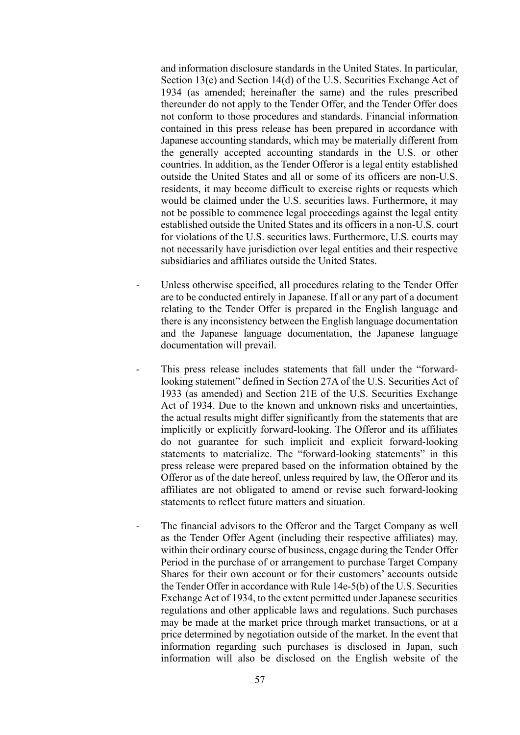and information disclosure standards in the United States. In particular, Section 13(e) and Section 14(d) of the U.S. Securities Exchange Act of 1934 (as amended; hereinafter the same) and the rules prescribed thereunder do not apply to the Tender Offer, and the Tender Offer does not conform to those procedures and standards. Financial information contained in this press release has been prepared in accordance with Japanese accounting standards, which may be materially different from the generally accepted accounting standards in the U.S. or other countries. In addition, as the Tender Offeror is a legal entity established outside the United States and all or some of its officers are non-U.S. residents, it may become difficult to exercise rights or requests which would be claimed under the U.S. securities laws. Furthermore, it may not be possible to commence legal proceedings against the legal entity established outside the United States and its officers in a non-U.S. court for violations of the U.S. securities laws. Furthermore, U.S. courts may not necessarily have jurisdiction over legal entities and their respective subsidiaries and affiliates outside the United States.

- Unless otherwise specified, all procedures relating to the Tender Offer are to be conducted entirely in Japanese. If all or any part of a document relating to the Tender Offer is prepared in the English language and there is any inconsistency between the English language documentation and the Japanese language documentation, the Japanese language documentation will prevail.
- This press release includes statements that fall under the "forwardlooking statement" defined in Section 27A of the U.S. Securities Act of 1933 (as amended) and Section 21E of the U.S. Securities Exchange Act of 1934. Due to the known and unknown risks and uncertainties, the actual results might differ significantly from the statements that are implicitly or explicitly forward-looking. The Offeror and its affiliates do not guarantee for such implicit and explicit forward-looking statements to materialize. The "forward-looking statements" in this press release were prepared based on the information obtained by the Offeror as of the date hereof, unless required by law, the Offeror and its affiliates are not obligated to amend or revise such forward-looking statements to reflect future matters and situation.
- The financial advisors to the Offeror and the Target Company as well as the Tender Offer Agent (including their respective affiliates) may, within their ordinary course of business, engage during the Tender Offer Period in the purchase of or arrangement to purchase Target Company Shares for their own account or for their customers' accounts outside the Tender Offer in accordance with Rule 14e-5(b) of the U.S. Securities Exchange Act of 1934, to the extent permitted under Japanese securities regulations and other applicable laws and regulations. Such purchases may be made at the market price through market transactions, or at a price determined by negotiation outside of the market. In the event that information regarding such purchases is disclosed in Japan, such information will also be disclosed on the English website of the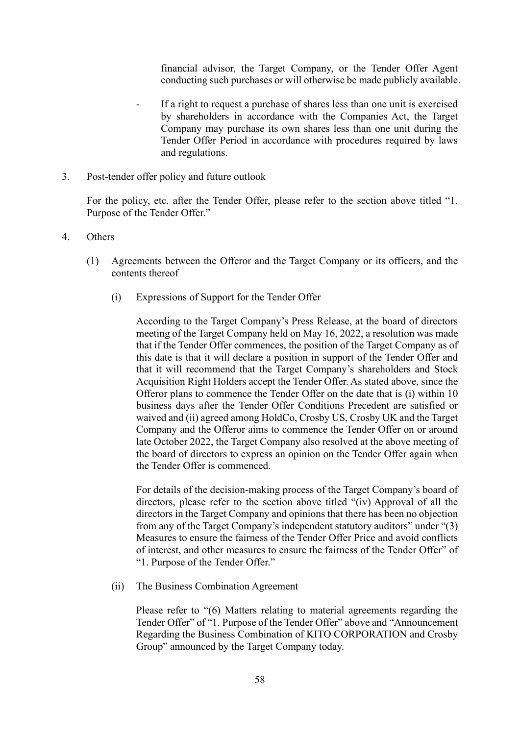financial advisor, the Target Company, or the Tender Offer Agent conducting such purchases or will otherwise be made publicly available.

- If a right to request a purchase of shares less than one unit is exercised by shareholders in accordance with the Companies Act, the Target Company may purchase its own shares less than one unit during the Tender Offer Period in accordance with procedures required by laws and regulations.
- 3. Post-tender offer policy and future outlook

For the policy, etc. after the Tender Offer, please refer to the section above titled "1. Purpose of the Tender Offer."

- 4. Others
	- (1) Agreements between the Offeror and the Target Company or its officers, and the contents thereof
		- (i) Expressions of Support for the Tender Offer

According to the Target Company's Press Release, at the board of directors meeting of the Target Company held on May 16, 2022, a resolution was made that if the Tender Offer commences, the position of the Target Company as of this date is that it will declare a position in support of the Tender Offer and that it will recommend that the Target Company's shareholders and Stock Acquisition Right Holders accept the Tender Offer. As stated above, since the Offeror plans to commence the Tender Offer on the date that is (i) within 10 business days after the Tender Offer Conditions Precedent are satisfied or waived and (ii) agreed among HoldCo, Crosby US, Crosby UK and the Target Company and the Offeror aims to commence the Tender Offer on or around late October 2022, the Target Company also resolved at the above meeting of the board of directors to express an opinion on the Tender Offer again when the Tender Offer is commenced.

For details of the decision-making process of the Target Company's board of directors, please refer to the section above titled "(iv) Approval of all the directors in the Target Company and opinions that there has been no objection from any of the Target Company's independent statutory auditors" under "(3) Measures to ensure the fairness of the Tender Offer Price and avoid conflicts of interest, and other measures to ensure the fairness of the Tender Offer" of "1. Purpose of the Tender Offer."

(ii) The Business Combination Agreement

Please refer to "(6) Matters relating to material agreements regarding the Tender Offer" of "1. Purpose of the Tender Offer" above and "Announcement Regarding the Business Combination of KITO CORPORATION and Crosby Group" announced by the Target Company today.